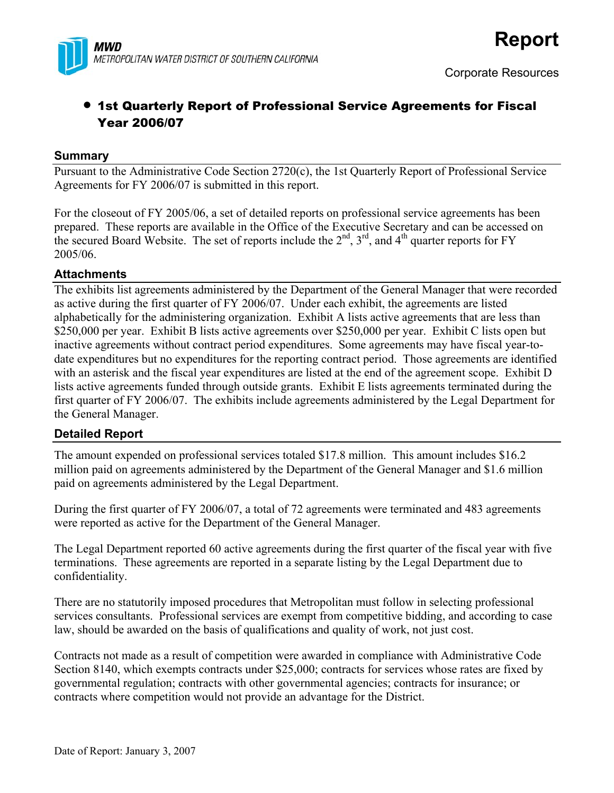

## • 1st Quarterly Report of Professional Service Agreements for Fiscal Year 2006/07

#### **Summary**

Pursuant to the Administrative Code Section 2720(c), the 1st Quarterly Report of Professional Service Agreements for FY 2006/07 is submitted in this report.

For the closeout of FY 2005/06, a set of detailed reports on professional service agreements has been prepared. These reports are available in the Office of the Executive Secretary and can be accessed on the secured Board Website. The set of reports include the  $2<sup>nd</sup>$ ,  $3<sup>rd</sup>$ , and  $4<sup>th</sup>$  quarter reports for FY 2005/06.

#### **Attachments**

The exhibits list agreements administered by the Department of the General Manager that were recorded as active during the first quarter of FY 2006/07. Under each exhibit, the agreements are listed alphabetically for the administering organization. Exhibit A lists active agreements that are less than \$250,000 per year. Exhibit B lists active agreements over \$250,000 per year. Exhibit C lists open but inactive agreements without contract period expenditures. Some agreements may have fiscal year-todate expenditures but no expenditures for the reporting contract period. Those agreements are identified with an asterisk and the fiscal year expenditures are listed at the end of the agreement scope. Exhibit D lists active agreements funded through outside grants. Exhibit E lists agreements terminated during the first quarter of FY 2006/07. The exhibits include agreements administered by the Legal Department for the General Manager.

#### **Detailed Report**

The amount expended on professional services totaled \$17.8 million. This amount includes \$16.2 million paid on agreements administered by the Department of the General Manager and \$1.6 million paid on agreements administered by the Legal Department.

During the first quarter of FY 2006/07, a total of 72 agreements were terminated and 483 agreements were reported as active for the Department of the General Manager.

The Legal Department reported 60 active agreements during the first quarter of the fiscal year with five terminations. These agreements are reported in a separate listing by the Legal Department due to confidentiality.

There are no statutorily imposed procedures that Metropolitan must follow in selecting professional services consultants. Professional services are exempt from competitive bidding, and according to case law, should be awarded on the basis of qualifications and quality of work, not just cost.

Contracts not made as a result of competition were awarded in compliance with Administrative Code Section 8140, which exempts contracts under \$25,000; contracts for services whose rates are fixed by governmental regulation; contracts with other governmental agencies; contracts for insurance; or contracts where competition would not provide an advantage for the District.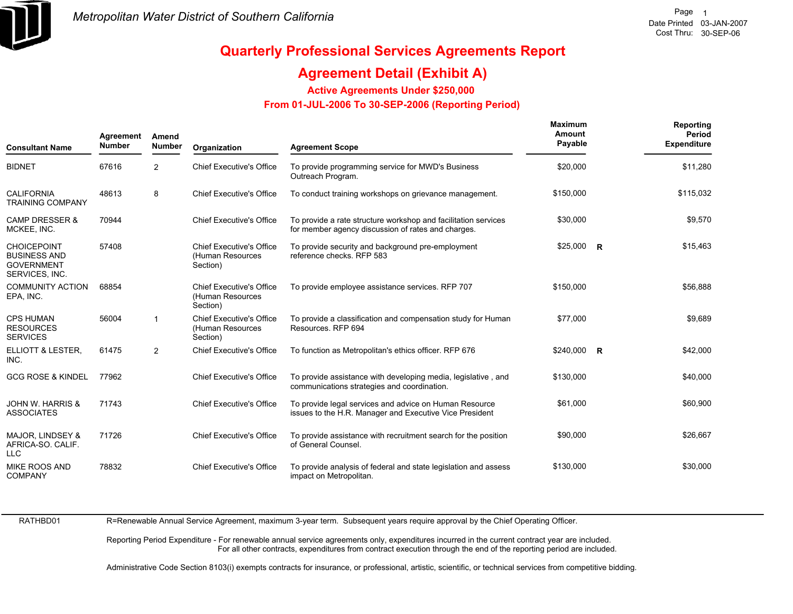

## **Agreement Detail (Exhibit A)**

**Active Agreements Under \$250,000** 

 **From 01-JUL-2006 To 30-SEP-2006 (Reporting Period)** 

| <b>Consultant Name</b>                                                           | Agreement<br><b>Number</b> | Amend<br><b>Number</b> | Organization                                                    | <b>Agreement Scope</b>                                                                                               | <b>Maximum</b><br>Amount<br>Payable | Reporting<br>Period<br><b>Expenditure</b> |
|----------------------------------------------------------------------------------|----------------------------|------------------------|-----------------------------------------------------------------|----------------------------------------------------------------------------------------------------------------------|-------------------------------------|-------------------------------------------|
| <b>BIDNET</b>                                                                    | 67616                      | 2                      | <b>Chief Executive's Office</b>                                 | To provide programming service for MWD's Business<br>Outreach Program.                                               | \$20,000                            | \$11,280                                  |
| <b>CALIFORNIA</b><br><b>TRAINING COMPANY</b>                                     | 48613                      | 8                      | <b>Chief Executive's Office</b>                                 | To conduct training workshops on grievance management.                                                               | \$150,000                           | \$115,032                                 |
| <b>CAMP DRESSER &amp;</b><br>MCKEE, INC.                                         | 70944                      |                        | <b>Chief Executive's Office</b>                                 | To provide a rate structure workshop and facilitation services<br>for member agency discussion of rates and charges. | \$30,000                            | \$9,570                                   |
| <b>CHOICEPOINT</b><br><b>BUSINESS AND</b><br><b>GOVERNMENT</b><br>SERVICES, INC. | 57408                      |                        | <b>Chief Executive's Office</b><br>(Human Resources<br>Section) | To provide security and background pre-employment<br>reference checks. RFP 583                                       | $$25,000$ R                         | \$15,463                                  |
| <b>COMMUNITY ACTION</b><br>EPA, INC.                                             | 68854                      |                        | <b>Chief Executive's Office</b><br>(Human Resources<br>Section) | To provide employee assistance services. RFP 707                                                                     | \$150,000                           | \$56,888                                  |
| <b>CPS HUMAN</b><br><b>RESOURCES</b><br><b>SERVICES</b>                          | 56004                      | $\mathbf{1}$           | <b>Chief Executive's Office</b><br>(Human Resources<br>Section) | To provide a classification and compensation study for Human<br>Resources, RFP 694                                   | \$77,000                            | \$9,689                                   |
| ELLIOTT & LESTER,<br>INC.                                                        | 61475                      | $\overline{2}$         | <b>Chief Executive's Office</b>                                 | To function as Metropolitan's ethics officer. RFP 676                                                                | $$240,000$ R                        | \$42,000                                  |
| <b>GCG ROSE &amp; KINDEL</b>                                                     | 77962                      |                        | <b>Chief Executive's Office</b>                                 | To provide assistance with developing media, legislative, and<br>communications strategies and coordination.         | \$130,000                           | \$40,000                                  |
| <b>JOHN W. HARRIS &amp;</b><br><b>ASSOCIATES</b>                                 | 71743                      |                        | <b>Chief Executive's Office</b>                                 | To provide legal services and advice on Human Resource<br>issues to the H.R. Manager and Executive Vice President    | \$61,000                            | \$60,900                                  |
| MAJOR, LINDSEY &<br>AFRICA-SO, CALIF.<br><b>LLC</b>                              | 71726                      |                        | <b>Chief Executive's Office</b>                                 | To provide assistance with recruitment search for the position<br>of General Counsel.                                | \$90,000                            | \$26,667                                  |
| <b>MIKE ROOS AND</b><br><b>COMPANY</b>                                           | 78832                      |                        | <b>Chief Executive's Office</b>                                 | To provide analysis of federal and state legislation and assess<br>impact on Metropolitan.                           | \$130,000                           | \$30,000                                  |

RATHBD01

R=Renewable Annual Service Agreement, maximum 3-year term. Subsequent years require approval by the Chief Operating Officer.

Reporting Period Expenditure - For renewable annual service agreements only, expenditures incurred in the current contract year are included. For all other contracts, expenditures from contract execution through the end of the reporting period are included.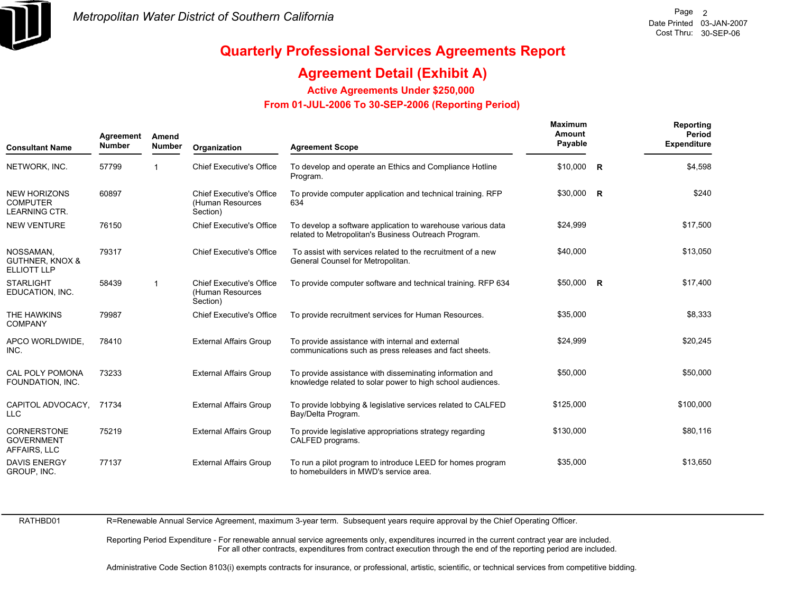

## **Agreement Detail (Exhibit A)**

**Active Agreements Under \$250,000** 

 **From 01-JUL-2006 To 30-SEP-2006 (Reporting Period)** 

| <b>Consultant Name</b>                                         | Agreement<br><b>Number</b> | Amend<br><b>Number</b>  | Organization                                                    | <b>Agreement Scope</b>                                                                                                 | <b>Maximum</b><br>Amount<br>Payable | Reporting<br>Period<br><b>Expenditure</b> |
|----------------------------------------------------------------|----------------------------|-------------------------|-----------------------------------------------------------------|------------------------------------------------------------------------------------------------------------------------|-------------------------------------|-------------------------------------------|
| NETWORK, INC.                                                  | 57799                      |                         | <b>Chief Executive's Office</b>                                 | To develop and operate an Ethics and Compliance Hotline<br>Program.                                                    | $$10,000$ R                         | \$4,598                                   |
| <b>NEW HORIZONS</b><br><b>COMPUTER</b><br><b>LEARNING CTR.</b> | 60897                      |                         | <b>Chief Executive's Office</b><br>(Human Resources<br>Section) | To provide computer application and technical training. RFP<br>634                                                     | \$30,000 R                          | \$240                                     |
| <b>NEW VENTURE</b>                                             | 76150                      |                         | <b>Chief Executive's Office</b>                                 | To develop a software application to warehouse various data<br>related to Metropolitan's Business Outreach Program.    | \$24,999                            | \$17,500                                  |
| NOSSAMAN.<br><b>GUTHNER, KNOX &amp;</b><br><b>ELLIOTT LLP</b>  | 79317                      |                         | <b>Chief Executive's Office</b>                                 | To assist with services related to the recruitment of a new<br>General Counsel for Metropolitan.                       | \$40,000                            | \$13,050                                  |
| <b>STARLIGHT</b><br>EDUCATION, INC.                            | 58439                      | $\overline{\mathbf{1}}$ | <b>Chief Executive's Office</b><br>(Human Resources<br>Section) | To provide computer software and technical training. RFP 634                                                           | \$50,000 R                          | \$17,400                                  |
| THE HAWKINS<br>COMPANY                                         | 79987                      |                         | <b>Chief Executive's Office</b>                                 | To provide recruitment services for Human Resources.                                                                   | \$35,000                            | \$8,333                                   |
| APCO WORLDWIDE,<br>INC.                                        | 78410                      |                         | <b>External Affairs Group</b>                                   | To provide assistance with internal and external<br>communications such as press releases and fact sheets.             | \$24,999                            | \$20,245                                  |
| <b>CAL POLY POMONA</b><br>FOUNDATION, INC.                     | 73233                      |                         | <b>External Affairs Group</b>                                   | To provide assistance with disseminating information and<br>knowledge related to solar power to high school audiences. | \$50,000                            | \$50,000                                  |
| CAPITOL ADVOCACY.<br><b>LLC</b>                                | 71734                      |                         | <b>External Affairs Group</b>                                   | To provide lobbying & legislative services related to CALFED<br>Bay/Delta Program.                                     | \$125,000                           | \$100,000                                 |
| <b>CORNERSTONE</b><br><b>GOVERNMENT</b><br>AFFAIRS, LLC        | 75219                      |                         | <b>External Affairs Group</b>                                   | To provide legislative appropriations strategy regarding<br>CALFED programs.                                           | \$130,000                           | \$80,116                                  |
| <b>DAVIS ENERGY</b><br>GROUP, INC.                             | 77137                      |                         | <b>External Affairs Group</b>                                   | To run a pilot program to introduce LEED for homes program<br>to homebuilders in MWD's service area.                   | \$35,000                            | \$13,650                                  |

RATHBD01

R=Renewable Annual Service Agreement, maximum 3-year term. Subsequent years require approval by the Chief Operating Officer.

Reporting Period Expenditure - For renewable annual service agreements only, expenditures incurred in the current contract year are included. For all other contracts, expenditures from contract execution through the end of the reporting period are included.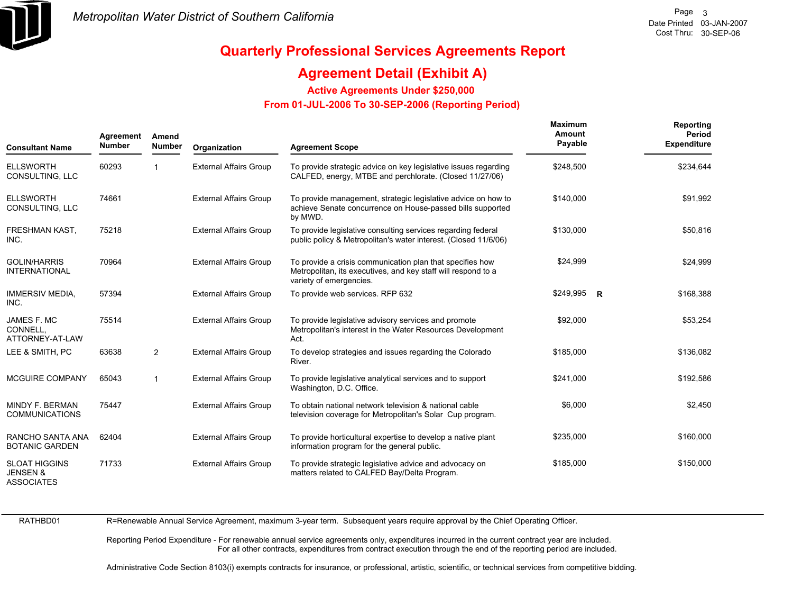

## **Agreement Detail (Exhibit A)**

**Active Agreements Under \$250,000** 

 **From 01-JUL-2006 To 30-SEP-2006 (Reporting Period)** 

| <b>Consultant Name</b>                                           | Agreement<br><b>Number</b> | Amend<br><b>Number</b> | Organization                  | <b>Agreement Scope</b>                                                                                                                                | Maximum<br>Amount<br>Payable | Reporting<br>Period<br><b>Expenditure</b> |
|------------------------------------------------------------------|----------------------------|------------------------|-------------------------------|-------------------------------------------------------------------------------------------------------------------------------------------------------|------------------------------|-------------------------------------------|
| <b>ELLSWORTH</b><br>CONSULTING, LLC                              | 60293                      |                        | <b>External Affairs Group</b> | To provide strategic advice on key legislative issues regarding<br>CALFED, energy, MTBE and perchlorate. (Closed 11/27/06)                            | \$248,500                    | \$234,644                                 |
| <b>ELLSWORTH</b><br>CONSULTING, LLC                              | 74661                      |                        | <b>External Affairs Group</b> | To provide management, strategic legislative advice on how to<br>achieve Senate concurrence on House-passed bills supported<br>by MWD.                | \$140,000                    | \$91,992                                  |
| FRESHMAN KAST,<br>INC.                                           | 75218                      |                        | <b>External Affairs Group</b> | To provide legislative consulting services regarding federal<br>public policy & Metropolitan's water interest. (Closed 11/6/06)                       | \$130,000                    | \$50,816                                  |
| <b>GOLIN/HARRIS</b><br><b>INTERNATIONAL</b>                      | 70964                      |                        | <b>External Affairs Group</b> | To provide a crisis communication plan that specifies how<br>Metropolitan, its executives, and key staff will respond to a<br>variety of emergencies. | \$24,999                     | \$24,999                                  |
| <b>IMMERSIV MEDIA,</b><br>INC.                                   | 57394                      |                        | <b>External Affairs Group</b> | To provide web services. RFP 632                                                                                                                      | \$249,995 R                  | \$168,388                                 |
| JAMES F. MC<br>CONNELL.<br>ATTORNEY-AT-LAW                       | 75514                      |                        | <b>External Affairs Group</b> | To provide legislative advisory services and promote<br>Metropolitan's interest in the Water Resources Development<br>Act.                            | \$92,000                     | \$53,254                                  |
| LEE & SMITH, PC                                                  | 63638                      | $\overline{2}$         | <b>External Affairs Group</b> | To develop strategies and issues regarding the Colorado<br>River.                                                                                     | \$185,000                    | \$136,082                                 |
| <b>MCGUIRE COMPANY</b>                                           | 65043                      | $\mathbf{1}$           | <b>External Affairs Group</b> | To provide legislative analytical services and to support<br>Washington, D.C. Office.                                                                 | \$241,000                    | \$192,586                                 |
| MINDY F. BERMAN<br><b>COMMUNICATIONS</b>                         | 75447                      |                        | <b>External Affairs Group</b> | To obtain national network television & national cable<br>television coverage for Metropolitan's Solar Cup program.                                   | \$6,000                      | \$2,450                                   |
| RANCHO SANTA ANA<br><b>BOTANIC GARDEN</b>                        | 62404                      |                        | <b>External Affairs Group</b> | To provide horticultural expertise to develop a native plant<br>information program for the general public.                                           | \$235,000                    | \$160,000                                 |
| <b>SLOAT HIGGINS</b><br><b>JENSEN &amp;</b><br><b>ASSOCIATES</b> | 71733                      |                        | <b>External Affairs Group</b> | To provide strategic legislative advice and advocacy on<br>matters related to CALFED Bay/Delta Program.                                               | \$185,000                    | \$150,000                                 |

RATHBD01

R=Renewable Annual Service Agreement, maximum 3-year term. Subsequent years require approval by the Chief Operating Officer.

Reporting Period Expenditure - For renewable annual service agreements only, expenditures incurred in the current contract year are included. For all other contracts, expenditures from contract execution through the end of the reporting period are included.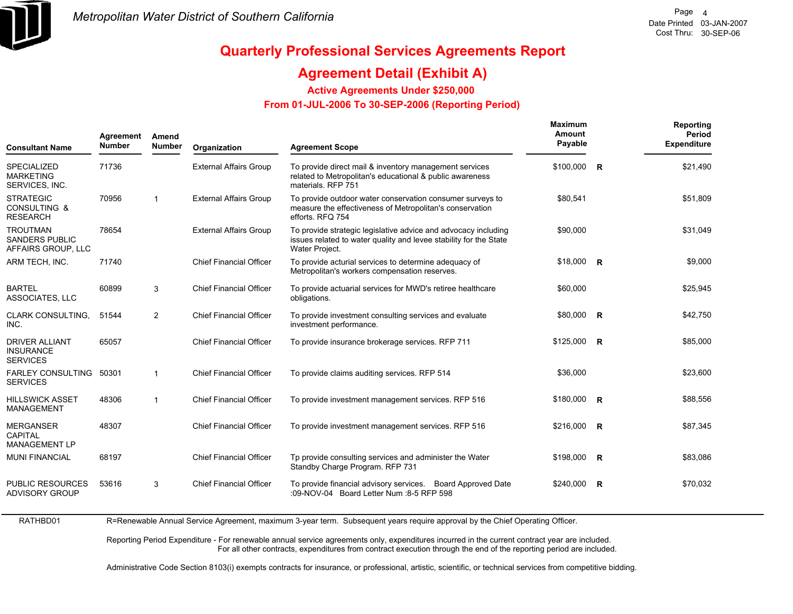

RATHBD01

## **Quarterly Professional Services Agreements Report**

## **Agreement Detail (Exhibit A)**

**Active Agreements Under \$250,000** 

 **From 01-JUL-2006 To 30-SEP-2006 (Reporting Period)** 

| <b>Consultant Name</b>                                         | Agreement<br><b>Number</b> | Amend<br><b>Number</b> | Organization                   | <b>Agreement Scope</b>                                                                                                                                | Maximum<br>Amount<br>Payable |              | Reporting<br><b>Period</b><br><b>Expenditure</b> |
|----------------------------------------------------------------|----------------------------|------------------------|--------------------------------|-------------------------------------------------------------------------------------------------------------------------------------------------------|------------------------------|--------------|--------------------------------------------------|
| <b>SPECIALIZED</b><br><b>MARKETING</b><br>SERVICES, INC.       | 71736                      |                        | <b>External Affairs Group</b>  | To provide direct mail & inventory management services<br>related to Metropolitan's educational & public awareness<br>materials. RFP 751              | \$100,000                    | $\mathsf{R}$ | \$21,490                                         |
| <b>STRATEGIC</b><br><b>CONSULTING &amp;</b><br><b>RESEARCH</b> | 70956                      | $\mathbf{1}$           | <b>External Affairs Group</b>  | To provide outdoor water conservation consumer surveys to<br>measure the effectiveness of Metropolitan's conservation<br>efforts. RFQ 754             | \$80,541                     |              | \$51,809                                         |
| <b>TROUTMAN</b><br><b>SANDERS PUBLIC</b><br>AFFAIRS GROUP, LLC | 78654                      |                        | <b>External Affairs Group</b>  | To provide strategic legislative advice and advocacy including<br>issues related to water quality and levee stability for the State<br>Water Project. | \$90,000                     |              | \$31,049                                         |
| ARM TECH, INC.                                                 | 71740                      |                        | <b>Chief Financial Officer</b> | To provide acturial services to determine adequacy of<br>Metropolitan's workers compensation reserves.                                                | $$18,000$ R                  |              | \$9,000                                          |
| <b>BARTEL</b><br><b>ASSOCIATES, LLC</b>                        | 60899                      | 3                      | <b>Chief Financial Officer</b> | To provide actuarial services for MWD's retiree healthcare<br>obligations.                                                                            | \$60,000                     |              | \$25,945                                         |
| <b>CLARK CONSULTING.</b><br>INC.                               | 51544                      | $\overline{2}$         | <b>Chief Financial Officer</b> | To provide investment consulting services and evaluate<br>investment performance.                                                                     | \$80,000 R                   |              | \$42,750                                         |
| <b>DRIVER ALLIANT</b><br><b>INSURANCE</b><br><b>SERVICES</b>   | 65057                      |                        | <b>Chief Financial Officer</b> | To provide insurance brokerage services. RFP 711                                                                                                      | $$125,000$ R                 |              | \$85,000                                         |
| FARLEY CONSULTING 50301<br><b>SERVICES</b>                     |                            | $\mathbf{1}$           | <b>Chief Financial Officer</b> | To provide claims auditing services. RFP 514                                                                                                          | \$36,000                     |              | \$23,600                                         |
| <b>HILLSWICK ASSET</b><br><b>MANAGEMENT</b>                    | 48306                      | $\mathbf{1}$           | <b>Chief Financial Officer</b> | To provide investment management services. RFP 516                                                                                                    | $$180,000$ R                 |              | \$88,556                                         |
| <b>MERGANSER</b><br><b>CAPITAL</b><br>MANAGEMENT LP            | 48307                      |                        | <b>Chief Financial Officer</b> | To provide investment management services. RFP 516                                                                                                    | \$216,000 R                  |              | \$87,345                                         |
| <b>MUNI FINANCIAL</b>                                          | 68197                      |                        | <b>Chief Financial Officer</b> | To provide consulting services and administer the Water<br>Standby Charge Program. RFP 731                                                            | $$198,000$ R                 |              | \$83,086                                         |
| <b>PUBLIC RESOURCES</b><br><b>ADVISORY GROUP</b>               | 53616                      | 3                      | <b>Chief Financial Officer</b> | To provide financial advisory services.<br><b>Board Approved Date</b><br>:09-NOV-04 Board Letter Num :8-5 RFP 598                                     | $$240,000$ R                 |              | \$70,032                                         |
|                                                                |                            |                        |                                |                                                                                                                                                       |                              |              |                                                  |

R=Renewable Annual Service Agreement, maximum 3-year term. Subsequent years require approval by the Chief Operating Officer.

Reporting Period Expenditure - For renewable annual service agreements only, expenditures incurred in the current contract year are included. For all other contracts, expenditures from contract execution through the end of the reporting period are included.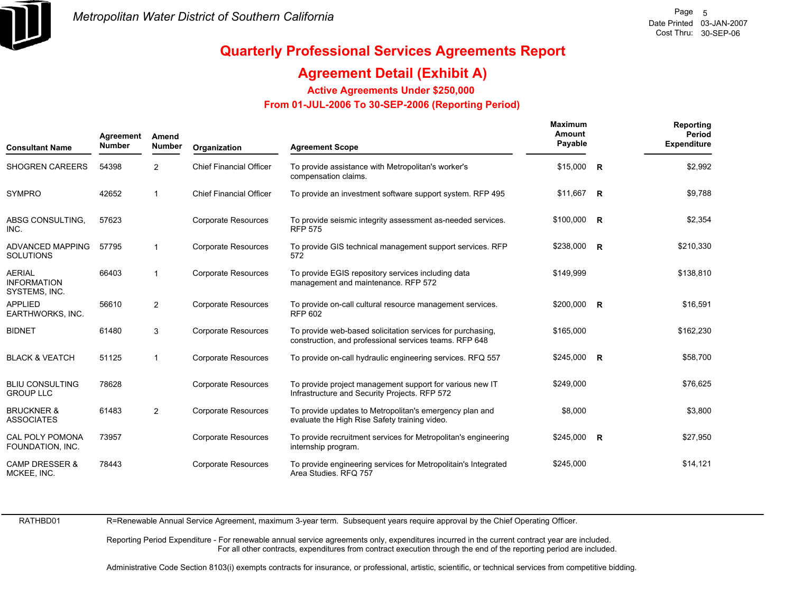

## **Agreement Detail (Exhibit A)**

**Active Agreements Under \$250,000** 

 **From 01-JUL-2006 To 30-SEP-2006 (Reporting Period)** 

| <b>Consultant Name</b>                               | Agreement<br><b>Number</b> | Amend<br><b>Number</b> | Organization                   | <b>Agreement Scope</b>                                                                                               | <b>Maximum</b><br>Amount<br>Payable | Reporting<br>Period<br><b>Expenditure</b> |
|------------------------------------------------------|----------------------------|------------------------|--------------------------------|----------------------------------------------------------------------------------------------------------------------|-------------------------------------|-------------------------------------------|
| <b>SHOGREN CAREERS</b>                               | 54398                      | $\overline{2}$         | <b>Chief Financial Officer</b> | To provide assistance with Metropolitan's worker's<br>compensation claims.                                           | $$15,000$ R                         | \$2,992                                   |
| <b>SYMPRO</b>                                        | 42652                      | $\mathbf{1}$           | <b>Chief Financial Officer</b> | To provide an investment software support system. RFP 495                                                            | \$11,667 R                          | \$9,788                                   |
| ABSG CONSULTING.<br>INC.                             | 57623                      |                        | <b>Corporate Resources</b>     | To provide seismic integrity assessment as-needed services.<br><b>RFP 575</b>                                        | \$100,000 R                         | \$2,354                                   |
| <b>ADVANCED MAPPING</b><br><b>SOLUTIONS</b>          | 57795                      | $\mathbf{1}$           | <b>Corporate Resources</b>     | To provide GIS technical management support services. RFP<br>572                                                     | $$238,000$ R                        | \$210,330                                 |
| <b>AERIAL</b><br><b>INFORMATION</b><br>SYSTEMS, INC. | 66403                      | $\mathbf{1}$           | <b>Corporate Resources</b>     | To provide EGIS repository services including data<br>management and maintenance. RFP 572                            | \$149,999                           | \$138,810                                 |
| <b>APPLIED</b><br>EARTHWORKS, INC.                   | 56610                      | $\overline{2}$         | Corporate Resources            | To provide on-call cultural resource management services.<br><b>RFP 602</b>                                          | \$200,000 R                         | \$16,591                                  |
| <b>BIDNET</b>                                        | 61480                      | 3                      | <b>Corporate Resources</b>     | To provide web-based solicitation services for purchasing,<br>construction, and professional services teams. RFP 648 | \$165,000                           | \$162,230                                 |
| <b>BLACK &amp; VEATCH</b>                            | 51125                      | $\mathbf{1}$           | <b>Corporate Resources</b>     | To provide on-call hydraulic engineering services. RFQ 557                                                           | $$245,000$ R                        | \$58,700                                  |
| <b>BLIU CONSULTING</b><br><b>GROUP LLC</b>           | 78628                      |                        | <b>Corporate Resources</b>     | To provide project management support for various new IT<br>Infrastructure and Security Projects. RFP 572            | \$249,000                           | \$76,625                                  |
| <b>BRUCKNER &amp;</b><br><b>ASSOCIATES</b>           | 61483                      | $\overline{2}$         | Corporate Resources            | To provide updates to Metropolitan's emergency plan and<br>evaluate the High Rise Safety training video.             | \$8,000                             | \$3,800                                   |
| CAL POLY POMONA<br>FOUNDATION, INC.                  | 73957                      |                        | <b>Corporate Resources</b>     | To provide recruitment services for Metropolitan's engineering<br>internship program.                                | $$245,000$ R                        | \$27,950                                  |
| <b>CAMP DRESSER &amp;</b><br>MCKEE, INC.             | 78443                      |                        | <b>Corporate Resources</b>     | To provide engineering services for Metropolitain's Integrated<br>Area Studies. RFQ 757                              | \$245,000                           | \$14,121                                  |

RATHBD01

R=Renewable Annual Service Agreement, maximum 3-year term. Subsequent years require approval by the Chief Operating Officer.

Reporting Period Expenditure - For renewable annual service agreements only, expenditures incurred in the current contract year are included. For all other contracts, expenditures from contract execution through the end of the reporting period are included.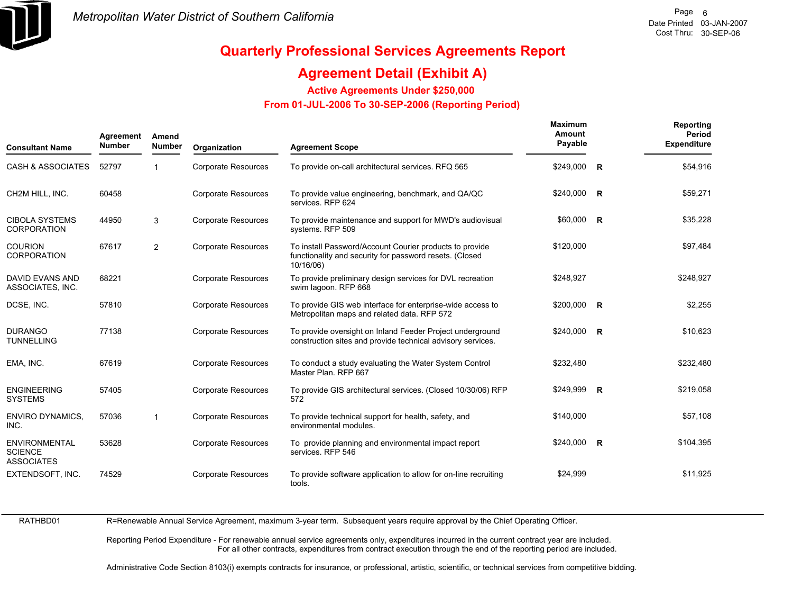

## **Agreement Detail (Exhibit A)**

**Active Agreements Under \$250,000** 

 **From 01-JUL-2006 To 30-SEP-2006 (Reporting Period)** 

| <b>Consultant Name</b>                                      | Agreement<br><b>Number</b> | Amend<br><b>Number</b> | Organization               | <b>Agreement Scope</b>                                                                                                          | Maximum<br>Amount<br>Payable | Reporting<br>Period<br><b>Expenditure</b> |
|-------------------------------------------------------------|----------------------------|------------------------|----------------------------|---------------------------------------------------------------------------------------------------------------------------------|------------------------------|-------------------------------------------|
| <b>CASH &amp; ASSOCIATES</b>                                | 52797                      | -1                     | <b>Corporate Resources</b> | To provide on-call architectural services. RFQ 565                                                                              | \$249,000 R                  | \$54,916                                  |
| CH2M HILL. INC.                                             | 60458                      |                        | <b>Corporate Resources</b> | To provide value engineering, benchmark, and QA/QC<br>services. RFP 624                                                         | \$240,000 R                  | \$59,271                                  |
| <b>CIBOLA SYSTEMS</b><br><b>CORPORATION</b>                 | 44950                      | 3                      | <b>Corporate Resources</b> | To provide maintenance and support for MWD's audiovisual<br>systems. RFP 509                                                    | $$60,000$ R                  | \$35,228                                  |
| <b>COURION</b><br><b>CORPORATION</b>                        | 67617                      | $\overline{2}$         | <b>Corporate Resources</b> | To install Password/Account Courier products to provide<br>functionality and security for password resets. (Closed<br>10/16/06) | \$120,000                    | \$97,484                                  |
| <b>DAVID EVANS AND</b><br>ASSOCIATES, INC.                  | 68221                      |                        | <b>Corporate Resources</b> | To provide preliminary design services for DVL recreation<br>swim lagoon. RFP 668                                               | \$248,927                    | \$248,927                                 |
| DCSE, INC.                                                  | 57810                      |                        | <b>Corporate Resources</b> | To provide GIS web interface for enterprise-wide access to<br>Metropolitan maps and related data. RFP 572                       | $$200,000$ R                 | \$2,255                                   |
| <b>DURANGO</b><br><b>TUNNELLING</b>                         | 77138                      |                        | <b>Corporate Resources</b> | To provide oversight on Inland Feeder Project underground<br>construction sites and provide technical advisory services.        | \$240,000 R                  | \$10,623                                  |
| EMA, INC.                                                   | 67619                      |                        | <b>Corporate Resources</b> | To conduct a study evaluating the Water System Control<br>Master Plan, RFP 667                                                  | \$232,480                    | \$232,480                                 |
| <b>ENGINEERING</b><br><b>SYSTEMS</b>                        | 57405                      |                        | <b>Corporate Resources</b> | To provide GIS architectural services. (Closed 10/30/06) RFP<br>572                                                             | \$249,999 R                  | \$219,058                                 |
| <b>ENVIRO DYNAMICS,</b><br>INC.                             | 57036                      | -1                     | <b>Corporate Resources</b> | To provide technical support for health, safety, and<br>environmental modules.                                                  | \$140,000                    | \$57,108                                  |
| <b>ENVIRONMENTAL</b><br><b>SCIENCE</b><br><b>ASSOCIATES</b> | 53628                      |                        | <b>Corporate Resources</b> | To provide planning and environmental impact report<br>services. RFP 546                                                        | $$240,000$ R                 | \$104,395                                 |
| EXTENDSOFT, INC.                                            | 74529                      |                        | Corporate Resources        | To provide software application to allow for on-line recruiting<br>tools.                                                       | \$24,999                     | \$11,925                                  |

RATHBD01

R=Renewable Annual Service Agreement, maximum 3-year term. Subsequent years require approval by the Chief Operating Officer.

Reporting Period Expenditure - For renewable annual service agreements only, expenditures incurred in the current contract year are included. For all other contracts, expenditures from contract execution through the end of the reporting period are included.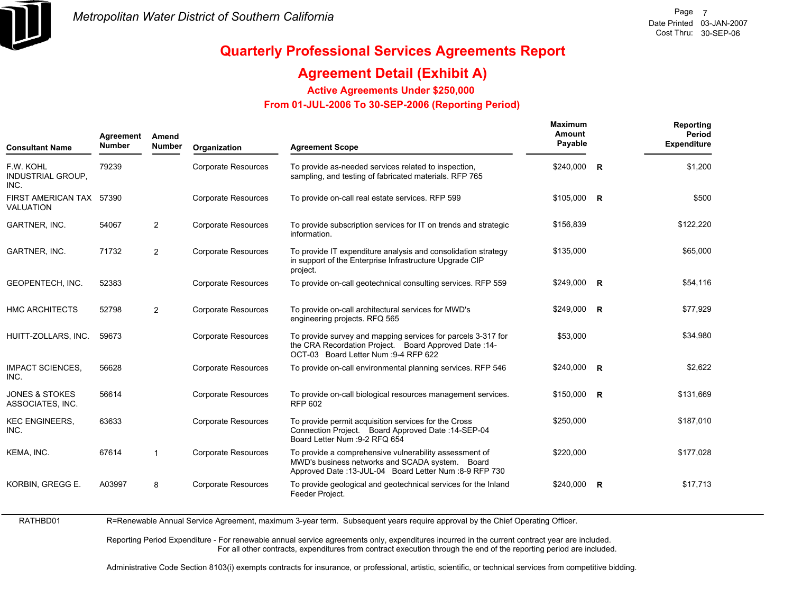

## **Agreement Detail (Exhibit A)**

**Active Agreements Under \$250,000** 

 **From 01-JUL-2006 To 30-SEP-2006 (Reporting Period)** 

| <b>Consultant Name</b>                        | Agreement<br><b>Number</b> | Amend<br><b>Number</b> | Organization               | <b>Agreement Scope</b>                                                                                                                                               | Maximum<br>Amount<br>Payable |              | Reporting<br>Period<br><b>Expenditure</b> |
|-----------------------------------------------|----------------------------|------------------------|----------------------------|----------------------------------------------------------------------------------------------------------------------------------------------------------------------|------------------------------|--------------|-------------------------------------------|
| F.W. KOHL<br><b>INDUSTRIAL GROUP.</b><br>INC. | 79239                      |                        | <b>Corporate Resources</b> | To provide as-needed services related to inspection,<br>sampling, and testing of fabricated materials. RFP 765                                                       | \$240,000                    | $\mathsf{R}$ | \$1,200                                   |
| FIRST AMERICAN TAX 57390<br>VALUATION         |                            |                        | <b>Corporate Resources</b> | To provide on-call real estate services. RFP 599                                                                                                                     | $$105,000$ R                 |              | \$500                                     |
| GARTNER, INC.                                 | 54067                      | $\overline{2}$         | <b>Corporate Resources</b> | To provide subscription services for IT on trends and strategic<br>information.                                                                                      | \$156,839                    |              | \$122,220                                 |
| GARTNER, INC.                                 | 71732                      | $\overline{2}$         | <b>Corporate Resources</b> | To provide IT expenditure analysis and consolidation strategy<br>in support of the Enterprise Infrastructure Upgrade CIP<br>project.                                 | \$135,000                    |              | \$65,000                                  |
| GEOPENTECH, INC.                              | 52383                      |                        | <b>Corporate Resources</b> | To provide on-call geotechnical consulting services. RFP 559                                                                                                         | \$249,000 R                  |              | \$54,116                                  |
| <b>HMC ARCHITECTS</b>                         | 52798                      | $\overline{2}$         | <b>Corporate Resources</b> | To provide on-call architectural services for MWD's<br>engineering projects. RFQ 565                                                                                 | \$249,000 R                  |              | \$77,929                                  |
| HUITT-ZOLLARS, INC.                           | 59673                      |                        | <b>Corporate Resources</b> | To provide survey and mapping services for parcels 3-317 for<br>the CRA Recordation Project. Board Approved Date: 14-<br>OCT-03 Board Letter Num : 9-4 RFP 622       | \$53,000                     |              | \$34,980                                  |
| <b>IMPACT SCIENCES,</b><br>INC.               | 56628                      |                        | <b>Corporate Resources</b> | To provide on-call environmental planning services. RFP 546                                                                                                          | \$240,000 R                  |              | \$2,622                                   |
| <b>JONES &amp; STOKES</b><br>ASSOCIATES, INC. | 56614                      |                        | <b>Corporate Resources</b> | To provide on-call biological resources management services.<br><b>RFP 602</b>                                                                                       | $$150,000$ R                 |              | \$131,669                                 |
| <b>KEC ENGINEERS,</b><br>INC.                 | 63633                      |                        | <b>Corporate Resources</b> | To provide permit acquisition services for the Cross<br>Connection Project. Board Approved Date: 14-SEP-04<br>Board Letter Num : 9-2 RFQ 654                         | \$250,000                    |              | \$187,010                                 |
| KEMA, INC.                                    | 67614                      | $\mathbf{1}$           | Corporate Resources        | To provide a comprehensive vulnerability assessment of<br>MWD's business networks and SCADA system. Board<br>Approved Date: 13-JUL-04 Board Letter Num : 8-9 RFP 730 | \$220,000                    |              | \$177,028                                 |
| KORBIN, GREGG E.                              | A03997                     | 8                      | <b>Corporate Resources</b> | To provide geological and geotechnical services for the Inland<br>Feeder Project.                                                                                    | \$240,000 R                  |              | \$17,713                                  |
|                                               |                            |                        |                            |                                                                                                                                                                      |                              |              |                                           |

RATHBD01 R=Renewable Annual Service Agreement, maximum 3-year term. Subsequent years require approval by the Chief Operating Officer.

> Reporting Period Expenditure - For renewable annual service agreements only, expenditures incurred in the current contract year are included. For all other contracts, expenditures from contract execution through the end of the reporting period are included.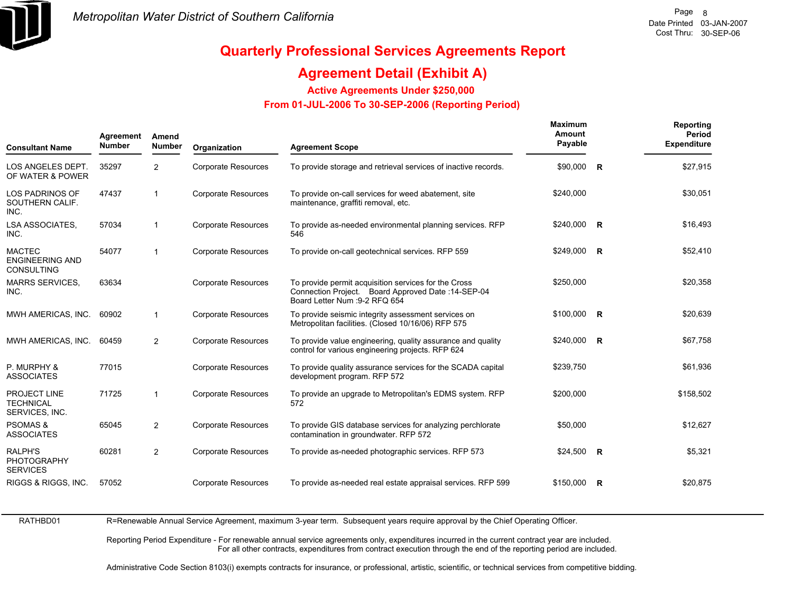

## **Agreement Detail (Exhibit A)**

**Active Agreements Under \$250,000** 

 **From 01-JUL-2006 To 30-SEP-2006 (Reporting Period)** 

| <b>Consultant Name</b>                                       | Agreement<br><b>Number</b> | Amend<br><b>Number</b> | Organization               | <b>Agreement Scope</b>                                                                                                                       | Maximum<br>Amount<br>Payable | Reporting<br>Period<br><b>Expenditure</b> |
|--------------------------------------------------------------|----------------------------|------------------------|----------------------------|----------------------------------------------------------------------------------------------------------------------------------------------|------------------------------|-------------------------------------------|
| LOS ANGELES DEPT.<br>OF WATER & POWER                        | 35297                      | $\overline{2}$         | <b>Corporate Resources</b> | To provide storage and retrieval services of inactive records.                                                                               | $$90,000$ R                  | \$27,915                                  |
| LOS PADRINOS OF<br>SOUTHERN CALIF.<br>INC.                   | 47437                      | 1                      | <b>Corporate Resources</b> | To provide on-call services for weed abatement, site<br>maintenance, graffiti removal, etc.                                                  | \$240,000                    | \$30,051                                  |
| LSA ASSOCIATES,<br>INC.                                      | 57034                      | $\mathbf{1}$           | <b>Corporate Resources</b> | To provide as-needed environmental planning services. RFP<br>546                                                                             | \$240,000 R                  | \$16,493                                  |
| <b>MACTEC</b><br><b>ENGINEERING AND</b><br><b>CONSULTING</b> | 54077                      | 1                      | <b>Corporate Resources</b> | To provide on-call geotechnical services. RFP 559                                                                                            | $$249,000$ R                 | \$52,410                                  |
| <b>MARRS SERVICES.</b><br>INC.                               | 63634                      |                        | <b>Corporate Resources</b> | To provide permit acquisition services for the Cross<br>Connection Project. Board Approved Date: 14-SEP-04<br>Board Letter Num : 9-2 RFQ 654 | \$250,000                    | \$20,358                                  |
| MWH AMERICAS, INC.                                           | 60902                      | $\mathbf{1}$           | <b>Corporate Resources</b> | To provide seismic integrity assessment services on<br>Metropolitan facilities. (Closed 10/16/06) RFP 575                                    | $$100,000$ R                 | \$20,639                                  |
| MWH AMERICAS, INC.                                           | 60459                      | $\overline{2}$         | <b>Corporate Resources</b> | To provide value engineering, quality assurance and quality<br>control for various engineering projects. RFP 624                             | \$240,000 R                  | \$67,758                                  |
| P. MURPHY &<br><b>ASSOCIATES</b>                             | 77015                      |                        | <b>Corporate Resources</b> | To provide quality assurance services for the SCADA capital<br>development program. RFP 572                                                  | \$239,750                    | \$61,936                                  |
| PROJECT LINE<br><b>TECHNICAL</b><br>SERVICES, INC.           | 71725                      | $\mathbf{1}$           | <b>Corporate Resources</b> | To provide an upgrade to Metropolitan's EDMS system. RFP<br>572                                                                              | \$200,000                    | \$158,502                                 |
| <b>PSOMAS &amp;</b><br><b>ASSOCIATES</b>                     | 65045                      | $\overline{2}$         | <b>Corporate Resources</b> | To provide GIS database services for analyzing perchlorate<br>contamination in groundwater. RFP 572                                          | \$50,000                     | \$12,627                                  |
| <b>RALPH'S</b><br>PHOTOGRAPHY<br><b>SERVICES</b>             | 60281                      | 2                      | <b>Corporate Resources</b> | To provide as-needed photographic services. RFP 573                                                                                          | $$24,500$ R                  | \$5,321                                   |
| RIGGS & RIGGS, INC.                                          | 57052                      |                        | <b>Corporate Resources</b> | To provide as-needed real estate appraisal services. RFP 599                                                                                 | \$150,000 R                  | \$20,875                                  |

RATHBD01

R=Renewable Annual Service Agreement, maximum 3-year term. Subsequent years require approval by the Chief Operating Officer.

Reporting Period Expenditure - For renewable annual service agreements only, expenditures incurred in the current contract year are included. For all other contracts, expenditures from contract execution through the end of the reporting period are included.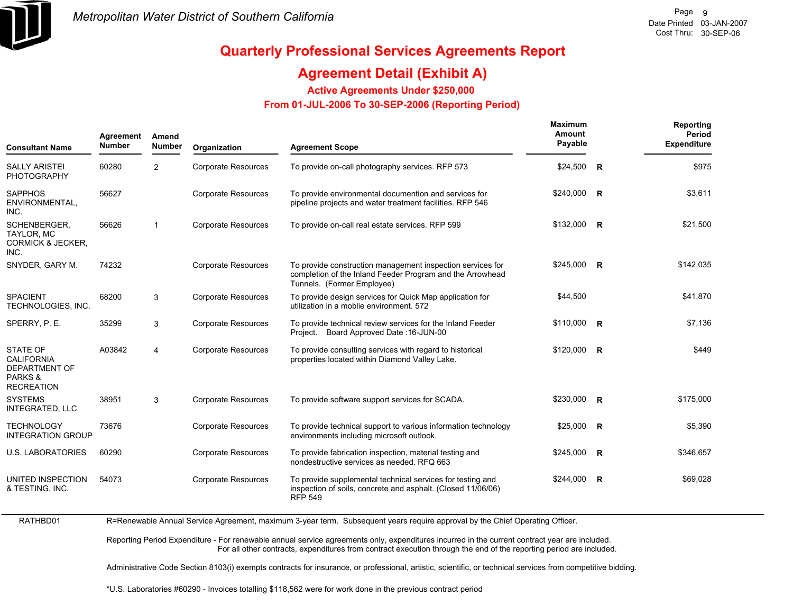

## **Agreement Detail (Exhibit A)**

**Active Agreements Under \$250,000** 

 **From 01-JUL-2006 To 30-SEP-2006 (Reporting Period)** 

| <b>Consultant Name</b>                                                                       | Agreement<br><b>Number</b> | Amend<br><b>Number</b> | Organization               | <b>Agreement Scope</b>                                                                                                                                | Maximum<br>Amount<br>Payable |                | Reporting<br>Period<br><b>Expenditure</b> |
|----------------------------------------------------------------------------------------------|----------------------------|------------------------|----------------------------|-------------------------------------------------------------------------------------------------------------------------------------------------------|------------------------------|----------------|-------------------------------------------|
| <b>SALLY ARISTEI</b><br><b>PHOTOGRAPHY</b>                                                   | 60280                      | $\overline{2}$         | <b>Corporate Resources</b> | To provide on-call photography services. RFP 573                                                                                                      | \$24,500                     | $\overline{R}$ | \$975                                     |
| <b>SAPPHOS</b><br>ENVIRONMENTAL,<br>INC.                                                     | 56627                      |                        | <b>Corporate Resources</b> | To provide environmental documention and services for<br>pipeline projects and water treatment facilities. RFP 546                                    | \$240,000 R                  |                | \$3,611                                   |
| SCHENBERGER.<br>TAYLOR, MC<br><b>CORMICK &amp; JECKER,</b><br>INC.                           | 56626                      | $\mathbf{1}$           | Corporate Resources        | To provide on-call real estate services. RFP 599                                                                                                      | \$132,000 R                  |                | \$21,500                                  |
| SNYDER, GARY M.                                                                              | 74232                      |                        | <b>Corporate Resources</b> | To provide construction management inspection services for<br>completion of the Inland Feeder Program and the Arrowhead<br>Tunnels. (Former Employee) | $$245,000$ R                 |                | \$142,035                                 |
| <b>SPACIENT</b><br>TECHNOLOGIES, INC.                                                        | 68200                      | 3                      | <b>Corporate Resources</b> | To provide design services for Quick Map application for<br>utilization in a moblie environment. 572                                                  | \$44,500                     |                | \$41,870                                  |
| SPERRY, P. E.                                                                                | 35299                      | 3                      | <b>Corporate Resources</b> | To provide technical review services for the Inland Feeder<br>Project. Board Approved Date: 16-JUN-00                                                 | \$110,000 R                  |                | \$7,136                                   |
| <b>STATE OF</b><br><b>CALIFORNIA</b><br><b>DEPARTMENT OF</b><br>PARKS &<br><b>RECREATION</b> | A03842                     | 4                      | <b>Corporate Resources</b> | To provide consulting services with regard to historical<br>properties located within Diamond Valley Lake.                                            | $$120,000$ R                 |                | \$449                                     |
| <b>SYSTEMS</b><br><b>INTEGRATED, LLC</b>                                                     | 38951                      | 3                      | <b>Corporate Resources</b> | To provide software support services for SCADA.                                                                                                       | \$230,000 R                  |                | \$175,000                                 |
| <b>TECHNOLOGY</b><br><b>INTEGRATION GROUP</b>                                                | 73676                      |                        | <b>Corporate Resources</b> | To provide technical support to various information technology<br>environments including microsoft outlook.                                           | \$25,000                     | $\overline{R}$ | \$5,390                                   |
| <b>U.S. LABORATORIES</b>                                                                     | 60290                      |                        | <b>Corporate Resources</b> | To provide fabrication inspection, material testing and<br>nondestructive services as needed. RFQ 663                                                 | \$245,000                    | $\overline{R}$ | \$346,657                                 |
| UNITED INSPECTION<br>& TESTING, INC.                                                         | 54073                      |                        | <b>Corporate Resources</b> | To provide supplemental technical services for testing and<br>inspection of soils, concrete and asphalt. (Closed 11/06/06)<br><b>RFP 549</b>          | \$244,000                    | $\overline{R}$ | \$69,028                                  |

RATHBD01

R=Renewable Annual Service Agreement, maximum 3-year term. Subsequent years require approval by the Chief Operating Officer.

Reporting Period Expenditure - For renewable annual service agreements only, expenditures incurred in the current contract year are included. For all other contracts, expenditures from contract execution through the end of the reporting period are included.

Administrative Code Section 8103(i) exempts contracts for insurance, or professional, artistic, scientific, or technical services from competitive bidding.

\*U.S. Laboratories #60290 - Invoices totalling \$118,562 were for work done in the previous contract period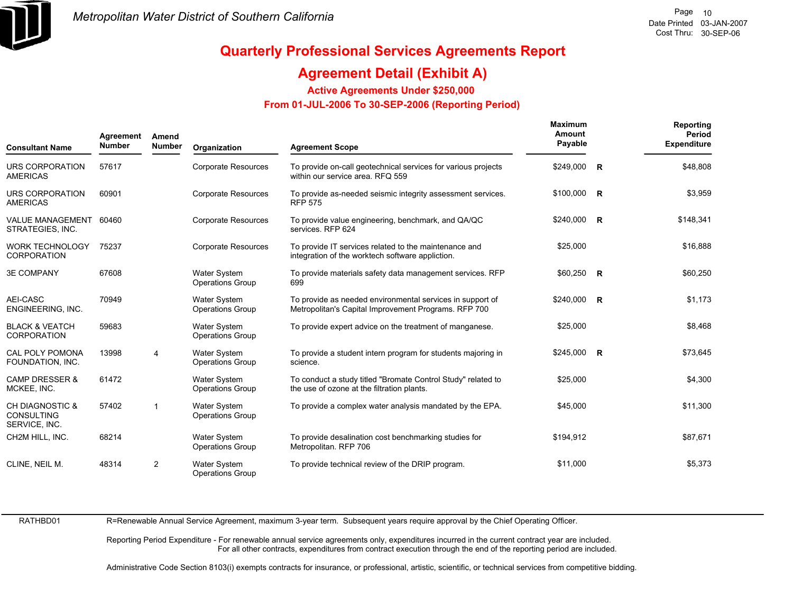

## **Agreement Detail (Exhibit A)**

**Active Agreements Under \$250,000** 

 **From 01-JUL-2006 To 30-SEP-2006 (Reporting Period)** 

| <b>Consultant Name</b>                                           | Agreement<br><b>Number</b> | Amend<br>Number | Organization                                   | <b>Agreement Scope</b>                                                                                            | <b>Maximum</b><br>Amount<br>Payable | Reporting<br>Period<br><b>Expenditure</b> |
|------------------------------------------------------------------|----------------------------|-----------------|------------------------------------------------|-------------------------------------------------------------------------------------------------------------------|-------------------------------------|-------------------------------------------|
| <b>URS CORPORATION</b><br><b>AMERICAS</b>                        | 57617                      |                 | <b>Corporate Resources</b>                     | To provide on-call geotechnical services for various projects<br>within our service area. RFQ 559                 | \$249,000 R                         | \$48,808                                  |
| URS CORPORATION<br><b>AMERICAS</b>                               | 60901                      |                 | Corporate Resources                            | To provide as-needed seismic integrity assessment services.<br><b>RFP 575</b>                                     | \$100,000 R                         | \$3,959                                   |
| <b>VALUE MANAGEMENT</b><br>STRATEGIES, INC.                      | 60460                      |                 | <b>Corporate Resources</b>                     | To provide value engineering, benchmark, and QA/QC<br>services. RFP 624                                           | \$240,000 R                         | \$148,341                                 |
| <b>WORK TECHNOLOGY</b><br><b>CORPORATION</b>                     | 75237                      |                 | <b>Corporate Resources</b>                     | To provide IT services related to the maintenance and<br>integration of the worktech software appliction.         | \$25,000                            | \$16,888                                  |
| <b>3E COMPANY</b>                                                | 67608                      |                 | <b>Water System</b><br><b>Operations Group</b> | To provide materials safety data management services. RFP<br>699                                                  | \$60,250 R                          | \$60,250                                  |
| AEI-CASC<br>ENGINEERING, INC.                                    | 70949                      |                 | Water System<br><b>Operations Group</b>        | To provide as needed environmental services in support of<br>Metropolitan's Capital Improvement Programs. RFP 700 | $$240,000$ R                        | \$1.173                                   |
| <b>BLACK &amp; VEATCH</b><br><b>CORPORATION</b>                  | 59683                      |                 | <b>Water System</b><br><b>Operations Group</b> | To provide expert advice on the treatment of manganese.                                                           | \$25,000                            | \$8,468                                   |
| CAL POLY POMONA<br>FOUNDATION, INC.                              | 13998                      | 4               | <b>Water System</b><br><b>Operations Group</b> | To provide a student intern program for students majoring in<br>science.                                          | $$245,000$ R                        | \$73,645                                  |
| <b>CAMP DRESSER &amp;</b><br>MCKEE, INC.                         | 61472                      |                 | <b>Water System</b><br><b>Operations Group</b> | To conduct a study titled "Bromate Control Study" related to<br>the use of ozone at the filtration plants.        | \$25,000                            | \$4,300                                   |
| <b>CH DIAGNOSTIC &amp;</b><br><b>CONSULTING</b><br>SERVICE, INC. | 57402                      | $\mathbf{1}$    | <b>Water System</b><br><b>Operations Group</b> | To provide a complex water analysis mandated by the EPA.                                                          | \$45,000                            | \$11,300                                  |
| CH2M HILL, INC.                                                  | 68214                      |                 | <b>Water System</b><br><b>Operations Group</b> | To provide desalination cost benchmarking studies for<br>Metropolitan. RFP 706                                    | \$194,912                           | \$87,671                                  |
| CLINE, NEIL M.                                                   | 48314                      | 2               | Water System<br><b>Operations Group</b>        | To provide technical review of the DRIP program.                                                                  | \$11,000                            | \$5,373                                   |

RATHBD01

R=Renewable Annual Service Agreement, maximum 3-year term. Subsequent years require approval by the Chief Operating Officer.

Reporting Period Expenditure - For renewable annual service agreements only, expenditures incurred in the current contract year are included. For all other contracts, expenditures from contract execution through the end of the reporting period are included.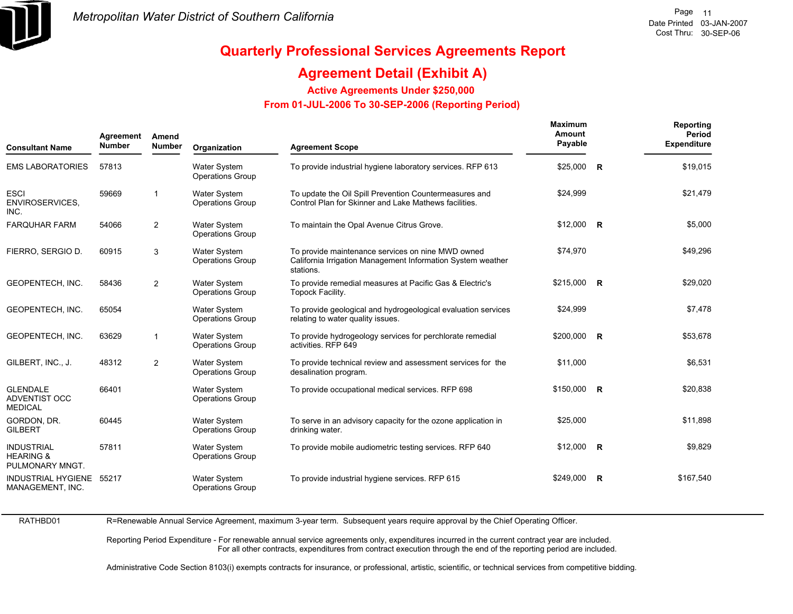

## **Agreement Detail (Exhibit A)**

**Active Agreements Under \$250,000** 

 **From 01-JUL-2006 To 30-SEP-2006 (Reporting Period)** 

| <b>Consultant Name</b>                                       | Agreement<br><b>Number</b> | Amend<br><b>Number</b>  | Organization                                   | <b>Agreement Scope</b>                                                                                                        | Maximum<br>Amount<br>Payable |                | Reporting<br>Period<br><b>Expenditure</b> |
|--------------------------------------------------------------|----------------------------|-------------------------|------------------------------------------------|-------------------------------------------------------------------------------------------------------------------------------|------------------------------|----------------|-------------------------------------------|
| <b>EMS LABORATORIES</b>                                      | 57813                      |                         | <b>Water System</b><br><b>Operations Group</b> | To provide industrial hygiene laboratory services. RFP 613                                                                    | \$25,000                     | $\overline{R}$ | \$19,015                                  |
| <b>ESCI</b><br>ENVIROSERVICES,<br>INC.                       | 59669                      | $\overline{\mathbf{1}}$ | <b>Water System</b><br><b>Operations Group</b> | To update the Oil Spill Prevention Countermeasures and<br>Control Plan for Skinner and Lake Mathews facilities.               | \$24,999                     |                | \$21,479                                  |
| <b>FARQUHAR FARM</b>                                         | 54066                      | 2                       | <b>Water System</b><br><b>Operations Group</b> | To maintain the Opal Avenue Citrus Grove.                                                                                     | $$12,000$ R                  |                | \$5,000                                   |
| FIERRO, SERGIO D.                                            | 60915                      | 3                       | <b>Water System</b><br><b>Operations Group</b> | To provide maintenance services on nine MWD owned<br>California Irrigation Management Information System weather<br>stations. | \$74,970                     |                | \$49,296                                  |
| GEOPENTECH, INC.                                             | 58436                      | $\overline{2}$          | <b>Water System</b><br><b>Operations Group</b> | To provide remedial measures at Pacific Gas & Electric's<br>Topock Facility.                                                  | \$215,000 R                  |                | \$29,020                                  |
| GEOPENTECH, INC.                                             | 65054                      |                         | <b>Water System</b><br><b>Operations Group</b> | To provide geological and hydrogeological evaluation services<br>relating to water quality issues.                            | \$24,999                     |                | \$7,478                                   |
| GEOPENTECH, INC.                                             | 63629                      | $\mathbf{1}$            | <b>Water System</b><br><b>Operations Group</b> | To provide hydrogeology services for perchlorate remedial<br>activities. RFP 649                                              | $$200,000$ R                 |                | \$53,678                                  |
| GILBERT, INC., J.                                            | 48312                      | 2                       | <b>Water System</b><br><b>Operations Group</b> | To provide technical review and assessment services for the<br>desalination program.                                          | \$11,000                     |                | \$6,531                                   |
| <b>GLENDALE</b><br><b>ADVENTIST OCC</b><br><b>MEDICAL</b>    | 66401                      |                         | <b>Water System</b><br><b>Operations Group</b> | To provide occupational medical services. RFP 698                                                                             | \$150,000 R                  |                | \$20,838                                  |
| GORDON, DR.<br><b>GILBERT</b>                                | 60445                      |                         | <b>Water System</b><br><b>Operations Group</b> | To serve in an advisory capacity for the ozone application in<br>drinking water.                                              | \$25,000                     |                | \$11,898                                  |
| <b>INDUSTRIAL</b><br><b>HEARING &amp;</b><br>PULMONARY MNGT. | 57811                      |                         | Water System<br><b>Operations Group</b>        | To provide mobile audiometric testing services. RFP 640                                                                       | $$12,000$ R                  |                | \$9,829                                   |
| INDUSTRIAL HYGIENE 55217<br>MANAGEMENT, INC.                 |                            |                         | <b>Water System</b><br><b>Operations Group</b> | To provide industrial hygiene services. RFP 615                                                                               | \$249,000 R                  |                | \$167,540                                 |

RATHBD01

R=Renewable Annual Service Agreement, maximum 3-year term. Subsequent years require approval by the Chief Operating Officer.

Reporting Period Expenditure - For renewable annual service agreements only, expenditures incurred in the current contract year are included. For all other contracts, expenditures from contract execution through the end of the reporting period are included.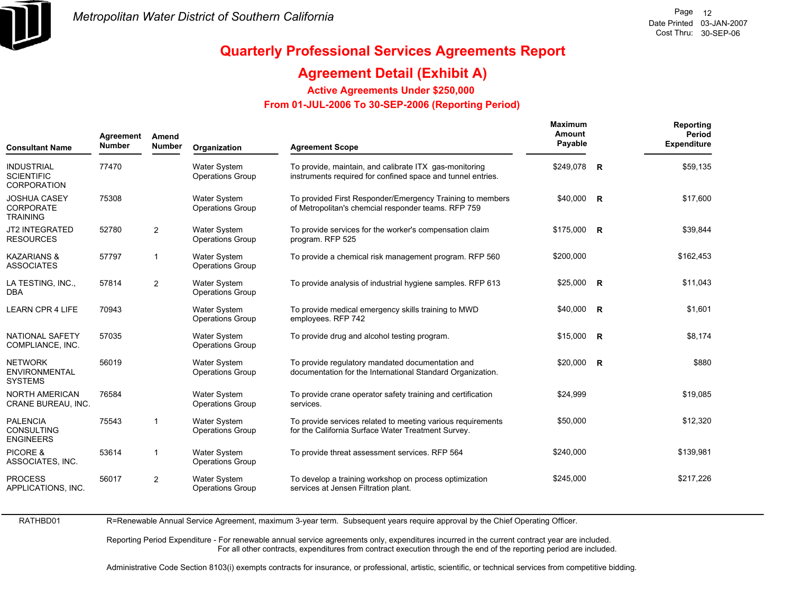

## **Agreement Detail (Exhibit A)**

**Active Agreements Under \$250,000** 

 **From 01-JUL-2006 To 30-SEP-2006 (Reporting Period)** 

| <b>Consultant Name</b>                                       | Agreement<br><b>Number</b> | Amend<br><b>Number</b> | Organization                                   | <b>Agreement Scope</b>                                                                                                | Maximum<br>Amount<br>Payable |                         | Reporting<br>Period<br><b>Expenditure</b> |
|--------------------------------------------------------------|----------------------------|------------------------|------------------------------------------------|-----------------------------------------------------------------------------------------------------------------------|------------------------------|-------------------------|-------------------------------------------|
| <b>INDUSTRIAL</b><br><b>SCIENTIFIC</b><br><b>CORPORATION</b> | 77470                      |                        | <b>Water System</b><br><b>Operations Group</b> | To provide, maintain, and calibrate ITX gas-monitoring<br>instruments required for confined space and tunnel entries. | \$249,078                    | $\overline{\mathbf{R}}$ | \$59,135                                  |
| <b>JOSHUA CASEY</b><br>CORPORATE<br><b>TRAINING</b>          | 75308                      |                        | <b>Water System</b><br><b>Operations Group</b> | To provided First Responder/Emergency Training to members<br>of Metropolitan's chemcial responder teams. RFP 759      | $$40,000$ R                  |                         | \$17,600                                  |
| <b>JT2 INTEGRATED</b><br><b>RESOURCES</b>                    | 52780                      | $\overline{2}$         | <b>Water System</b><br><b>Operations Group</b> | To provide services for the worker's compensation claim<br>program. RFP 525                                           | \$175,000 R                  |                         | \$39,844                                  |
| <b>KAZARIANS &amp;</b><br><b>ASSOCIATES</b>                  | 57797                      | $\mathbf{1}$           | <b>Water System</b><br><b>Operations Group</b> | To provide a chemical risk management program. RFP 560                                                                | \$200,000                    |                         | \$162,453                                 |
| LA TESTING, INC.,<br><b>DBA</b>                              | 57814                      | $\overline{2}$         | Water System<br><b>Operations Group</b>        | To provide analysis of industrial hygiene samples. RFP 613                                                            | \$25,000 R                   |                         | \$11,043                                  |
| <b>LEARN CPR 4 LIFE</b>                                      | 70943                      |                        | <b>Water System</b><br><b>Operations Group</b> | To provide medical emergency skills training to MWD<br>employees. RFP 742                                             | \$40,000 R                   |                         | \$1,601                                   |
| <b>NATIONAL SAFETY</b><br>COMPLIANCE, INC.                   | 57035                      |                        | <b>Water System</b><br><b>Operations Group</b> | To provide drug and alcohol testing program.                                                                          | $$15,000$ R                  |                         | \$8,174                                   |
| <b>NETWORK</b><br><b>ENVIRONMENTAL</b><br><b>SYSTEMS</b>     | 56019                      |                        | <b>Water System</b><br><b>Operations Group</b> | To provide regulatory mandated documentation and<br>documentation for the International Standard Organization.        | $$20,000$ R                  |                         | \$880                                     |
| <b>NORTH AMERICAN</b><br>CRANE BUREAU, INC.                  | 76584                      |                        | <b>Water System</b><br><b>Operations Group</b> | To provide crane operator safety training and certification<br>services.                                              | \$24,999                     |                         | \$19,085                                  |
| <b>PALENCIA</b><br><b>CONSULTING</b><br><b>ENGINEERS</b>     | 75543                      | $\mathbf{1}$           | <b>Water System</b><br><b>Operations Group</b> | To provide services related to meeting various requirements<br>for the California Surface Water Treatment Survey.     | \$50,000                     |                         | \$12,320                                  |
| PICORE &<br>ASSOCIATES, INC.                                 | 53614                      | 1                      | Water System<br><b>Operations Group</b>        | To provide threat assessment services. RFP 564                                                                        | \$240,000                    |                         | \$139,981                                 |
| <b>PROCESS</b><br>APPLICATIONS, INC.                         | 56017                      | $\overline{2}$         | <b>Water System</b><br><b>Operations Group</b> | To develop a training workshop on process optimization<br>services at Jensen Filtration plant.                        | \$245,000                    |                         | \$217,226                                 |

RATHBD01

R=Renewable Annual Service Agreement, maximum 3-year term. Subsequent years require approval by the Chief Operating Officer.

Reporting Period Expenditure - For renewable annual service agreements only, expenditures incurred in the current contract year are included. For all other contracts, expenditures from contract execution through the end of the reporting period are included.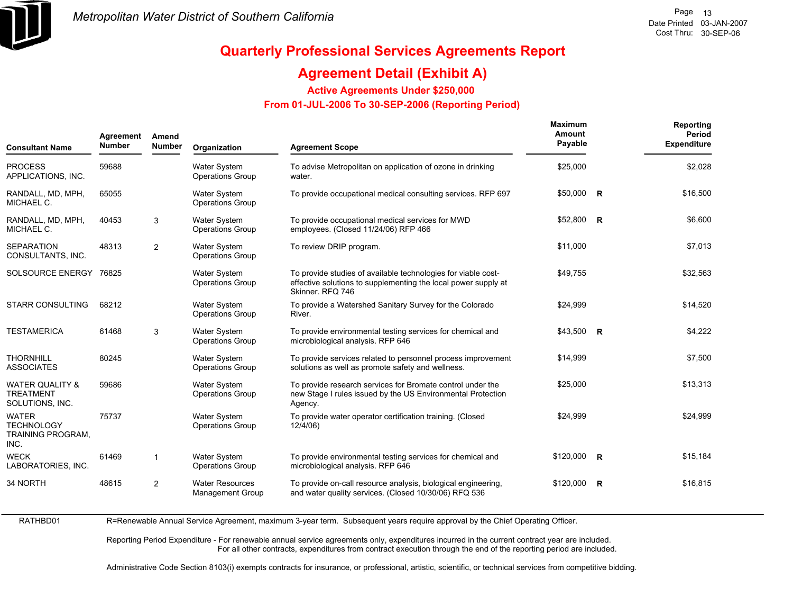

RATHBD01

# **Quarterly Professional Services Agreements Report**

## **Agreement Detail (Exhibit A)**

**Active Agreements Under \$250,000** 

 **From 01-JUL-2006 To 30-SEP-2006 (Reporting Period)** 

| Agreement<br>Amend<br><b>Number</b><br><b>Number</b><br><b>Consultant Name</b> |       | Organization            | <b>Agreement Scope</b>                            | Maximum<br>Amount<br>Payable                                                                                                                        |            | Reporting<br>Period<br><b>Expenditure</b> |          |
|--------------------------------------------------------------------------------|-------|-------------------------|---------------------------------------------------|-----------------------------------------------------------------------------------------------------------------------------------------------------|------------|-------------------------------------------|----------|
| <b>PROCESS</b><br>APPLICATIONS, INC.                                           | 59688 |                         | <b>Water System</b><br><b>Operations Group</b>    | To advise Metropolitan on application of ozone in drinking<br>water.                                                                                | \$25,000   |                                           | \$2,028  |
| RANDALL, MD, MPH,<br>MICHAEL C.                                                | 65055 |                         | <b>Water System</b><br><b>Operations Group</b>    | To provide occupational medical consulting services. RFP 697                                                                                        | \$50,000   | $\overline{R}$                            | \$16,500 |
| RANDALL, MD, MPH,<br>MICHAEL C.                                                | 40453 | 3                       | Water System<br><b>Operations Group</b>           | To provide occupational medical services for MWD<br>employees. (Closed 11/24/06) RFP 466                                                            | \$52,800   | $\overline{\mathbf{R}}$                   | \$6,600  |
| <b>SEPARATION</b><br>CONSULTANTS, INC.                                         | 48313 | 2                       | <b>Water System</b><br><b>Operations Group</b>    | To review DRIP program.                                                                                                                             | \$11,000   |                                           | \$7,013  |
| SOLSOURCE ENERGY                                                               | 76825 |                         | Water System<br><b>Operations Group</b>           | To provide studies of available technologies for viable cost-<br>effective solutions to supplementing the local power supply at<br>Skinner, RFQ 746 | \$49,755   |                                           | \$32,563 |
| <b>STARR CONSULTING</b>                                                        | 68212 |                         | <b>Water System</b><br><b>Operations Group</b>    | To provide a Watershed Sanitary Survey for the Colorado<br>River.                                                                                   | \$24,999   |                                           | \$14,520 |
| <b>TESTAMERICA</b>                                                             | 61468 | 3                       | <b>Water System</b><br><b>Operations Group</b>    | To provide environmental testing services for chemical and<br>microbiological analysis. RFP 646                                                     | \$43,500 R |                                           | \$4,222  |
| <b>THORNHILL</b><br><b>ASSOCIATES</b>                                          | 80245 |                         | <b>Water System</b><br><b>Operations Group</b>    | To provide services related to personnel process improvement<br>solutions as well as promote safety and wellness.                                   | \$14,999   |                                           | \$7,500  |
| <b>WATER QUALITY &amp;</b><br><b>TREATMENT</b><br>SOLUTIONS, INC.              | 59686 |                         | Water System<br><b>Operations Group</b>           | To provide research services for Bromate control under the<br>new Stage I rules issued by the US Environmental Protection<br>Agency.                | \$25,000   |                                           | \$13,313 |
| <b>WATER</b><br><b>TECHNOLOGY</b><br>TRAINING PROGRAM.<br>INC.                 | 75737 |                         | Water System<br><b>Operations Group</b>           | To provide water operator certification training. (Closed<br>12/4/06)                                                                               | \$24,999   |                                           | \$24,999 |
| <b>WECK</b><br>LABORATORIES, INC.                                              | 61469 | $\overline{\mathbf{1}}$ | <b>Water System</b><br><b>Operations Group</b>    | To provide environmental testing services for chemical and<br>microbiological analysis. RFP 646                                                     | \$120,000  | <b>R</b>                                  | \$15,184 |
| 34 NORTH                                                                       | 48615 | 2                       | <b>Water Resources</b><br><b>Management Group</b> | To provide on-call resource analysis, biological engineering,<br>and water quality services. (Closed 10/30/06) RFQ 536                              | \$120,000  | $\mathbf R$                               | \$16,815 |

R=Renewable Annual Service Agreement, maximum 3-year term. Subsequent years require approval by the Chief Operating Officer.

Reporting Period Expenditure - For renewable annual service agreements only, expenditures incurred in the current contract year are included. For all other contracts, expenditures from contract execution through the end of the reporting period are included.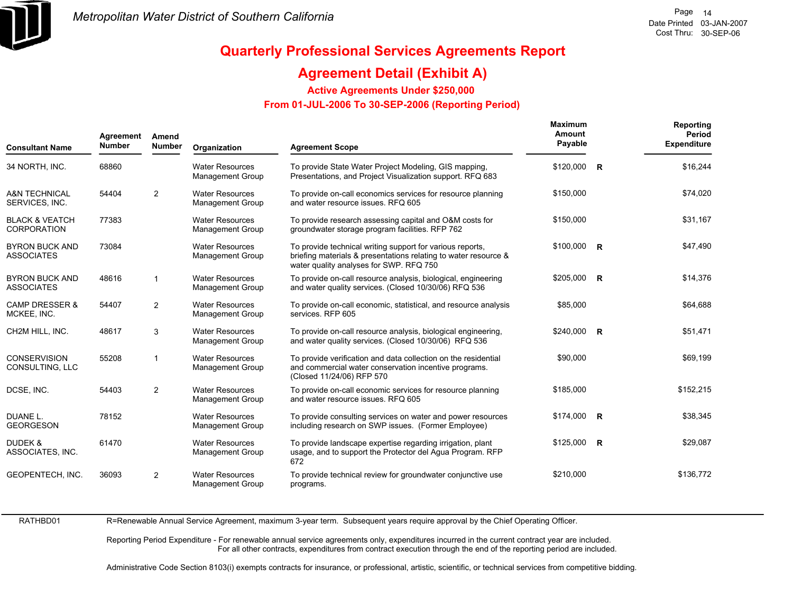

## **Agreement Detail (Exhibit A)**

**Active Agreements Under \$250,000** 

 **From 01-JUL-2006 To 30-SEP-2006 (Reporting Period)** 

| <b>Consultant Name</b>                          | Agreement<br><b>Number</b> | Amend<br><b>Number</b> | Organization                                      | <b>Agreement Scope</b>                                                                                                                                                  | <b>Maximum</b><br>Amount<br>Payable | Reporting<br>Period<br><b>Expenditure</b> |
|-------------------------------------------------|----------------------------|------------------------|---------------------------------------------------|-------------------------------------------------------------------------------------------------------------------------------------------------------------------------|-------------------------------------|-------------------------------------------|
| 34 NORTH, INC.                                  | 68860                      |                        | <b>Water Resources</b><br><b>Management Group</b> | To provide State Water Project Modeling, GIS mapping,<br>Presentations, and Project Visualization support. RFQ 683                                                      | \$120,000 R                         | \$16,244                                  |
| <b>A&amp;N TECHNICAL</b><br>SERVICES, INC.      | 54404                      | 2                      | <b>Water Resources</b><br><b>Management Group</b> | To provide on-call economics services for resource planning<br>and water resource issues. RFQ 605                                                                       | \$150,000                           | \$74,020                                  |
| <b>BLACK &amp; VEATCH</b><br><b>CORPORATION</b> | 77383                      |                        | <b>Water Resources</b><br><b>Management Group</b> | To provide research assessing capital and O&M costs for<br>groundwater storage program facilities. RFP 762                                                              | \$150,000                           | \$31,167                                  |
| <b>BYRON BUCK AND</b><br><b>ASSOCIATES</b>      | 73084                      |                        | <b>Water Resources</b><br><b>Management Group</b> | To provide technical writing support for various reports,<br>briefing materials & presentations relating to water resource &<br>water quality analyses for SWP. RFQ 750 | $$100,000$ R                        | \$47,490                                  |
| <b>BYRON BUCK AND</b><br><b>ASSOCIATES</b>      | 48616                      | $\overline{1}$         | <b>Water Resources</b><br>Management Group        | To provide on-call resource analysis, biological, engineering<br>and water quality services. (Closed 10/30/06) RFQ 536                                                  | \$205.000 R                         | \$14,376                                  |
| <b>CAMP DRESSER &amp;</b><br>MCKEE, INC.        | 54407                      | $\overline{2}$         | <b>Water Resources</b><br><b>Management Group</b> | To provide on-call economic, statistical, and resource analysis<br>services. RFP 605                                                                                    | \$85,000                            | \$64,688                                  |
| CH2M HILL, INC.                                 | 48617                      | 3                      | <b>Water Resources</b><br><b>Management Group</b> | To provide on-call resource analysis, biological engineering,<br>and water quality services. (Closed 10/30/06) RFQ 536                                                  | \$240,000 R                         | \$51,471                                  |
| <b>CONSERVISION</b><br>CONSULTING, LLC          | 55208                      | $\overline{1}$         | <b>Water Resources</b><br><b>Management Group</b> | To provide verification and data collection on the residential<br>and commercial water conservation incentive programs.<br>(Closed 11/24/06) RFP 570                    | \$90,000                            | \$69,199                                  |
| DCSE, INC.                                      | 54403                      | 2                      | <b>Water Resources</b><br><b>Management Group</b> | To provide on-call economic services for resource planning<br>and water resource issues. RFQ 605                                                                        | \$185,000                           | \$152,215                                 |
| DUANE L.<br><b>GEORGESON</b>                    | 78152                      |                        | <b>Water Resources</b><br><b>Management Group</b> | To provide consulting services on water and power resources<br>including research on SWP issues. (Former Employee)                                                      | \$174,000 R                         | \$38,345                                  |
| DUDEK &<br>ASSOCIATES, INC.                     | 61470                      |                        | <b>Water Resources</b><br><b>Management Group</b> | To provide landscape expertise regarding irrigation, plant<br>usage, and to support the Protector del Agua Program. RFP<br>672                                          | $$125,000$ R                        | \$29,087                                  |
| GEOPENTECH, INC.                                | 36093                      | 2                      | <b>Water Resources</b><br><b>Management Group</b> | To provide technical review for groundwater conjunctive use<br>programs.                                                                                                | \$210,000                           | \$136,772                                 |

RATHBD01

R=Renewable Annual Service Agreement, maximum 3-year term. Subsequent years require approval by the Chief Operating Officer.

Reporting Period Expenditure - For renewable annual service agreements only, expenditures incurred in the current contract year are included. For all other contracts, expenditures from contract execution through the end of the reporting period are included.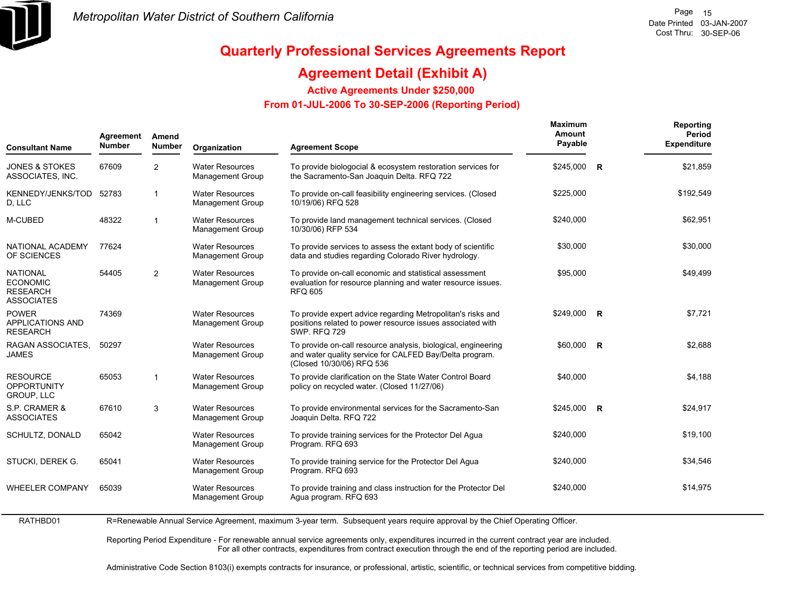

## **Agreement Detail (Exhibit A)**

**Active Agreements Under \$250,000** 

 **From 01-JUL-2006 To 30-SEP-2006 (Reporting Period)** 

| Agreement<br><b>Number</b><br><b>Consultant Name</b>                       |       | Amend<br><b>Number</b> | Organization                                      | <b>Agreement Scope</b>                                                                                                                                | <b>Maximum</b><br>Amount<br>Payable |                         | Reporting<br>Period<br><b>Expenditure</b> |
|----------------------------------------------------------------------------|-------|------------------------|---------------------------------------------------|-------------------------------------------------------------------------------------------------------------------------------------------------------|-------------------------------------|-------------------------|-------------------------------------------|
| <b>JONES &amp; STOKES</b><br>ASSOCIATES, INC.                              | 67609 | 2                      | <b>Water Resources</b><br>Management Group        | To provide biologocial & ecosystem restoration services for<br>the Sacramento-San Joaquin Delta. RFQ 722                                              | $$245,000$ R                        |                         | \$21,859                                  |
| KENNEDY/JENKS/TOD<br>D, LLC                                                | 52783 | $\overline{1}$         | <b>Water Resources</b><br><b>Management Group</b> | To provide on-call feasibility engineering services. (Closed<br>10/19/06) RFQ 528                                                                     | \$225,000                           |                         | \$192,549                                 |
| M-CUBED                                                                    | 48322 | $\overline{1}$         | <b>Water Resources</b><br>Management Group        | To provide land management technical services. (Closed<br>10/30/06) RFP 534                                                                           | \$240,000                           |                         | \$62,951                                  |
| NATIONAL ACADEMY<br>OF SCIENCES                                            | 77624 |                        | <b>Water Resources</b><br><b>Management Group</b> | To provide services to assess the extant body of scientific<br>data and studies regarding Colorado River hydrology.                                   | \$30,000                            |                         | \$30,000                                  |
| <b>NATIONAL</b><br><b>ECONOMIC</b><br><b>RESEARCH</b><br><b>ASSOCIATES</b> | 54405 | 2                      | <b>Water Resources</b><br>Management Group        | To provide on-call economic and statistical assessment<br>evaluation for resource planning and water resource issues.<br><b>RFQ 605</b>               | \$95,000                            |                         | \$49.499                                  |
| <b>POWER</b><br><b>APPLICATIONS AND</b><br><b>RESEARCH</b>                 | 74369 |                        | <b>Water Resources</b><br>Management Group        | To provide expert advice regarding Metropolitan's risks and<br>positions related to power resource issues associated with<br><b>SWP. RFQ 729</b>      | \$249.000                           | R                       | \$7,721                                   |
| RAGAN ASSOCIATES.<br><b>JAMES</b>                                          | 50297 |                        | <b>Water Resources</b><br>Management Group        | To provide on-call resource analysis, biological, engineering<br>and water quality service for CALFED Bay/Delta program.<br>(Closed 10/30/06) RFQ 536 | \$60,000                            | $\overline{\mathbf{R}}$ | \$2,688                                   |
| <b>RESOURCE</b><br><b>OPPORTUNITY</b><br>GROUP, LLC                        | 65053 | $\overline{1}$         | <b>Water Resources</b><br>Management Group        | To provide clarification on the State Water Control Board<br>policy on recycled water. (Closed 11/27/06)                                              | \$40,000                            |                         | \$4,188                                   |
| S.P. CRAMER &<br><b>ASSOCIATES</b>                                         | 67610 | 3                      | <b>Water Resources</b><br>Management Group        | To provide environmental services for the Sacramento-San<br>Joaquin Delta. RFQ 722                                                                    | $$245,000$ R                        |                         | \$24,917                                  |
| SCHULTZ, DONALD                                                            | 65042 |                        | <b>Water Resources</b><br><b>Management Group</b> | To provide training services for the Protector Del Agua<br>Program. RFQ 693                                                                           | \$240,000                           |                         | \$19,100                                  |
| STUCKI, DEREK G.                                                           | 65041 |                        | <b>Water Resources</b><br><b>Management Group</b> | To provide training service for the Protector Del Agua<br>Program. RFQ 693                                                                            | \$240,000                           |                         | \$34,546                                  |
| <b>WHEELER COMPANY</b>                                                     | 65039 |                        | <b>Water Resources</b><br><b>Management Group</b> | To provide training and class instruction for the Protector Del<br>Agua program. RFQ 693                                                              | \$240,000                           |                         | \$14,975                                  |

RATHBD01 R=Renewable Annual Service Agreement, maximum 3-year term. Subsequent years require approval by the Chief Operating Officer.

> Reporting Period Expenditure - For renewable annual service agreements only, expenditures incurred in the current contract year are included. For all other contracts, expenditures from contract execution through the end of the reporting period are included.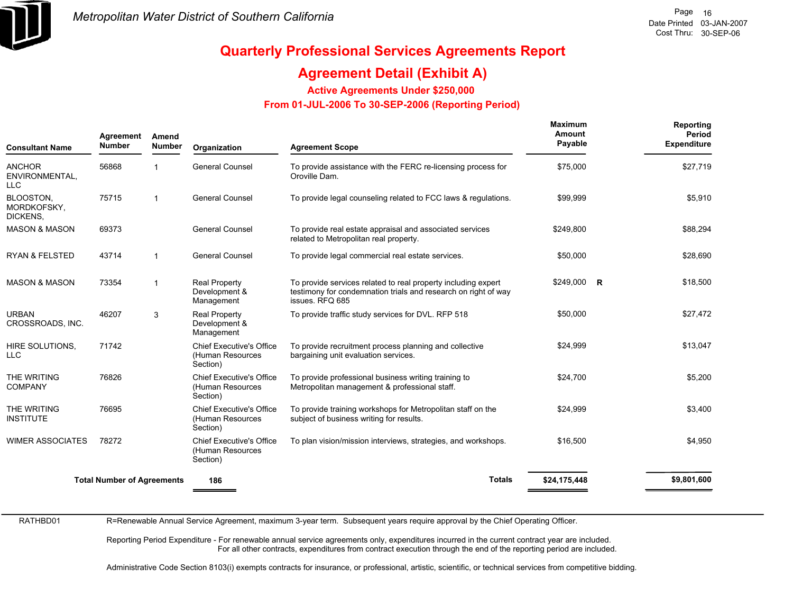

## **Agreement Detail (Exhibit A)**

**Active Agreements Under \$250,000** 

 **From 01-JUL-2006 To 30-SEP-2006 (Reporting Period)** 

| <b>Consultant Name</b>                        | Agreement<br>Amend<br><b>Number</b><br><b>Number</b> |                | Organization                                                    | <b>Agreement Scope</b>                                                                                                                             | Maximum<br>Amount<br>Payable | Reporting<br>Period<br><b>Expenditure</b> |  |
|-----------------------------------------------|------------------------------------------------------|----------------|-----------------------------------------------------------------|----------------------------------------------------------------------------------------------------------------------------------------------------|------------------------------|-------------------------------------------|--|
| <b>ANCHOR</b><br>ENVIRONMENTAL,<br><b>LLC</b> | 56868                                                |                | <b>General Counsel</b>                                          | To provide assistance with the FERC re-licensing process for<br>Oroville Dam.                                                                      | \$75,000                     | \$27,719                                  |  |
| BLOOSTON,<br>MORDKOFSKY,<br>DICKENS,          | 75715                                                |                | <b>General Counsel</b>                                          | To provide legal counseling related to FCC laws & regulations.                                                                                     | \$99,999                     | \$5,910                                   |  |
| <b>MASON &amp; MASON</b>                      | 69373                                                |                | <b>General Counsel</b>                                          | To provide real estate appraisal and associated services<br>related to Metropolitan real property.                                                 | \$249,800                    | \$88,294                                  |  |
| <b>RYAN &amp; FELSTED</b>                     | 43714                                                | $\mathbf{1}$   | <b>General Counsel</b>                                          | To provide legal commercial real estate services.                                                                                                  | \$50,000                     | \$28,690                                  |  |
| <b>MASON &amp; MASON</b>                      | 73354                                                | $\overline{1}$ | <b>Real Property</b><br>Development &<br>Management             | To provide services related to real property including expert<br>testimony for condemnation trials and research on right of way<br>issues. RFQ 685 | $$249,000$ R                 | \$18,500                                  |  |
| <b>URBAN</b><br>CROSSROADS, INC.              | 46207                                                | 3              | <b>Real Property</b><br>Development &<br>Management             | To provide traffic study services for DVL. RFP 518                                                                                                 | \$50,000                     | \$27,472                                  |  |
| HIRE SOLUTIONS,<br><b>LLC</b>                 | 71742                                                |                | <b>Chief Executive's Office</b><br>(Human Resources<br>Section) | To provide recruitment process planning and collective<br>bargaining unit evaluation services.                                                     | \$24,999                     | \$13,047                                  |  |
| THE WRITING<br><b>COMPANY</b>                 | 76826                                                |                | <b>Chief Executive's Office</b><br>(Human Resources<br>Section) | To provide professional business writing training to<br>Metropolitan management & professional staff.                                              | \$24,700                     | \$5,200                                   |  |
| THE WRITING<br><b>INSTITUTE</b>               | 76695                                                |                | <b>Chief Executive's Office</b><br>(Human Resources<br>Section) | To provide training workshops for Metropolitan staff on the<br>subject of business writing for results.                                            | \$24,999                     | \$3,400                                   |  |
| <b>WIMER ASSOCIATES</b>                       | 78272                                                |                | <b>Chief Executive's Office</b><br>(Human Resources<br>Section) | To plan vision/mission interviews, strategies, and workshops.                                                                                      | \$16,500                     | \$4,950                                   |  |
|                                               | <b>Total Number of Agreements</b>                    |                | 186                                                             | <b>Totals</b>                                                                                                                                      | \$24,175,448                 | \$9,801,600                               |  |

RATHBD01

R=Renewable Annual Service Agreement, maximum 3-year term. Subsequent years require approval by the Chief Operating Officer.

Reporting Period Expenditure - For renewable annual service agreements only, expenditures incurred in the current contract year are included. For all other contracts, expenditures from contract execution through the end of the reporting period are included.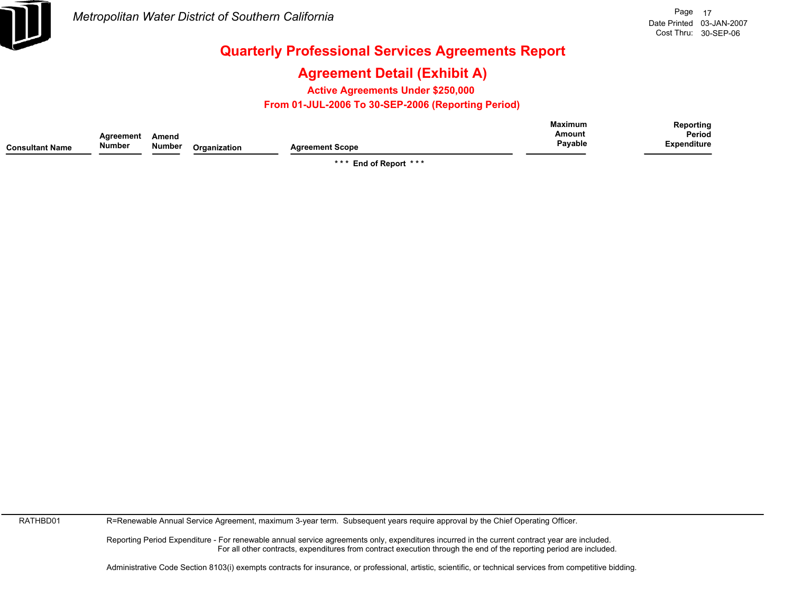

## **Agreement Detail (Exhibit A)**

**Active Agreements Under \$250,000** 

 **From 01-JUL-2006 To 30-SEP-2006 (Reporting Period)** 

|                        |           |        |              |                        | <b>Maximum</b> | Reporting          |
|------------------------|-----------|--------|--------------|------------------------|----------------|--------------------|
|                        | Agreement | Amend  |              |                        | Amount         | Period             |
| <b>Consultant Name</b> | Number    | Number | Organization | <b>Agreement Scope</b> | Payable        | <b>Expenditure</b> |

**\* \* \* End of Report \* \* \***

RATHBD01

R=Renewable Annual Service Agreement, maximum 3-year term. Subsequent years require approval by the Chief Operating Officer.

Reporting Period Expenditure - For renewable annual service agreements only, expenditures incurred in the current contract year are included. For all other contracts, expenditures from contract execution through the end of the reporting period are included.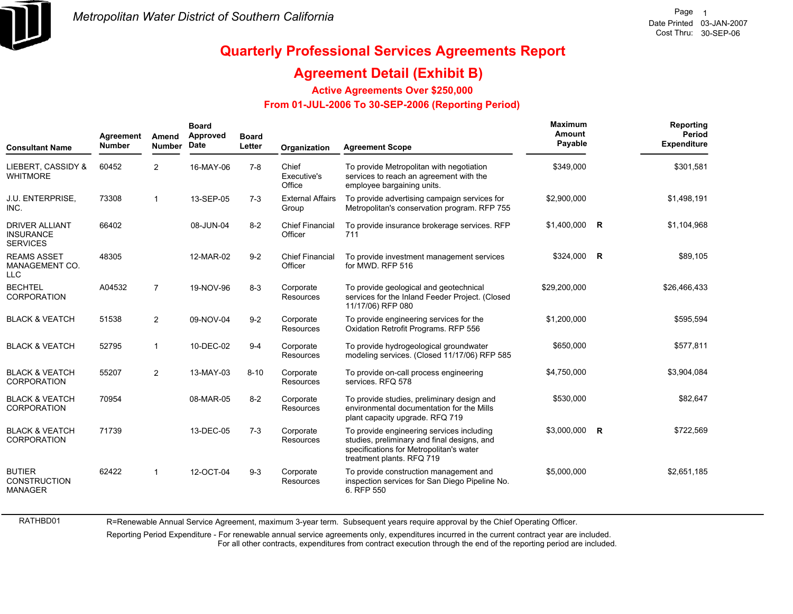

RATHBD01

# **Quarterly Professional Services Agreements Report**

### **Agreement Detail (Exhibit B)**

**Active Agreements Over \$250,000**

#### **From 01-JUL-2006 To 30-SEP-2006 (Reporting Period)**

| <b>Consultant Name</b>                                       | Agreement<br><b>Number</b> | Amend<br><b>Number</b> | <b>Board</b><br>Approved<br>Date | <b>Board</b><br>Letter | Organization                      | <b>Agreement Scope</b>                                                                                                                                           | Maximum<br>Amount<br>Payable |              | Reporting<br>Period<br><b>Expenditure</b> |
|--------------------------------------------------------------|----------------------------|------------------------|----------------------------------|------------------------|-----------------------------------|------------------------------------------------------------------------------------------------------------------------------------------------------------------|------------------------------|--------------|-------------------------------------------|
| LIEBERT, CASSIDY &<br><b>WHITMORE</b>                        | 60452                      | $\overline{2}$         | 16-MAY-06                        | $7 - 8$                | Chief<br>Executive's<br>Office    | To provide Metropolitan with negotiation<br>services to reach an agreement with the<br>employee bargaining units.                                                | \$349,000                    |              | \$301,581                                 |
| J.U. ENTERPRISE,<br>INC.                                     | 73308                      | 1                      | 13-SEP-05                        | $7 - 3$                | <b>External Affairs</b><br>Group  | To provide advertising campaign services for<br>Metropolitan's conservation program. RFP 755                                                                     | \$2,900,000                  |              | \$1,498,191                               |
| <b>DRIVER ALLIANT</b><br><b>INSURANCE</b><br><b>SERVICES</b> | 66402                      |                        | 08-JUN-04                        | $8 - 2$                | <b>Chief Financial</b><br>Officer | To provide insurance brokerage services. RFP<br>711                                                                                                              | \$1,400,000                  | $\mathsf{R}$ | \$1,104,968                               |
| <b>REAMS ASSET</b><br>MANAGEMENT CO.<br><b>LLC</b>           | 48305                      |                        | 12-MAR-02                        | $9 - 2$                | <b>Chief Financial</b><br>Officer | To provide investment management services<br>for MWD, RFP 516                                                                                                    | \$324,000                    | <b>R</b>     | \$89,105                                  |
| <b>BECHTEL</b><br>CORPORATION                                | A04532                     | $\overline{7}$         | 19-NOV-96                        | $8 - 3$                | Corporate<br>Resources            | To provide geological and geotechnical<br>services for the Inland Feeder Project. (Closed<br>11/17/06) RFP 080                                                   | \$29,200,000                 |              | \$26,466,433                              |
| <b>BLACK &amp; VEATCH</b>                                    | 51538                      | $\overline{2}$         | 09-NOV-04                        | $9 - 2$                | Corporate<br><b>Resources</b>     | To provide engineering services for the<br>Oxidation Retrofit Programs. RFP 556                                                                                  | \$1,200,000                  |              | \$595,594                                 |
| <b>BLACK &amp; VEATCH</b>                                    | 52795                      | 1                      | 10-DEC-02                        | $9 - 4$                | Corporate<br><b>Resources</b>     | To provide hydrogeological groundwater<br>modeling services. (Closed 11/17/06) RFP 585                                                                           | \$650,000                    |              | \$577,811                                 |
| <b>BLACK &amp; VEATCH</b><br>CORPORATION                     | 55207                      | $\overline{2}$         | 13-MAY-03                        | $8 - 10$               | Corporate<br><b>Resources</b>     | To provide on-call process engineering<br>services. RFQ 578                                                                                                      | \$4,750,000                  |              | \$3,904,084                               |
| <b>BLACK &amp; VEATCH</b><br><b>CORPORATION</b>              | 70954                      |                        | 08-MAR-05                        | $8 - 2$                | Corporate<br>Resources            | To provide studies, preliminary design and<br>environmental documentation for the Mills<br>plant capacity upgrade. RFQ 719                                       | \$530,000                    |              | \$82,647                                  |
| <b>BLACK &amp; VEATCH</b><br>CORPORATION                     | 71739                      |                        | 13-DEC-05                        | $7-3$                  | Corporate<br>Resources            | To provide engineering services including<br>studies, preliminary and final designs, and<br>specifications for Metropolitan's water<br>treatment plants. RFQ 719 | \$3,000,000 R                |              | \$722,569                                 |
| <b>BUTIER</b><br><b>CONSTRUCTION</b><br><b>MANAGER</b>       | 62422                      |                        | 12-OCT-04                        | $9 - 3$                | Corporate<br><b>Resources</b>     | To provide construction management and<br>inspection services for San Diego Pipeline No.<br>6. RFP 550                                                           | \$5,000,000                  |              | \$2,651,185                               |

R=Renewable Annual Service Agreement, maximum 3-year term. Subsequent years require approval by the Chief Operating Officer.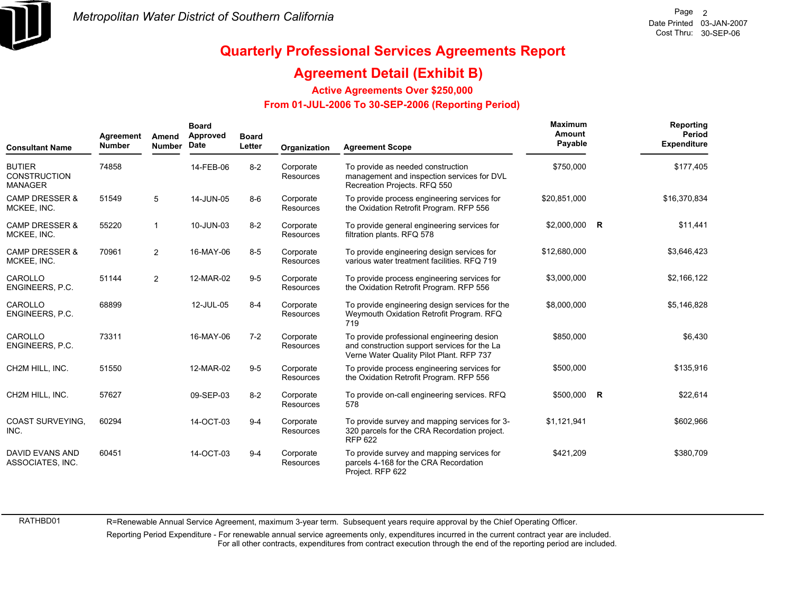

### **Agreement Detail (Exhibit B)**

**Active Agreements Over \$250,000**

#### **From 01-JUL-2006 To 30-SEP-2006 (Reporting Period)**

| <b>Consultant Name</b>                                 | Agreement<br><b>Number</b> | Amend<br><b>Number</b> | <b>Board</b><br>Approved<br>Date | <b>Board</b><br>Letter | Organization                  | <b>Agreement Scope</b>                                                                                                                 | Maximum<br>Amount<br>Payable | Reporting<br>Period<br><b>Expenditure</b> |
|--------------------------------------------------------|----------------------------|------------------------|----------------------------------|------------------------|-------------------------------|----------------------------------------------------------------------------------------------------------------------------------------|------------------------------|-------------------------------------------|
| <b>BUTIER</b><br><b>CONSTRUCTION</b><br><b>MANAGER</b> | 74858                      |                        | 14-FEB-06                        | $8 - 2$                | Corporate<br><b>Resources</b> | To provide as needed construction<br>management and inspection services for DVL<br>Recreation Projects. RFQ 550                        | \$750,000                    | \$177,405                                 |
| <b>CAMP DRESSER &amp;</b><br>MCKEE, INC.               | 51549                      | 5                      | 14-JUN-05                        | $8 - 6$                | Corporate<br>Resources        | To provide process engineering services for<br>the Oxidation Retrofit Program. RFP 556                                                 | \$20,851,000                 | \$16,370,834                              |
| <b>CAMP DRESSER &amp;</b><br>MCKEE, INC.               | 55220                      | 1                      | 10-JUN-03                        | $8 - 2$                | Corporate<br>Resources        | To provide general engineering services for<br>filtration plants. RFQ 578                                                              | \$2,000,000 R                | \$11,441                                  |
| <b>CAMP DRESSER &amp;</b><br>MCKEE, INC.               | 70961                      | $\overline{2}$         | 16-MAY-06                        | $8-5$                  | Corporate<br>Resources        | To provide engineering design services for<br>various water treatment facilities. RFQ 719                                              | \$12,680,000                 | \$3,646,423                               |
| CAROLLO<br>ENGINEERS, P.C.                             | 51144                      | $\overline{2}$         | 12-MAR-02                        | $9-5$                  | Corporate<br><b>Resources</b> | To provide process engineering services for<br>the Oxidation Retrofit Program. RFP 556                                                 | \$3,000,000                  | \$2,166,122                               |
| CAROLLO<br>ENGINEERS, P.C.                             | 68899                      |                        | 12-JUL-05                        | $8 - 4$                | Corporate<br><b>Resources</b> | To provide engineering design services for the<br>Weymouth Oxidation Retrofit Program. RFQ<br>719                                      | \$8,000,000                  | \$5,146,828                               |
| CAROLLO<br>ENGINEERS, P.C.                             | 73311                      |                        | 16-MAY-06                        | $7-2$                  | Corporate<br><b>Resources</b> | To provide professional engineering desion<br>and construction support services for the La<br>Verne Water Quality Pilot Plant. RFP 737 | \$850,000                    | \$6,430                                   |
| CH2M HILL, INC.                                        | 51550                      |                        | 12-MAR-02                        | $9-5$                  | Corporate<br>Resources        | To provide process engineering services for<br>the Oxidation Retrofit Program. RFP 556                                                 | \$500,000                    | \$135,916                                 |
| CH2M HILL, INC.                                        | 57627                      |                        | 09-SEP-03                        | $8 - 2$                | Corporate<br>Resources        | To provide on-call engineering services. RFQ<br>578                                                                                    | \$500,000 R                  | \$22,614                                  |
| <b>COAST SURVEYING.</b><br>INC.                        | 60294                      |                        | 14-OCT-03                        | $9 - 4$                | Corporate<br><b>Resources</b> | To provide survey and mapping services for 3-<br>320 parcels for the CRA Recordation project.<br><b>RFP 622</b>                        | \$1,121,941                  | \$602,966                                 |
| DAVID EVANS AND<br>ASSOCIATES, INC.                    | 60451                      |                        | 14-OCT-03                        | $9 - 4$                | Corporate<br>Resources        | To provide survey and mapping services for<br>parcels 4-168 for the CRA Recordation<br>Project. RFP 622                                | \$421.209                    | \$380,709                                 |

RATHBD01

R=Renewable Annual Service Agreement, maximum 3-year term. Subsequent years require approval by the Chief Operating Officer.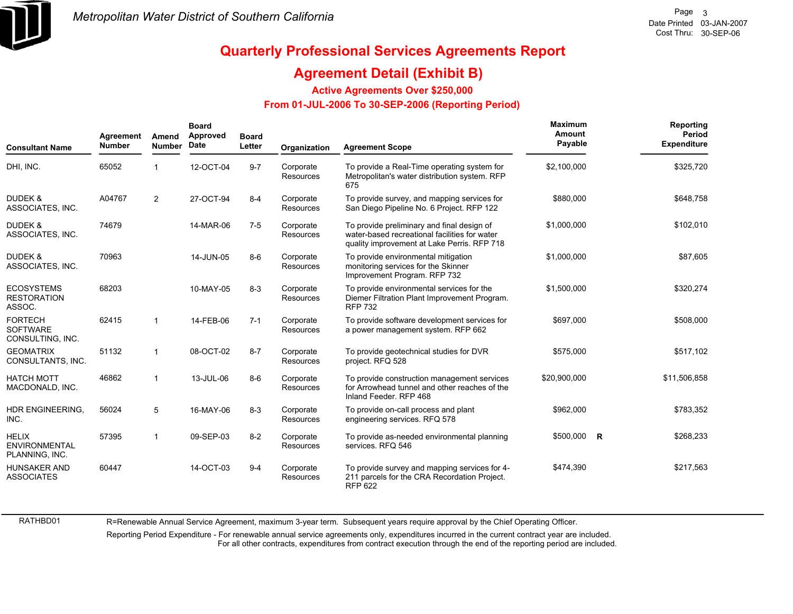

RATHBD01

# **Quarterly Professional Services Agreements Report**

### **Agreement Detail (Exhibit B)**

**Active Agreements Over \$250,000**

#### **From 01-JUL-2006 To 30-SEP-2006 (Reporting Period)**

| <b>Consultant Name</b>                                 | Agreement<br><b>Number</b> | Amend<br><b>Number</b> | <b>Board</b><br>Approved<br>Date | <b>Board</b><br>Letter | Organization                  | <b>Agreement Scope</b>                                                                                                                     | Maximum<br>Amount<br>Payable |          | Reporting<br>Period<br><b>Expenditure</b> |
|--------------------------------------------------------|----------------------------|------------------------|----------------------------------|------------------------|-------------------------------|--------------------------------------------------------------------------------------------------------------------------------------------|------------------------------|----------|-------------------------------------------|
| DHI, INC.                                              | 65052                      |                        | 12-OCT-04                        | $9 - 7$                | Corporate<br><b>Resources</b> | To provide a Real-Time operating system for<br>Metropolitan's water distribution system. RFP<br>675                                        | \$2,100,000                  |          | \$325,720                                 |
| <b>DUDEK &amp;</b><br>ASSOCIATES, INC.                 | A04767                     | $\overline{2}$         | 27-OCT-94                        | $8 - 4$                | Corporate<br><b>Resources</b> | To provide survey, and mapping services for<br>San Diego Pipeline No. 6 Project. RFP 122                                                   | \$880,000                    |          | \$648,758                                 |
| <b>DUDEK &amp;</b><br>ASSOCIATES, INC.                 | 74679                      |                        | 14-MAR-06                        | $7 - 5$                | Corporate<br>Resources        | To provide preliminary and final design of<br>water-based recreational facilities for water<br>quality improvement at Lake Perris. RFP 718 | \$1,000,000                  |          | \$102,010                                 |
| DUDEK &<br>ASSOCIATES, INC.                            | 70963                      |                        | 14-JUN-05                        | $8 - 6$                | Corporate<br>Resources        | To provide environmental mitigation<br>monitoring services for the Skinner<br>Improvement Program. RFP 732                                 | \$1,000,000                  |          | \$87,605                                  |
| <b>ECOSYSTEMS</b><br><b>RESTORATION</b><br>ASSOC.      | 68203                      |                        | 10-MAY-05                        | $8 - 3$                | Corporate<br><b>Resources</b> | To provide environmental services for the<br>Diemer Filtration Plant Improvement Program.<br><b>RFP 732</b>                                | \$1,500,000                  |          | \$320,274                                 |
| <b>FORTECH</b><br><b>SOFTWARE</b><br>CONSULTING, INC.  | 62415                      | $\mathbf{1}$           | 14-FEB-06                        | $7 - 1$                | Corporate<br>Resources        | To provide software development services for<br>a power management system. RFP 662                                                         | \$697,000                    |          | \$508,000                                 |
| <b>GEOMATRIX</b><br>CONSULTANTS, INC.                  | 51132                      | $\mathbf{1}$           | 08-OCT-02                        | $8 - 7$                | Corporate<br><b>Resources</b> | To provide geotechnical studies for DVR<br>project. RFQ 528                                                                                | \$575,000                    |          | \$517,102                                 |
| <b>HATCH MOTT</b><br>MACDONALD, INC.                   | 46862                      | 1                      | 13-JUL-06                        | $8-6$                  | Corporate<br>Resources        | To provide construction management services<br>for Arrowhead tunnel and other reaches of the<br>Inland Feeder, RFP 468                     | \$20,900,000                 |          | \$11,506,858                              |
| HDR ENGINEERING.<br>INC.                               | 56024                      | 5                      | 16-MAY-06                        | $8 - 3$                | Corporate<br><b>Resources</b> | To provide on-call process and plant<br>engineering services. RFQ 578                                                                      | \$962,000                    |          | \$783,352                                 |
| <b>HELIX</b><br><b>ENVIRONMENTAL</b><br>PLANNING, INC. | 57395                      | $\mathbf{1}$           | 09-SEP-03                        | $8 - 2$                | Corporate<br>Resources        | To provide as-needed environmental planning<br>services. RFQ 546                                                                           | \$500,000                    | <b>R</b> | \$268,233                                 |
| <b>HUNSAKER AND</b><br><b>ASSOCIATES</b>               | 60447                      |                        | 14-OCT-03                        | $9 - 4$                | Corporate<br>Resources        | To provide survey and mapping services for 4-<br>211 parcels for the CRA Recordation Project.<br><b>RFP 622</b>                            | \$474,390                    |          | \$217,563                                 |

R=Renewable Annual Service Agreement, maximum 3-year term. Subsequent years require approval by the Chief Operating Officer.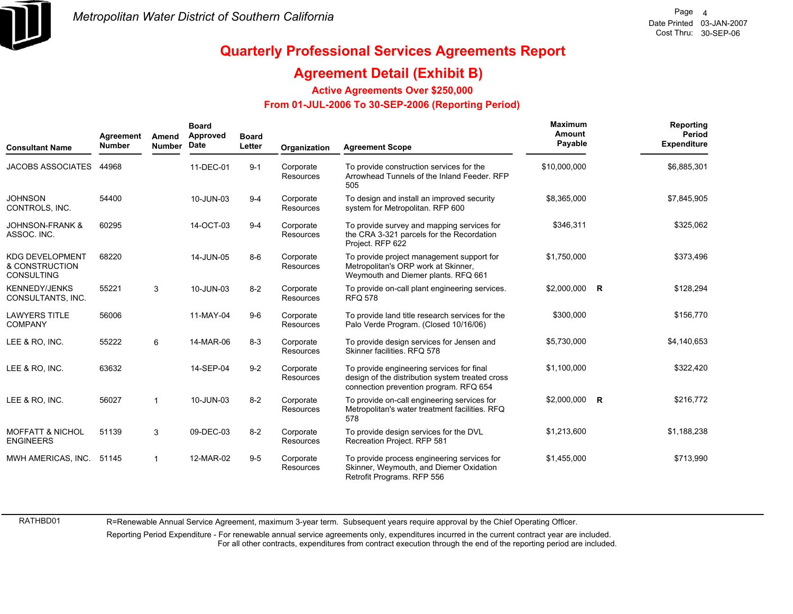

### **Agreement Detail (Exhibit B)**

**Active Agreements Over \$250,000**

#### **From 01-JUL-2006 To 30-SEP-2006 (Reporting Period)**

| <b>Consultant Name</b>                                        | Agreement<br><b>Number</b> | Amend<br><b>Number</b> | <b>Board</b><br>Approved<br>Date | <b>Board</b><br>Letter | Organization                  | <b>Agreement Scope</b>                                                                                                                 | Maximum<br>Amount<br>Payable | Reporting<br>Period<br><b>Expenditure</b> |
|---------------------------------------------------------------|----------------------------|------------------------|----------------------------------|------------------------|-------------------------------|----------------------------------------------------------------------------------------------------------------------------------------|------------------------------|-------------------------------------------|
| <b>JACOBS ASSOCIATES</b>                                      | 44968                      |                        | 11-DEC-01                        | $9 - 1$                | Corporate<br><b>Resources</b> | To provide construction services for the<br>Arrowhead Tunnels of the Inland Feeder. RFP<br>505                                         | \$10,000,000                 | \$6,885,301                               |
| <b>JOHNSON</b><br>CONTROLS, INC.                              | 54400                      |                        | 10-JUN-03                        | $9 - 4$                | Corporate<br>Resources        | To design and install an improved security<br>system for Metropolitan. RFP 600                                                         | \$8,365,000                  | \$7,845,905                               |
| <b>JOHNSON-FRANK &amp;</b><br>ASSOC. INC.                     | 60295                      |                        | 14-OCT-03                        | $9 - 4$                | Corporate<br>Resources        | To provide survey and mapping services for<br>the CRA 3-321 parcels for the Recordation<br>Project. RFP 622                            | \$346,311                    | \$325,062                                 |
| <b>KDG DEVELOPMENT</b><br>& CONSTRUCTION<br><b>CONSULTING</b> | 68220                      |                        | 14-JUN-05                        | $8-6$                  | Corporate<br>Resources        | To provide project management support for<br>Metropolitan's ORP work at Skinner,<br>Weymouth and Diemer plants. RFQ 661                | \$1,750,000                  | \$373,496                                 |
| <b>KENNEDY/JENKS</b><br>CONSULTANTS, INC.                     | 55221                      | 3                      | 10-JUN-03                        | $8 - 2$                | Corporate<br>Resources        | To provide on-call plant engineering services.<br><b>RFQ 578</b>                                                                       | \$2,000,000 R                | \$128,294                                 |
| <b>LAWYERS TITLE</b><br><b>COMPANY</b>                        | 56006                      |                        | 11-MAY-04                        | $9-6$                  | Corporate<br>Resources        | To provide land title research services for the<br>Palo Verde Program. (Closed 10/16/06)                                               | \$300.000                    | \$156,770                                 |
| LEE & RO, INC.                                                | 55222                      | 6                      | 14-MAR-06                        | $8-3$                  | Corporate<br>Resources        | To provide design services for Jensen and<br>Skinner facilities, RFQ 578                                                               | \$5,730,000                  | \$4,140,653                               |
| LEE & RO. INC.                                                | 63632                      |                        | 14-SEP-04                        | $9 - 2$                | Corporate<br>Resources        | To provide engineering services for final<br>design of the distribution system treated cross<br>connection prevention program. RFQ 654 | \$1,100,000                  | \$322,420                                 |
| LEE & RO. INC.                                                | 56027                      |                        | 10-JUN-03                        | $8 - 2$                | Corporate<br><b>Resources</b> | To provide on-call engineering services for<br>Metropolitan's water treatment facilities. RFQ<br>578                                   | \$2,000,000 R                | \$216,772                                 |
| <b>MOFFATT &amp; NICHOL</b><br><b>ENGINEERS</b>               | 51139                      | 3                      | 09-DEC-03                        | $8 - 2$                | Corporate<br>Resources        | To provide design services for the DVL<br>Recreation Project. RFP 581                                                                  | \$1,213,600                  | \$1,188,238                               |
| MWH AMERICAS, INC.                                            | 51145                      | -1                     | 12-MAR-02                        | $9 - 5$                | Corporate<br>Resources        | To provide process engineering services for<br>Skinner, Weymouth, and Diemer Oxidation<br>Retrofit Programs. RFP 556                   | \$1,455,000                  | \$713,990                                 |

RATHBD01

R=Renewable Annual Service Agreement, maximum 3-year term. Subsequent years require approval by the Chief Operating Officer.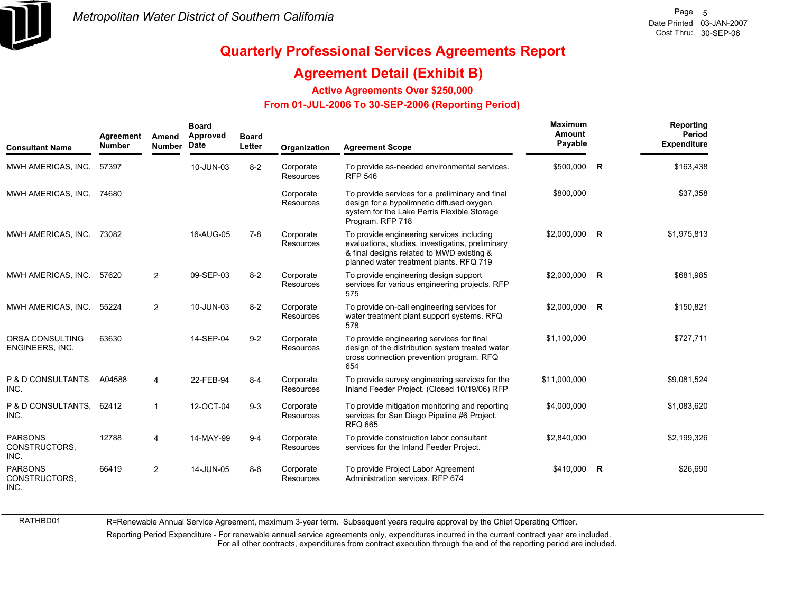

RATHBD01

# **Quarterly Professional Services Agreements Report**

### **Agreement Detail (Exhibit B)**

**Active Agreements Over \$250,000**

#### **From 01-JUL-2006 To 30-SEP-2006 (Reporting Period)**

| <b>Consultant Name</b>                  | Agreement<br><b>Number</b> | Amend<br><b>Number</b> | <b>Board</b><br>Approved<br>Date | <b>Board</b><br>Letter | Organization                  | <b>Agreement Scope</b>                                                                                                                                                                | Maximum<br>Amount<br>Payable |              | Reporting<br>Period<br><b>Expenditure</b> |
|-----------------------------------------|----------------------------|------------------------|----------------------------------|------------------------|-------------------------------|---------------------------------------------------------------------------------------------------------------------------------------------------------------------------------------|------------------------------|--------------|-------------------------------------------|
| MWH AMERICAS, INC.                      | 57397                      |                        | 10-JUN-03                        | $8 - 2$                | Corporate<br><b>Resources</b> | To provide as-needed environmental services.<br><b>RFP 546</b>                                                                                                                        | \$500,000                    | R            | \$163,438                                 |
| MWH AMERICAS, INC.                      | 74680                      |                        |                                  |                        | Corporate<br>Resources        | To provide services for a preliminary and final<br>design for a hypolimnetic diffused oxygen<br>system for the Lake Perris Flexible Storage<br>Program. RFP 718                       | \$800,000                    |              | \$37,358                                  |
| MWH AMERICAS, INC.                      | 73082                      |                        | 16-AUG-05                        | $7-8$                  | Corporate<br><b>Resources</b> | To provide engineering services including<br>evaluations, studies, investigatins, preliminary<br>& final designs related to MWD existing &<br>planned water treatment plants. RFQ 719 | \$2,000,000                  | R            | \$1,975,813                               |
| MWH AMERICAS, INC.                      | 57620                      | $\overline{2}$         | 09-SEP-03                        | $8 - 2$                | Corporate<br><b>Resources</b> | To provide engineering design support<br>services for various engineering projects. RFP<br>575                                                                                        | \$2,000,000                  | $\mathsf{R}$ | \$681,985                                 |
| MWH AMERICAS, INC.                      | 55224                      | $\overline{2}$         | 10-JUN-03                        | $8 - 2$                | Corporate<br><b>Resources</b> | To provide on-call engineering services for<br>water treatment plant support systems. RFQ<br>578                                                                                      | \$2,000,000                  | $\mathsf{R}$ | \$150,821                                 |
| ORSA CONSULTING<br>ENGINEERS, INC.      | 63630                      |                        | 14-SEP-04                        | $9 - 2$                | Corporate<br>Resources        | To provide engineering services for final<br>design of the distribution system treated water<br>cross connection prevention program. RFQ<br>654                                       | \$1.100.000                  |              | \$727,711                                 |
| P & D CONSULTANTS, A04588<br>INC.       |                            | 4                      | 22-FEB-94                        | $8 - 4$                | Corporate<br><b>Resources</b> | To provide survey engineering services for the<br>Inland Feeder Project. (Closed 10/19/06) RFP                                                                                        | \$11,000,000                 |              | \$9,081,524                               |
| P & D CONSULTANTS, 62412<br>INC.        |                            |                        | 12-OCT-04                        | $9 - 3$                | Corporate<br>Resources        | To provide mitigation monitoring and reporting<br>services for San Diego Pipeline #6 Project.<br><b>RFQ 665</b>                                                                       | \$4,000,000                  |              | \$1,083,620                               |
| <b>PARSONS</b><br>CONSTRUCTORS,<br>INC. | 12788                      | 4                      | 14-MAY-99                        | $9 - 4$                | Corporate<br>Resources        | To provide construction labor consultant<br>services for the Inland Feeder Project.                                                                                                   | \$2,840,000                  |              | \$2,199,326                               |
| <b>PARSONS</b><br>CONSTRUCTORS,<br>INC. | 66419                      | $\overline{2}$         | 14-JUN-05                        | $8-6$                  | Corporate<br><b>Resources</b> | To provide Project Labor Agreement<br>Administration services. RFP 674                                                                                                                | \$410,000                    | R            | \$26,690                                  |

R=Renewable Annual Service Agreement, maximum 3-year term. Subsequent years require approval by the Chief Operating Officer.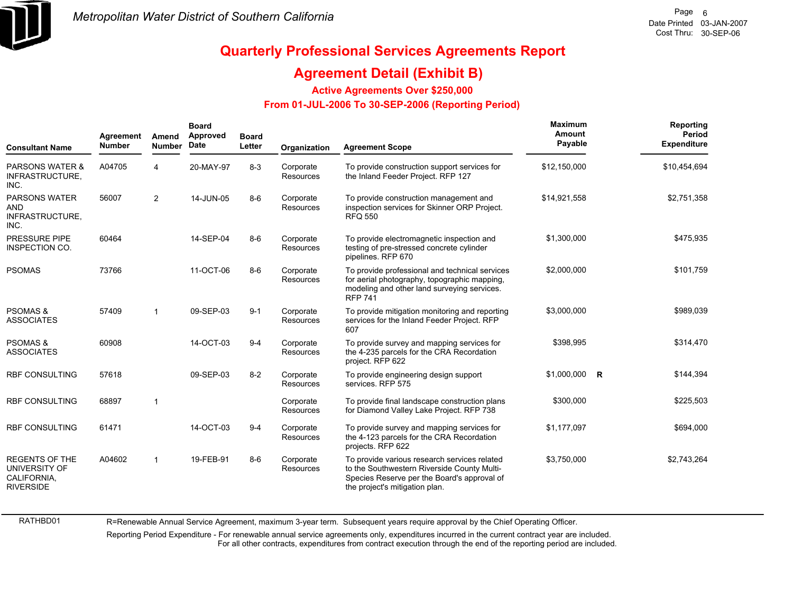

RATHBD01

# **Quarterly Professional Services Agreements Report**

### **Agreement Detail (Exhibit B)**

**Active Agreements Over \$250,000**

#### **From 01-JUL-2006 To 30-SEP-2006 (Reporting Period)**

| <b>Consultant Name</b>                                                    | Agreement<br><b>Number</b> | Amend<br><b>Number</b> | <b>Board</b><br>Approved<br><b>Date</b> | <b>Board</b><br>Letter | Organization                  | <b>Agreement Scope</b>                                                                                                                                                       | <b>Maximum</b><br>Amount<br>Payable | Reporting<br><b>Period</b><br><b>Expenditure</b> |
|---------------------------------------------------------------------------|----------------------------|------------------------|-----------------------------------------|------------------------|-------------------------------|------------------------------------------------------------------------------------------------------------------------------------------------------------------------------|-------------------------------------|--------------------------------------------------|
| <b>PARSONS WATER &amp;</b><br>INFRASTRUCTURE,<br>INC.                     | A04705                     | 4                      | 20-MAY-97                               | $8 - 3$                | Corporate<br><b>Resources</b> | To provide construction support services for<br>the Inland Feeder Project. RFP 127                                                                                           | \$12,150,000                        | \$10,454,694                                     |
| <b>PARSONS WATER</b><br><b>AND</b><br>INFRASTRUCTURE,<br>INC.             | 56007                      | $\overline{2}$         | 14-JUN-05                               | $8 - 6$                | Corporate<br><b>Resources</b> | To provide construction management and<br>inspection services for Skinner ORP Project.<br><b>RFQ 550</b>                                                                     | \$14,921,558                        | \$2,751,358                                      |
| <b>PRESSURE PIPE</b><br><b>INSPECTION CO.</b>                             | 60464                      |                        | 14-SEP-04                               | $8 - 6$                | Corporate<br><b>Resources</b> | To provide electromagnetic inspection and<br>testing of pre-stressed concrete cylinder<br>pipelines. RFP 670                                                                 | \$1,300,000                         | \$475,935                                        |
| <b>PSOMAS</b>                                                             | 73766                      |                        | 11-OCT-06                               | $8 - 6$                | Corporate<br>Resources        | To provide professional and technical services<br>for aerial photography, topographic mapping,<br>modeling and other land surveying services.<br><b>RFP 741</b>              | \$2,000,000                         | \$101,759                                        |
| <b>PSOMAS &amp;</b><br><b>ASSOCIATES</b>                                  | 57409                      | 1                      | 09-SEP-03                               | $9 - 1$                | Corporate<br>Resources        | To provide mitigation monitoring and reporting<br>services for the Inland Feeder Project. RFP<br>607                                                                         | \$3,000,000                         | \$989,039                                        |
| <b>PSOMAS &amp;</b><br><b>ASSOCIATES</b>                                  | 60908                      |                        | 14-OCT-03                               | $9 - 4$                | Corporate<br><b>Resources</b> | To provide survey and mapping services for<br>the 4-235 parcels for the CRA Recordation<br>project. RFP 622                                                                  | \$398,995                           | \$314,470                                        |
| <b>RBF CONSULTING</b>                                                     | 57618                      |                        | 09-SEP-03                               | $8 - 2$                | Corporate<br>Resources        | To provide engineering design support<br>services. RFP 575                                                                                                                   | $$1,000,000$ R                      | \$144,394                                        |
| <b>RBF CONSULTING</b>                                                     | 68897                      | 1                      |                                         |                        | Corporate<br>Resources        | To provide final landscape construction plans<br>for Diamond Valley Lake Project. RFP 738                                                                                    | \$300,000                           | \$225,503                                        |
| <b>RBF CONSULTING</b>                                                     | 61471                      |                        | 14-OCT-03                               | $9 - 4$                | Corporate<br><b>Resources</b> | To provide survey and mapping services for<br>the 4-123 parcels for the CRA Recordation<br>projects. RFP 622                                                                 | \$1,177,097                         | \$694,000                                        |
| <b>REGENTS OF THE</b><br>UNIVERSITY OF<br>CALIFORNIA,<br><b>RIVERSIDE</b> | A04602                     | 1                      | 19-FEB-91                               | $8-6$                  | Corporate<br>Resources        | To provide various research services related<br>to the Southwestern Riverside County Multi-<br>Species Reserve per the Board's approval of<br>the project's mitigation plan. | \$3,750,000                         | \$2,743,264                                      |

R=Renewable Annual Service Agreement, maximum 3-year term. Subsequent years require approval by the Chief Operating Officer.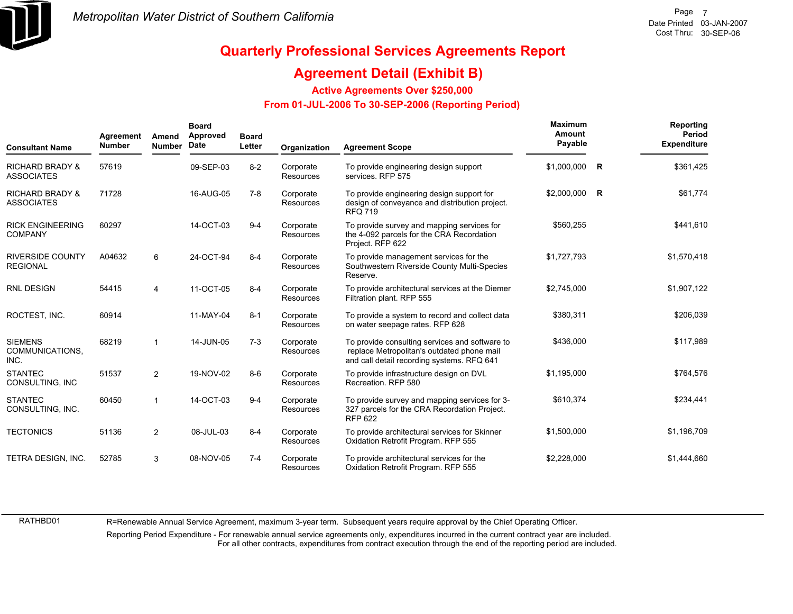

### **Agreement Detail (Exhibit B)**

**Active Agreements Over \$250,000**

#### **From 01-JUL-2006 To 30-SEP-2006 (Reporting Period)**

| <b>Consultant Name</b>                          | Agreement<br><b>Number</b> | Amend<br><b>Number</b> | <b>Board</b><br>Approved<br>Date | <b>Board</b><br>Letter | Organization                  | <b>Agreement Scope</b>                                                                                                                     | Maximum<br>Amount<br>Payable |   | Reporting<br>Period<br><b>Expenditure</b> |
|-------------------------------------------------|----------------------------|------------------------|----------------------------------|------------------------|-------------------------------|--------------------------------------------------------------------------------------------------------------------------------------------|------------------------------|---|-------------------------------------------|
| <b>RICHARD BRADY &amp;</b><br><b>ASSOCIATES</b> | 57619                      |                        | 09-SEP-03                        | $8-2$                  | Corporate<br><b>Resources</b> | To provide engineering design support<br>services. RFP 575                                                                                 | \$1,000,000                  | R | \$361,425                                 |
| <b>RICHARD BRADY &amp;</b><br><b>ASSOCIATES</b> | 71728                      |                        | 16-AUG-05                        | 7-8                    | Corporate<br>Resources        | To provide engineering design support for<br>design of conveyance and distribution project.<br><b>RFQ 719</b>                              | $$2,000,000$ R               |   | \$61,774                                  |
| <b>RICK ENGINEERING</b><br><b>COMPANY</b>       | 60297                      |                        | 14-OCT-03                        | $9 - 4$                | Corporate<br><b>Resources</b> | To provide survey and mapping services for<br>the 4-092 parcels for the CRA Recordation<br>Project. RFP 622                                | \$560,255                    |   | \$441,610                                 |
| <b>RIVERSIDE COUNTY</b><br><b>REGIONAL</b>      | A04632                     | 6                      | 24-OCT-94                        | $8 - 4$                | Corporate<br>Resources        | To provide management services for the<br>Southwestern Riverside County Multi-Species<br>Reserve.                                          | \$1,727,793                  |   | \$1,570,418                               |
| <b>RNL DESIGN</b>                               | 54415                      | 4                      | 11-OCT-05                        | $8 - 4$                | Corporate<br>Resources        | To provide architectural services at the Diemer<br>Filtration plant. RFP 555                                                               | \$2,745,000                  |   | \$1,907,122                               |
| ROCTEST, INC.                                   | 60914                      |                        | 11-MAY-04                        | $8 - 1$                | Corporate<br><b>Resources</b> | To provide a system to record and collect data<br>on water seepage rates. RFP 628                                                          | \$380,311                    |   | \$206,039                                 |
| <b>SIEMENS</b><br>COMMUNICATIONS.<br>INC.       | 68219                      |                        | 14-JUN-05                        | $7 - 3$                | Corporate<br>Resources        | To provide consulting services and software to<br>replace Metropolitan's outdated phone mail<br>and call detail recording systems. RFQ 641 | \$436,000                    |   | \$117,989                                 |
| <b>STANTEC</b><br>CONSULTING, INC               | 51537                      | $\overline{2}$         | 19-NOV-02                        | $8 - 6$                | Corporate<br><b>Resources</b> | To provide infrastructure design on DVL<br>Recreation, RFP 580                                                                             | \$1.195.000                  |   | \$764,576                                 |
| <b>STANTEC</b><br>CONSULTING, INC.              | 60450                      | $\mathbf{1}$           | 14-OCT-03                        | $9 - 4$                | Corporate<br>Resources        | To provide survey and mapping services for 3-<br>327 parcels for the CRA Recordation Project.<br><b>RFP 622</b>                            | \$610,374                    |   | \$234,441                                 |
| <b>TECTONICS</b>                                | 51136                      | $\overline{2}$         | 08-JUL-03                        | $8 - 4$                | Corporate<br><b>Resources</b> | To provide architectural services for Skinner<br>Oxidation Retrofit Program. RFP 555                                                       | \$1,500,000                  |   | \$1,196,709                               |
| TETRA DESIGN, INC.                              | 52785                      | 3                      | 08-NOV-05                        | $7 - 4$                | Corporate<br>Resources        | To provide architectural services for the<br>Oxidation Retrofit Program. RFP 555                                                           | \$2,228,000                  |   | \$1,444,660                               |

RATHBD01

R=Renewable Annual Service Agreement, maximum 3-year term. Subsequent years require approval by the Chief Operating Officer.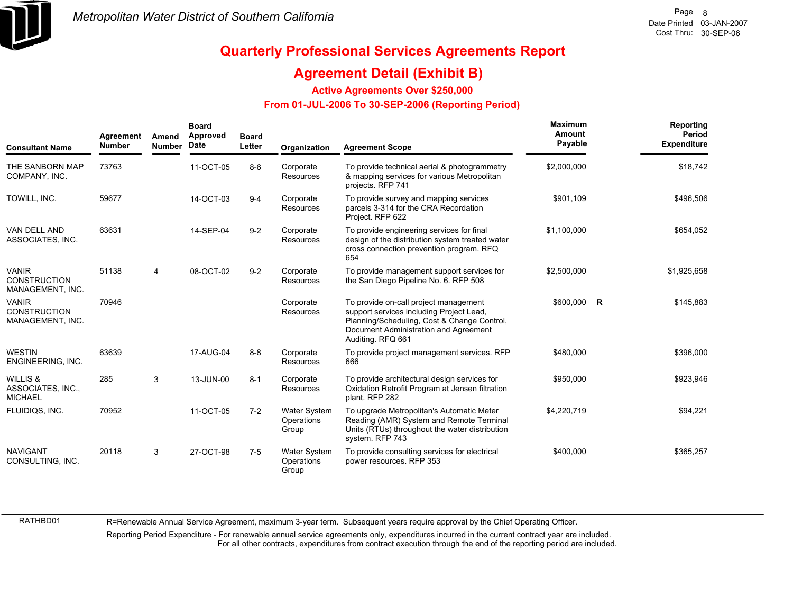

### **Agreement Detail (Exhibit B)**

**Active Agreements Over \$250,000**

 **From 01-JUL-2006 To 30-SEP-2006 (Reporting Period)** 

| <b>Consultant Name</b>                                     | Agreement<br><b>Number</b> | Amend<br><b>Number</b> | <b>Board</b><br>Approved<br><b>Date</b> | <b>Board</b><br>Letter | Organization                               | <b>Agreement Scope</b>                                                                                                                                                                         | Maximum<br>Amount<br>Payable | Reporting<br><b>Period</b><br><b>Expenditure</b> |
|------------------------------------------------------------|----------------------------|------------------------|-----------------------------------------|------------------------|--------------------------------------------|------------------------------------------------------------------------------------------------------------------------------------------------------------------------------------------------|------------------------------|--------------------------------------------------|
| THE SANBORN MAP<br>COMPANY, INC.                           | 73763                      |                        | 11-OCT-05                               | $8-6$                  | Corporate<br>Resources                     | To provide technical aerial & photogrammetry<br>& mapping services for various Metropolitan<br>projects. RFP 741                                                                               | \$2,000,000                  | \$18,742                                         |
| TOWILL, INC.                                               | 59677                      |                        | 14-OCT-03                               | $9 - 4$                | Corporate<br><b>Resources</b>              | To provide survey and mapping services<br>parcels 3-314 for the CRA Recordation<br>Project. RFP 622                                                                                            | \$901,109                    | \$496,506                                        |
| VAN DELL AND<br>ASSOCIATES, INC.                           | 63631                      |                        | 14-SEP-04                               | $9-2$                  | Corporate<br><b>Resources</b>              | To provide engineering services for final<br>design of the distribution system treated water<br>cross connection prevention program. RFQ<br>654                                                | \$1,100,000                  | \$654,052                                        |
| <b>VANIR</b><br><b>CONSTRUCTION</b><br>MANAGEMENT, INC.    | 51138                      | 4                      | 08-OCT-02                               | $9 - 2$                | Corporate<br><b>Resources</b>              | To provide management support services for<br>the San Diego Pipeline No. 6. RFP 508                                                                                                            | \$2,500,000                  | \$1,925,658                                      |
| <b>VANIR</b><br><b>CONSTRUCTION</b><br>MANAGEMENT, INC.    | 70946                      |                        |                                         |                        | Corporate<br><b>Resources</b>              | To provide on-call project management<br>support services including Project Lead,<br>Planning/Scheduling, Cost & Change Control,<br>Document Administration and Agreement<br>Auditing. RFQ 661 | \$600,000 R                  | \$145,883                                        |
| <b>WESTIN</b><br>ENGINEERING, INC.                         | 63639                      |                        | 17-AUG-04                               | $8 - 8$                | Corporate<br>Resources                     | To provide project management services. RFP<br>666                                                                                                                                             | \$480,000                    | \$396,000                                        |
| <b>WILLIS &amp;</b><br>ASSOCIATES, INC.,<br><b>MICHAEL</b> | 285                        | 3                      | 13-JUN-00                               | $8 - 1$                | Corporate<br>Resources                     | To provide architectural design services for<br>Oxidation Retrofit Program at Jensen filtration<br>plant. RFP 282                                                                              | \$950,000                    | \$923,946                                        |
| FLUIDIQS, INC.                                             | 70952                      |                        | 11-OCT-05                               | $7 - 2$                | <b>Water System</b><br>Operations<br>Group | To upgrade Metropolitan's Automatic Meter<br>Reading (AMR) System and Remote Terminal<br>Units (RTUs) throughout the water distribution<br>system. RFP 743                                     | \$4,220,719                  | \$94,221                                         |
| <b>NAVIGANT</b><br>CONSULTING, INC.                        | 20118                      | 3                      | 27-OCT-98                               | $7 - 5$                | <b>Water System</b><br>Operations<br>Group | To provide consulting services for electrical<br>power resources. RFP 353                                                                                                                      | \$400,000                    | \$365,257                                        |

RATHBD01

R=Renewable Annual Service Agreement, maximum 3-year term. Subsequent years require approval by the Chief Operating Officer.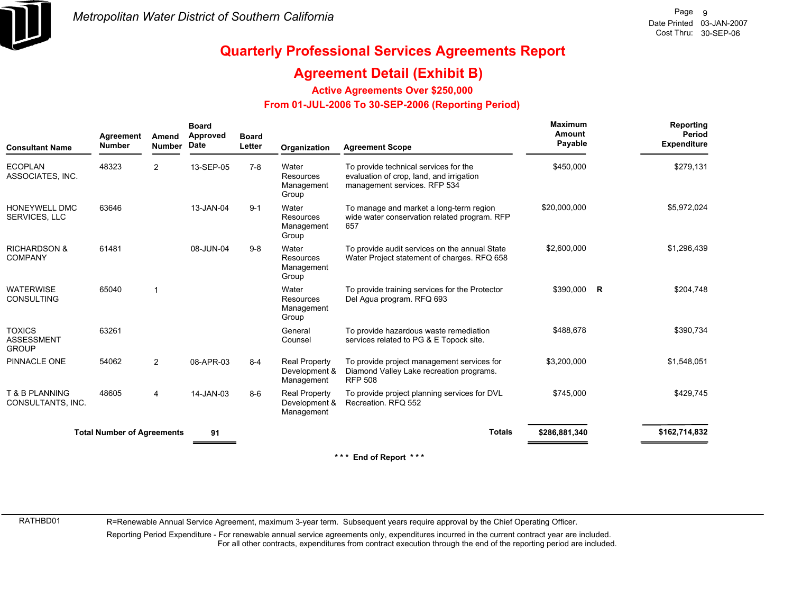

### **Agreement Detail (Exhibit B)**

**Active Agreements Over \$250,000**

#### **From 01-JUL-2006 To 30-SEP-2006 (Reporting Period)**

| <b>Consultant Name</b>                             | Agreement<br><b>Number</b>        | Amend<br><b>Number</b> | <b>Board</b><br>Approved<br><b>Date</b> | <b>Board</b><br>Letter | Organization                                        | <b>Agreement Scope</b>                                                                                            | <b>Maximum</b><br>Amount<br>Payable | Reporting<br>Period<br><b>Expenditure</b> |
|----------------------------------------------------|-----------------------------------|------------------------|-----------------------------------------|------------------------|-----------------------------------------------------|-------------------------------------------------------------------------------------------------------------------|-------------------------------------|-------------------------------------------|
| <b>ECOPLAN</b><br>ASSOCIATES, INC.                 | 48323                             | $\overline{2}$         | 13-SEP-05                               | $7-8$                  | Water<br>Resources<br>Management<br>Group           | To provide technical services for the<br>evaluation of crop, land, and irrigation<br>management services. RFP 534 | \$450,000                           | \$279,131                                 |
| HONEYWELL DMC<br><b>SERVICES, LLC</b>              | 63646                             |                        | 13-JAN-04                               | $9 - 1$                | Water<br><b>Resources</b><br>Management<br>Group    | To manage and market a long-term region<br>wide water conservation related program. RFP<br>657                    | \$20,000,000                        | \$5,972,024                               |
| <b>RICHARDSON &amp;</b><br><b>COMPANY</b>          | 61481                             |                        | 08-JUN-04                               | $9 - 8$                | Water<br><b>Resources</b><br>Management<br>Group    | To provide audit services on the annual State<br>Water Project statement of charges. RFQ 658                      | \$2,600,000                         | \$1,296,439                               |
| <b>WATERWISE</b><br><b>CONSULTING</b>              | 65040                             |                        |                                         |                        | Water<br><b>Resources</b><br>Management<br>Group    | To provide training services for the Protector<br>Del Agua program. RFQ 693                                       | \$390,000 R                         | \$204,748                                 |
| <b>TOXICS</b><br><b>ASSESSMENT</b><br><b>GROUP</b> | 63261                             |                        |                                         |                        | General<br>Counsel                                  | To provide hazardous waste remediation<br>services related to PG & E Topock site.                                 | \$488,678                           | \$390,734                                 |
| PINNACLE ONE                                       | 54062                             | $\overline{2}$         | 08-APR-03                               | $8 - 4$                | <b>Real Property</b><br>Development &<br>Management | To provide project management services for<br>Diamond Valley Lake recreation programs.<br><b>RFP 508</b>          | \$3,200,000                         | \$1,548,051                               |
| T & B PLANNING<br>CONSULTANTS, INC.                | 48605                             | 4                      | 14-JAN-03                               | $8-6$                  | <b>Real Property</b><br>Development &<br>Management | To provide project planning services for DVL<br>Recreation, RFQ 552                                               | \$745.000                           | \$429.745                                 |
|                                                    | <b>Total Number of Agreements</b> |                        | 91                                      |                        |                                                     | <b>Totals</b>                                                                                                     | \$286,881,340                       | \$162,714,832                             |
|                                                    |                                   |                        |                                         |                        |                                                     | * * *<br>End of Report ***                                                                                        |                                     |                                           |

RATHBD01

R=Renewable Annual Service Agreement, maximum 3-year term. Subsequent years require approval by the Chief Operating Officer.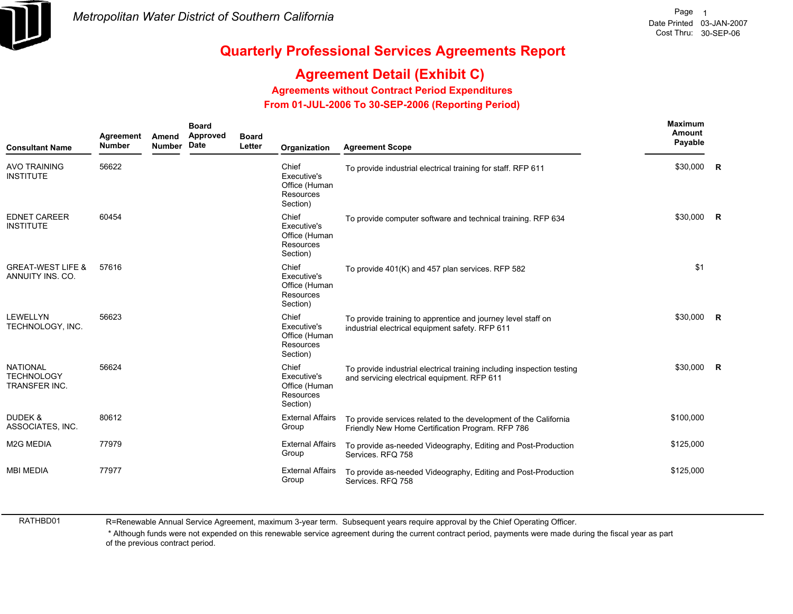

## **Agreement Detail (Exhibit C)**

**Agreements without Contract Period Expenditures**

 **From 01-JUL-2006 To 30-SEP-2006 (Reporting Period)** 

| <b>Consultant Name</b>                                | Agreement<br><b>Number</b> | Amend<br><b>Number</b> | <b>Board</b><br>Approved<br>Date | <b>Board</b><br>Letter | Organization                                                   | <b>Agreement Scope</b>                                                                                                | Maximum<br>Amount<br>Payable |  |
|-------------------------------------------------------|----------------------------|------------------------|----------------------------------|------------------------|----------------------------------------------------------------|-----------------------------------------------------------------------------------------------------------------------|------------------------------|--|
| <b>AVO TRAINING</b><br><b>INSTITUTE</b>               | 56622                      |                        |                                  |                        | Chief<br>Executive's<br>Office (Human<br>Resources<br>Section) | To provide industrial electrical training for staff. RFP 611                                                          | \$30,000 R                   |  |
| <b>EDNET CAREER</b><br><b>INSTITUTE</b>               | 60454                      |                        |                                  |                        | Chief<br>Executive's<br>Office (Human<br>Resources<br>Section) | To provide computer software and technical training. RFP 634                                                          | \$30,000 R                   |  |
| <b>GREAT-WEST LIFE &amp;</b><br>ANNUITY INS. CO.      | 57616                      |                        |                                  |                        | Chief<br>Executive's<br>Office (Human<br>Resources<br>Section) | To provide 401(K) and 457 plan services. RFP 582                                                                      | \$1                          |  |
| <b>LEWELLYN</b><br>TECHNOLOGY, INC.                   | 56623                      |                        |                                  |                        | Chief<br>Executive's<br>Office (Human<br>Resources<br>Section) | To provide training to apprentice and journey level staff on<br>industrial electrical equipment safety. RFP 611       | \$30,000 R                   |  |
| <b>NATIONAL</b><br><b>TECHNOLOGY</b><br>TRANSFER INC. | 56624                      |                        |                                  |                        | Chief<br>Executive's<br>Office (Human<br>Resources<br>Section) | To provide industrial electrical training including inspection testing<br>and servicing electrical equipment. RFP 611 | \$30,000 R                   |  |
| <b>DUDEK &amp;</b><br>ASSOCIATES, INC.                | 80612                      |                        |                                  |                        | <b>External Affairs</b><br>Group                               | To provide services related to the development of the California<br>Friendly New Home Certification Program. RFP 786  | \$100,000                    |  |
| <b>M2G MEDIA</b>                                      | 77979                      |                        |                                  |                        | <b>External Affairs</b><br>Group                               | To provide as-needed Videography, Editing and Post-Production<br>Services. RFQ 758                                    | \$125,000                    |  |
| <b>MBI MEDIA</b>                                      | 77977                      |                        |                                  |                        | <b>External Affairs</b><br>Group                               | To provide as-needed Videography, Editing and Post-Production<br>Services, RFQ 758                                    | \$125,000                    |  |

RATHBD01

R=Renewable Annual Service Agreement, maximum 3-year term. Subsequent years require approval by the Chief Operating Officer.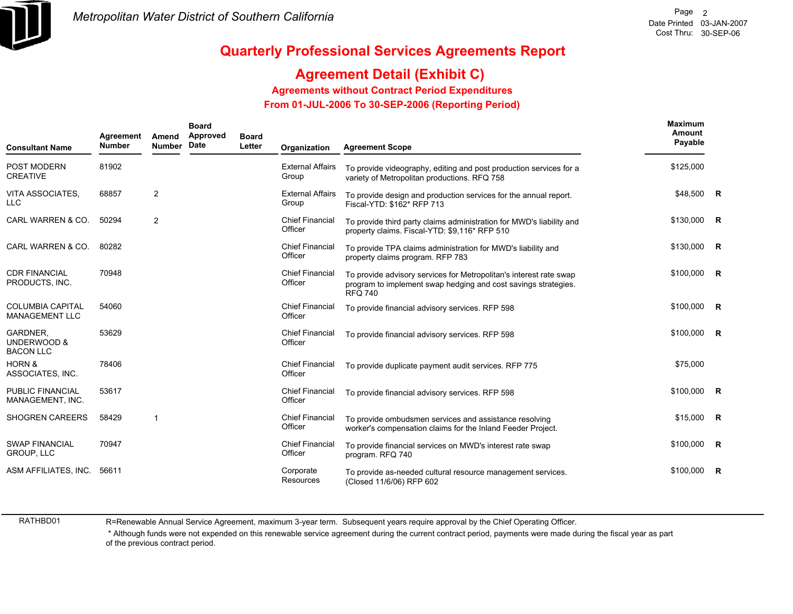

## **Agreement Detail (Exhibit C)**

**Agreements without Contract Period Expenditures**

 **From 01-JUL-2006 To 30-SEP-2006 (Reporting Period)** 

| <b>Consultant Name</b>                             | Agreement<br><b>Number</b> | Amend<br>Number | <b>Board</b><br>Approved<br>Date | <b>Board</b><br>Letter | Organization                      | <b>Agreement Scope</b>                                                                                                                                 | <b>Maximum</b><br>Amount<br>Payable |  |
|----------------------------------------------------|----------------------------|-----------------|----------------------------------|------------------------|-----------------------------------|--------------------------------------------------------------------------------------------------------------------------------------------------------|-------------------------------------|--|
| POST MODERN<br><b>CREATIVE</b>                     | 81902                      |                 |                                  |                        | <b>External Affairs</b><br>Group  | To provide videography, editing and post production services for a<br>variety of Metropolitan productions. RFQ 758                                     | \$125,000                           |  |
| VITA ASSOCIATES.<br><b>LLC</b>                     | 68857                      | $\overline{2}$  |                                  |                        | <b>External Affairs</b><br>Group  | To provide design and production services for the annual report.<br>Fiscal-YTD: \$162* RFP 713                                                         | \$48,500 R                          |  |
| CARL WARREN & CO.                                  | 50294                      | $\overline{2}$  |                                  |                        | <b>Chief Financial</b><br>Officer | To provide third party claims administration for MWD's liability and<br>property claims. Fiscal-YTD: \$9,116* RFP 510                                  | \$130,000 R                         |  |
| CARL WARREN & CO.                                  | 80282                      |                 |                                  |                        | <b>Chief Financial</b><br>Officer | To provide TPA claims administration for MWD's liability and<br>property claims program. RFP 783                                                       | \$130,000 R                         |  |
| <b>CDR FINANCIAL</b><br>PRODUCTS, INC.             | 70948                      |                 |                                  |                        | <b>Chief Financial</b><br>Officer | To provide advisory services for Metropolitan's interest rate swap<br>program to implement swap hedging and cost savings strategies.<br><b>RFQ 740</b> | $$100,000$ R                        |  |
| <b>COLUMBIA CAPITAL</b><br><b>MANAGEMENT LLC</b>   | 54060                      |                 |                                  |                        | <b>Chief Financial</b><br>Officer | To provide financial advisory services. RFP 598                                                                                                        | $$100,000$ R                        |  |
| <b>GARDNER.</b><br>UNDERWOOD &<br><b>BACON LLC</b> | 53629                      |                 |                                  |                        | <b>Chief Financial</b><br>Officer | To provide financial advisory services. RFP 598                                                                                                        | $$100,000$ R                        |  |
| <b>HORN &amp;</b><br>ASSOCIATES, INC.              | 78406                      |                 |                                  |                        | <b>Chief Financial</b><br>Officer | To provide duplicate payment audit services. RFP 775                                                                                                   | \$75,000                            |  |
| <b>PUBLIC FINANCIAL</b><br>MANAGEMENT, INC.        | 53617                      |                 |                                  |                        | <b>Chief Financial</b><br>Officer | To provide financial advisory services. RFP 598                                                                                                        | $$100,000$ R                        |  |
| <b>SHOGREN CAREERS</b>                             | 58429                      | $\overline{1}$  |                                  |                        | <b>Chief Financial</b><br>Officer | To provide ombudsmen services and assistance resolving<br>worker's compensation claims for the Inland Feeder Project.                                  | $$15,000$ R                         |  |
| <b>SWAP FINANCIAL</b><br><b>GROUP, LLC</b>         | 70947                      |                 |                                  |                        | <b>Chief Financial</b><br>Officer | To provide financial services on MWD's interest rate swap<br>program. RFQ 740                                                                          | $$100,000$ R                        |  |
| ASM AFFILIATES, INC.                               | 56611                      |                 |                                  |                        | Corporate<br>Resources            | To provide as-needed cultural resource management services.<br>(Closed 11/6/06) RFP 602                                                                | \$100,000 R                         |  |

RATHBD01

R=Renewable Annual Service Agreement, maximum 3-year term. Subsequent years require approval by the Chief Operating Officer.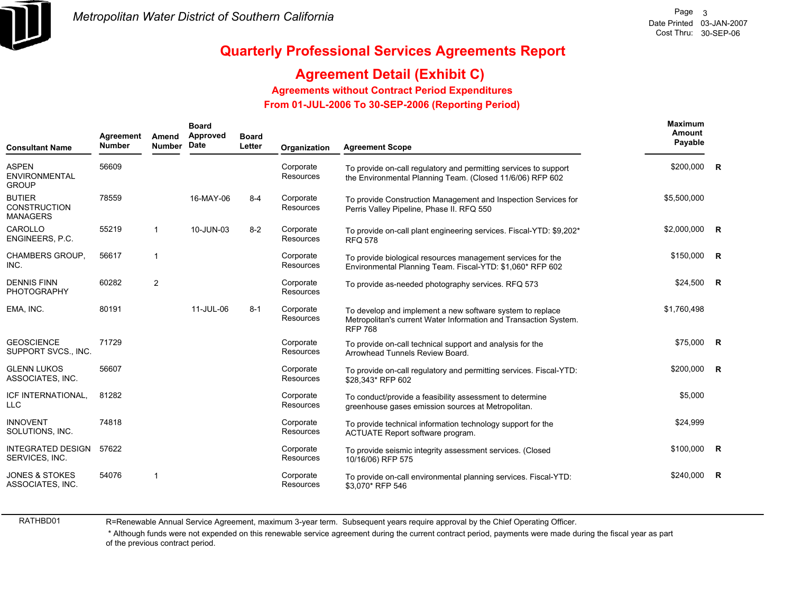

## **Agreement Detail (Exhibit C)**

#### **Agreements without Contract Period Expenditures**

 **From 01-JUL-2006 To 30-SEP-2006 (Reporting Period)** 

| <b>Consultant Name</b>                                  | Agreement<br><b>Number</b> | Amend<br><b>Number</b> | <b>Board</b><br>Approved<br>Date | <b>Board</b><br>Letter | Organization                  | <b>Agreement Scope</b>                                                                                                                          | Maximum<br>Amount<br>Payable |          |
|---------------------------------------------------------|----------------------------|------------------------|----------------------------------|------------------------|-------------------------------|-------------------------------------------------------------------------------------------------------------------------------------------------|------------------------------|----------|
| <b>ASPEN</b><br><b>ENVIRONMENTAL</b><br><b>GROUP</b>    | 56609                      |                        |                                  |                        | Corporate<br><b>Resources</b> | To provide on-call regulatory and permitting services to support<br>the Environmental Planning Team. (Closed 11/6/06) RFP 602                   | \$200,000 R                  |          |
| <b>BUTIER</b><br><b>CONSTRUCTION</b><br><b>MANAGERS</b> | 78559                      |                        | 16-MAY-06                        | $8 - 4$                | Corporate<br>Resources        | To provide Construction Management and Inspection Services for<br>Perris Valley Pipeline, Phase II. RFQ 550                                     | \$5,500,000                  |          |
| CAROLLO<br>ENGINEERS, P.C.                              | 55219                      | -1                     | 10-JUN-03                        | $8 - 2$                | Corporate<br><b>Resources</b> | To provide on-call plant engineering services. Fiscal-YTD: \$9,202*<br><b>RFQ 578</b>                                                           | $$2,000,000$ R               |          |
| <b>CHAMBERS GROUP,</b><br>INC.                          | 56617                      | 1                      |                                  |                        | Corporate<br>Resources        | To provide biological resources management services for the<br>Environmental Planning Team. Fiscal-YTD: \$1,060* RFP 602                        | $$150,000$ R                 |          |
| <b>DENNIS FINN</b><br><b>PHOTOGRAPHY</b>                | 60282                      | 2                      |                                  |                        | Corporate<br><b>Resources</b> | To provide as-needed photography services. RFQ 573                                                                                              | $$24,500$ R                  |          |
| EMA, INC.                                               | 80191                      |                        | 11-JUL-06                        | $8 - 1$                | Corporate<br>Resources        | To develop and implement a new software system to replace<br>Metropolitan's current Water Information and Transaction System.<br><b>RFP 768</b> | \$1,760,498                  |          |
| <b>GEOSCIENCE</b><br>SUPPORT SVCS., INC.                | 71729                      |                        |                                  |                        | Corporate<br><b>Resources</b> | To provide on-call technical support and analysis for the<br>Arrowhead Tunnels Review Board.                                                    | \$75,000 R                   |          |
| <b>GLENN LUKOS</b><br>ASSOCIATES, INC.                  | 56607                      |                        |                                  |                        | Corporate<br><b>Resources</b> | To provide on-call regulatory and permitting services. Fiscal-YTD:<br>\$28,343* RFP 602                                                         | $$200,000$ R                 |          |
| ICF INTERNATIONAL,<br><b>LLC</b>                        | 81282                      |                        |                                  |                        | Corporate<br>Resources        | To conduct/provide a feasibility assessment to determine<br>greenhouse gases emission sources at Metropolitan.                                  | \$5,000                      |          |
| <b>INNOVENT</b><br>SOLUTIONS, INC.                      | 74818                      |                        |                                  |                        | Corporate<br><b>Resources</b> | To provide technical information technology support for the<br>ACTUATE Report software program.                                                 | \$24,999                     |          |
| <b>INTEGRATED DESIGN</b><br>SERVICES, INC.              | 57622                      |                        |                                  |                        | Corporate<br>Resources        | To provide seismic integrity assessment services. (Closed<br>10/16/06) RFP 575                                                                  | \$100,000                    | <b>R</b> |
| <b>JONES &amp; STOKES</b><br>ASSOCIATES, INC.           | 54076                      | 1                      |                                  |                        | Corporate<br>Resources        | To provide on-call environmental planning services. Fiscal-YTD:<br>\$3,070* RFP 546                                                             | \$240.000                    | <b>R</b> |

RATHBD01

R=Renewable Annual Service Agreement, maximum 3-year term. Subsequent years require approval by the Chief Operating Officer.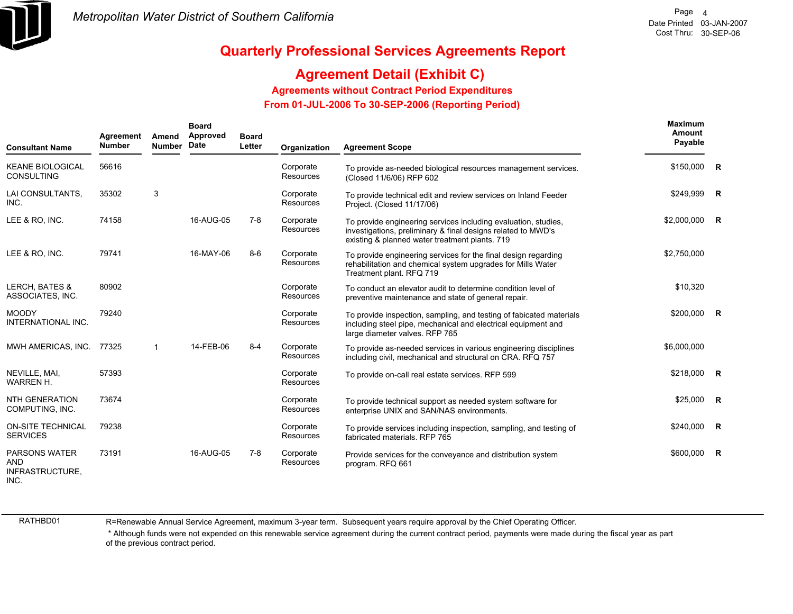

## **Agreement Detail (Exhibit C)**

**Agreements without Contract Period Expenditures**

 **From 01-JUL-2006 To 30-SEP-2006 (Reporting Period)** 

| <b>Consultant Name</b>                                        | Agreement<br><b>Number</b> | Amend<br><b>Number</b> | <b>Board</b><br>Approved<br>Date | <b>Board</b><br>Letter | Organization           | <b>Agreement Scope</b>                                                                                                                                                           | <b>Maximum</b><br>Amount<br>Payable |  |
|---------------------------------------------------------------|----------------------------|------------------------|----------------------------------|------------------------|------------------------|----------------------------------------------------------------------------------------------------------------------------------------------------------------------------------|-------------------------------------|--|
| <b>KEANE BIOLOGICAL</b><br><b>CONSULTING</b>                  | 56616                      |                        |                                  |                        | Corporate<br>Resources | To provide as-needed biological resources management services.<br>(Closed 11/6/06) RFP 602                                                                                       | \$150,000 R                         |  |
| LAI CONSULTANTS,<br>INC.                                      | 35302                      | 3                      |                                  |                        | Corporate<br>Resources | To provide technical edit and review services on Inland Feeder<br>Project. (Closed 11/17/06)                                                                                     | \$249,999 R                         |  |
| LEE & RO, INC.                                                | 74158                      |                        | 16-AUG-05                        | $7-8$                  | Corporate<br>Resources | To provide engineering services including evaluation, studies,<br>investigations, preliminary & final designs related to MWD's<br>existing & planned water treatment plants. 719 | \$2,000,000 R                       |  |
| LEE & RO, INC.                                                | 79741                      |                        | 16-MAY-06                        | $8-6$                  | Corporate<br>Resources | To provide engineering services for the final design regarding<br>rehabilitation and chemical system upgrades for Mills Water<br>Treatment plant. RFQ 719                        | \$2,750,000                         |  |
| <b>LERCH, BATES &amp;</b><br>ASSOCIATES, INC.                 | 80902                      |                        |                                  |                        | Corporate<br>Resources | To conduct an elevator audit to determine condition level of<br>preventive maintenance and state of general repair.                                                              | \$10,320                            |  |
| <b>MOODY</b><br>INTERNATIONAL INC.                            | 79240                      |                        |                                  |                        | Corporate<br>Resources | To provide inspection, sampling, and testing of fabicated materials<br>including steel pipe, mechanical and electrical equipment and<br>large diameter valves. RFP 765           | \$200,000 R                         |  |
| MWH AMERICAS, INC.                                            | 77325                      | $\mathbf 1$            | 14-FEB-06                        | $8 - 4$                | Corporate<br>Resources | To provide as-needed services in various engineering disciplines<br>including civil, mechanical and structural on CRA. RFQ 757                                                   | \$6,000,000                         |  |
| NEVILLE, MAI,<br><b>WARREN H.</b>                             | 57393                      |                        |                                  |                        | Corporate<br>Resources | To provide on-call real estate services. RFP 599                                                                                                                                 | \$218,000 R                         |  |
| <b>NTH GENERATION</b><br>COMPUTING, INC.                      | 73674                      |                        |                                  |                        | Corporate<br>Resources | To provide technical support as needed system software for<br>enterprise UNIX and SAN/NAS environments.                                                                          | $$25,000$ R                         |  |
| <b>ON-SITE TECHNICAL</b><br><b>SERVICES</b>                   | 79238                      |                        |                                  |                        | Corporate<br>Resources | To provide services including inspection, sampling, and testing of<br>fabricated materials. RFP 765                                                                              | \$240,000 R                         |  |
| <b>PARSONS WATER</b><br><b>AND</b><br>INFRASTRUCTURE,<br>INC. | 73191                      |                        | 16-AUG-05                        | 7-8                    | Corporate<br>Resources | Provide services for the conveyance and distribution system<br>program. RFQ 661                                                                                                  | \$600,000 R                         |  |

RATHBD01

R=Renewable Annual Service Agreement, maximum 3-year term. Subsequent years require approval by the Chief Operating Officer.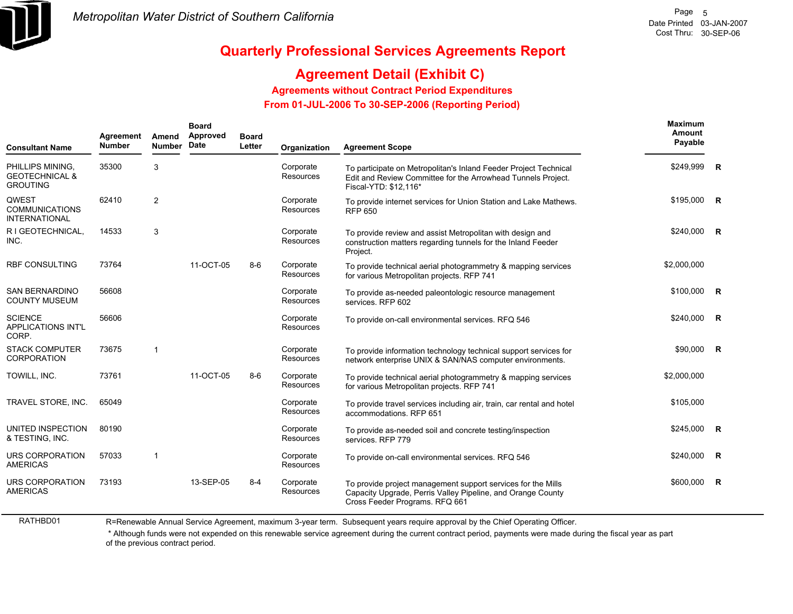

RATHBD01

**Maximum**

## **Quarterly Professional Services Agreements Report**

## **Agreement Detail (Exhibit C)**

**Agreements without Contract Period Expenditures**

 **From 01-JUL-2006 To 30-SEP-2006 (Reporting Period)** 

| <b>Consultant Name</b>                                           | Agreement<br><b>Number</b> | Amend<br><b>Number</b> | <b>Board</b><br>Approved<br><b>Date</b> | <b>Board</b><br>Letter | Organization                  | <b>Agreement Scope</b>                                                                                                                                        | maximum<br>Amount<br>Payable |    |
|------------------------------------------------------------------|----------------------------|------------------------|-----------------------------------------|------------------------|-------------------------------|---------------------------------------------------------------------------------------------------------------------------------------------------------------|------------------------------|----|
| PHILLIPS MINING.<br><b>GEOTECHNICAL &amp;</b><br><b>GROUTING</b> | 35300                      | 3                      |                                         |                        | Corporate<br><b>Resources</b> | To participate on Metropolitan's Inland Feeder Project Technical<br>Edit and Review Committee for the Arrowhead Tunnels Project.<br>Fiscal-YTD: \$12,116*     | \$249,999                    | R  |
| QWEST<br><b>COMMUNICATIONS</b><br><b>INTERNATIONAL</b>           | 62410                      | 2                      |                                         |                        | Corporate<br>Resources        | To provide internet services for Union Station and Lake Mathews.<br><b>RFP 650</b>                                                                            | \$195,000                    | R. |
| R I GEOTECHNICAL,<br>INC.                                        | 14533                      | 3                      |                                         |                        | Corporate<br><b>Resources</b> | To provide review and assist Metropolitan with design and<br>construction matters regarding tunnels for the Inland Feeder<br>Project.                         | \$240,000                    | R  |
| <b>RBF CONSULTING</b>                                            | 73764                      |                        | 11-OCT-05                               | $8-6$                  | Corporate<br>Resources        | To provide technical aerial photogrammetry & mapping services<br>for various Metropolitan projects. RFP 741                                                   | \$2,000,000                  |    |
| <b>SAN BERNARDINO</b><br><b>COUNTY MUSEUM</b>                    | 56608                      |                        |                                         |                        | Corporate<br><b>Resources</b> | To provide as-needed paleontologic resource management<br>services. RFP 602                                                                                   | \$100,000                    | R  |
| <b>SCIENCE</b><br><b>APPLICATIONS INT'L</b><br>CORP.             | 56606                      |                        |                                         |                        | Corporate<br>Resources        | To provide on-call environmental services. RFQ 546                                                                                                            | \$240,000                    | R  |
| <b>STACK COMPUTER</b><br><b>CORPORATION</b>                      | 73675                      | $\mathbf{1}$           |                                         |                        | Corporate<br><b>Resources</b> | To provide information technology technical support services for<br>network enterprise UNIX & SAN/NAS computer environments.                                  | \$90,000                     | R  |
| TOWILL, INC.                                                     | 73761                      |                        | 11-OCT-05                               | $8 - 6$                | Corporate<br>Resources        | To provide technical aerial photogrammetry & mapping services<br>for various Metropolitan projects. RFP 741                                                   | \$2,000,000                  |    |
| TRAVEL STORE, INC.                                               | 65049                      |                        |                                         |                        | Corporate<br><b>Resources</b> | To provide travel services including air, train, car rental and hotel<br>accommodations. RFP 651                                                              | \$105,000                    |    |
| UNITED INSPECTION<br>& TESTING, INC.                             | 80190                      |                        |                                         |                        | Corporate<br>Resources        | To provide as-needed soil and concrete testing/inspection<br>services. RFP 779                                                                                | \$245,000                    | R  |
| <b>URS CORPORATION</b><br><b>AMERICAS</b>                        | 57033                      | 1                      |                                         |                        | Corporate<br><b>Resources</b> | To provide on-call environmental services. RFQ 546                                                                                                            | \$240,000                    | R  |
| URS CORPORATION<br><b>AMERICAS</b>                               | 73193                      |                        | 13-SEP-05                               | $8 - 4$                | Corporate<br><b>Resources</b> | To provide project management support services for the Mills<br>Capacity Upgrade, Perris Valley Pipeline, and Orange County<br>Cross Feeder Programs. RFQ 661 | \$600,000                    | R  |

R=Renewable Annual Service Agreement, maximum 3-year term. Subsequent years require approval by the Chief Operating Officer.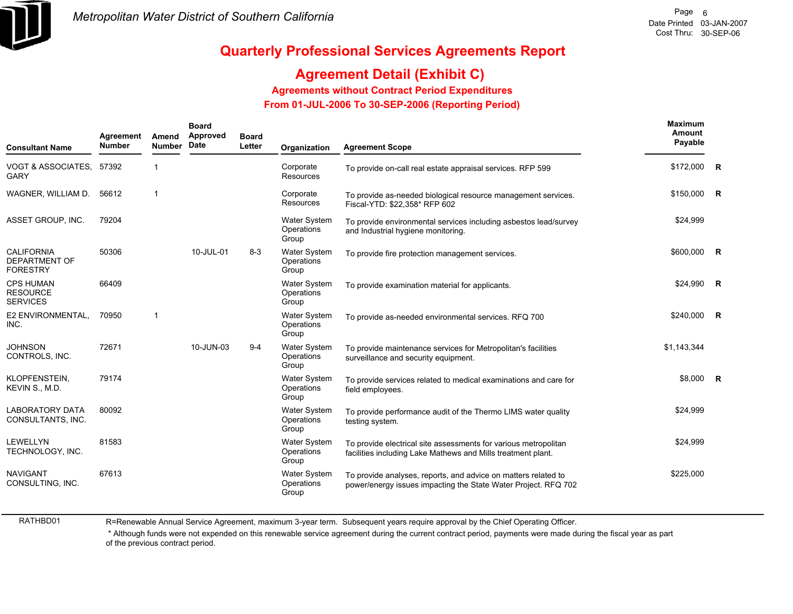

## **Agreement Detail (Exhibit C)**

**Agreements without Contract Period Expenditures**

 **From 01-JUL-2006 To 30-SEP-2006 (Reporting Period)** 

| <b>Consultant Name</b>                                       | Agreement<br><b>Number</b> | Amend<br>Number | <b>Board</b><br>Approved<br>Date | <b>Board</b><br>Letter | Organization                               | <b>Agreement Scope</b>                                                                                                           | <b>Maximum</b><br>Amount<br>Payable |   |
|--------------------------------------------------------------|----------------------------|-----------------|----------------------------------|------------------------|--------------------------------------------|----------------------------------------------------------------------------------------------------------------------------------|-------------------------------------|---|
| VOGT & ASSOCIATES, 57392<br><b>GARY</b>                      |                            | $\mathbf{1}$    |                                  |                        | Corporate<br>Resources                     | To provide on-call real estate appraisal services. RFP 599                                                                       | \$172,000                           | R |
| WAGNER, WILLIAM D.                                           | 56612                      | $\overline{1}$  |                                  |                        | Corporate<br>Resources                     | To provide as-needed biological resource management services.<br>Fiscal-YTD: \$22,358* RFP 602                                   | \$150,000 R                         |   |
| ASSET GROUP, INC.                                            | 79204                      |                 |                                  |                        | <b>Water System</b><br>Operations<br>Group | To provide environmental services including asbestos lead/survey<br>and Industrial hygiene monitoring.                           | \$24,999                            |   |
| <b>CALIFORNIA</b><br><b>DEPARTMENT OF</b><br><b>FORESTRY</b> | 50306                      |                 | 10-JUL-01                        | $8 - 3$                | Water System<br>Operations<br>Group        | To provide fire protection management services.                                                                                  | \$600,000 R                         |   |
| <b>CPS HUMAN</b><br><b>RESOURCE</b><br><b>SERVICES</b>       | 66409                      |                 |                                  |                        | Water System<br>Operations<br>Group        | To provide examination material for applicants.                                                                                  | \$24,990                            | R |
| E2 ENVIRONMENTAL,<br>INC.                                    | 70950                      | $\mathbf{1}$    |                                  |                        | <b>Water System</b><br>Operations<br>Group | To provide as-needed environmental services. RFQ 700                                                                             | \$240,000                           | R |
| <b>JOHNSON</b><br>CONTROLS, INC.                             | 72671                      |                 | 10-JUN-03                        | $9 - 4$                | <b>Water System</b><br>Operations<br>Group | To provide maintenance services for Metropolitan's facilities<br>surveillance and security equipment.                            | \$1,143,344                         |   |
| KLOPFENSTEIN,<br>KEVIN S., M.D.                              | 79174                      |                 |                                  |                        | <b>Water System</b><br>Operations<br>Group | To provide services related to medical examinations and care for<br>field employees.                                             | \$8,000 R                           |   |
| <b>LABORATORY DATA</b><br>CONSULTANTS, INC.                  | 80092                      |                 |                                  |                        | <b>Water System</b><br>Operations<br>Group | To provide performance audit of the Thermo LIMS water quality<br>testing system.                                                 | \$24,999                            |   |
| LEWELLYN<br>TECHNOLOGY, INC.                                 | 81583                      |                 |                                  |                        | <b>Water System</b><br>Operations<br>Group | To provide electrical site assessments for various metropolitan<br>facilities including Lake Mathews and Mills treatment plant.  | \$24,999                            |   |
| <b>NAVIGANT</b><br>CONSULTING, INC.                          | 67613                      |                 |                                  |                        | <b>Water System</b><br>Operations<br>Group | To provide analyses, reports, and advice on matters related to<br>power/energy issues impacting the State Water Project. RFQ 702 | \$225,000                           |   |

RATHBD01

R=Renewable Annual Service Agreement, maximum 3-year term. Subsequent years require approval by the Chief Operating Officer.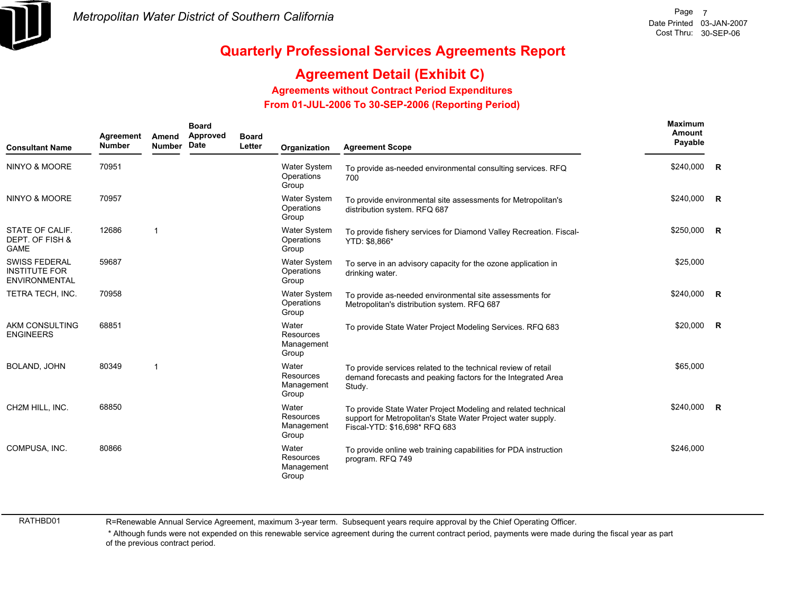

## **Agreement Detail (Exhibit C)**

**Agreements without Contract Period Expenditures**

 **From 01-JUL-2006 To 30-SEP-2006 (Reporting Period)** 

| <b>Consultant Name</b>                                               | Agreement<br><b>Number</b> | Amend<br><b>Number</b> | <b>Board</b><br>Approved<br>Date | <b>Board</b><br>Letter | Organization                                     | <b>Agreement Scope</b>                                                                                                                                         | <b>Maximum</b><br>Amount<br>Payable |  |
|----------------------------------------------------------------------|----------------------------|------------------------|----------------------------------|------------------------|--------------------------------------------------|----------------------------------------------------------------------------------------------------------------------------------------------------------------|-------------------------------------|--|
| <b>NINYO &amp; MOORE</b>                                             | 70951                      |                        |                                  |                        | Water System<br>Operations<br>Group              | To provide as-needed environmental consulting services. RFQ<br>700                                                                                             | \$240,000 R                         |  |
| NINYO & MOORE                                                        | 70957                      |                        |                                  |                        | <b>Water System</b><br>Operations<br>Group       | To provide environmental site assessments for Metropolitan's<br>distribution system. RFQ 687                                                                   | \$240,000 R                         |  |
| STATE OF CALIF.<br>DEPT. OF FISH &<br><b>GAME</b>                    | 12686                      | $\mathbf{1}$           |                                  |                        | Water System<br>Operations<br>Group              | To provide fishery services for Diamond Valley Recreation. Fiscal-<br>YTD: \$8,866*                                                                            | \$250,000 R                         |  |
| <b>SWISS FEDERAL</b><br><b>INSTITUTE FOR</b><br><b>ENVIRONMENTAL</b> | 59687                      |                        |                                  |                        | Water System<br>Operations<br>Group              | To serve in an advisory capacity for the ozone application in<br>drinking water.                                                                               | \$25,000                            |  |
| TETRA TECH, INC.                                                     | 70958                      |                        |                                  |                        | <b>Water System</b><br>Operations<br>Group       | To provide as-needed environmental site assessments for<br>Metropolitan's distribution system. RFQ 687                                                         | \$240,000 R                         |  |
| AKM CONSULTING<br><b>ENGINEERS</b>                                   | 68851                      |                        |                                  |                        | Water<br>Resources<br>Management<br>Group        | To provide State Water Project Modeling Services. RFQ 683                                                                                                      | \$20,000 R                          |  |
| BOLAND, JOHN                                                         | 80349                      | 1                      |                                  |                        | Water<br><b>Resources</b><br>Management<br>Group | To provide services related to the technical review of retail<br>demand forecasts and peaking factors for the Integrated Area<br>Study.                        | \$65,000                            |  |
| CH2M HILL, INC.                                                      | 68850                      |                        |                                  |                        | Water<br>Resources<br>Management<br>Group        | To provide State Water Project Modeling and related technical<br>support for Metropolitan's State Water Project water supply.<br>Fiscal-YTD: \$16,698* RFQ 683 | $$240,000$ R                        |  |
| COMPUSA. INC.                                                        | 80866                      |                        |                                  |                        | Water<br>Resources<br>Management<br>Group        | To provide online web training capabilities for PDA instruction<br>program. RFQ 749                                                                            | \$246,000                           |  |

RATHBD01

R=Renewable Annual Service Agreement, maximum 3-year term. Subsequent years require approval by the Chief Operating Officer.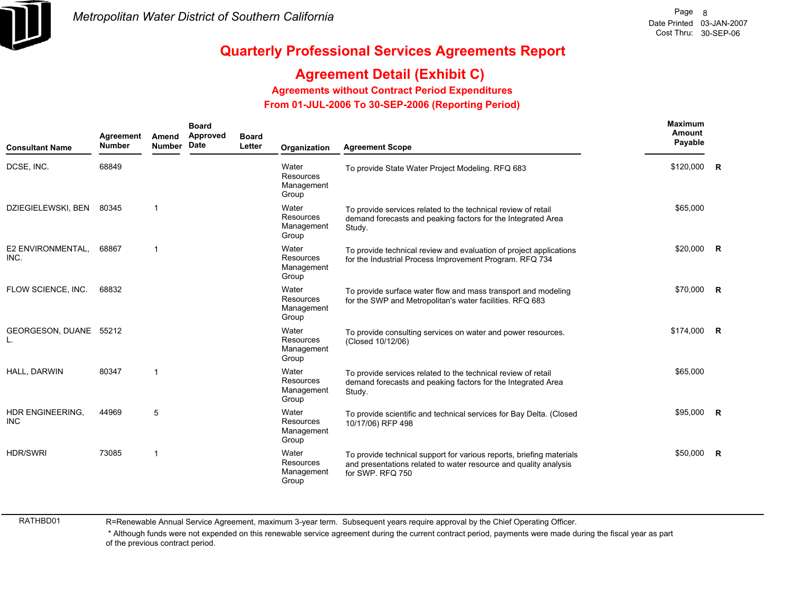

## **Agreement Detail (Exhibit C)**

**Agreements without Contract Period Expenditures**

 **From 01-JUL-2006 To 30-SEP-2006 (Reporting Period)** 

| <b>Consultant Name</b>         | Agreement<br><b>Number</b> | Amend<br><b>Number</b> | <b>Board</b><br>Approved<br>Date | <b>Board</b><br>Letter | Organization                                     | <b>Agreement Scope</b>                                                                                                                                       | Maximum<br>Amount<br>Payable |                         |
|--------------------------------|----------------------------|------------------------|----------------------------------|------------------------|--------------------------------------------------|--------------------------------------------------------------------------------------------------------------------------------------------------------------|------------------------------|-------------------------|
| DCSE, INC.                     | 68849                      |                        |                                  |                        | Water<br>Resources<br>Management<br>Group        | To provide State Water Project Modeling. RFQ 683                                                                                                             | \$120,000                    | $\overline{\mathbf{R}}$ |
| DZIEGIELEWSKI, BEN             | 80345                      | $\mathbf{1}$           |                                  |                        | Water<br>Resources<br>Management<br>Group        | To provide services related to the technical review of retail<br>demand forecasts and peaking factors for the Integrated Area<br>Study.                      | \$65,000                     |                         |
| E2 ENVIRONMENTAL,<br>INC.      | 68867                      | $\mathbf 1$            |                                  |                        | Water<br>Resources<br>Management<br>Group        | To provide technical review and evaluation of project applications<br>for the Industrial Process Improvement Program. RFQ 734                                | \$20,000                     | $\mathsf{R}$            |
| FLOW SCIENCE, INC.             | 68832                      |                        |                                  |                        | Water<br><b>Resources</b><br>Management<br>Group | To provide surface water flow and mass transport and modeling<br>for the SWP and Metropolitan's water facilities. RFQ 683                                    | \$70,000                     | $\mathsf{R}$            |
| GEORGESON, DUANE 55212<br>L.   |                            |                        |                                  |                        | Water<br><b>Resources</b><br>Management<br>Group | To provide consulting services on water and power resources.<br>(Closed 10/12/06)                                                                            | \$174,000                    | <b>R</b>                |
| HALL, DARWIN                   | 80347                      | $\mathbf 1$            |                                  |                        | Water<br>Resources<br>Management<br>Group        | To provide services related to the technical review of retail<br>demand forecasts and peaking factors for the Integrated Area<br>Study.                      | \$65,000                     |                         |
| HDR ENGINEERING,<br><b>INC</b> | 44969                      | 5                      |                                  |                        | Water<br><b>Resources</b><br>Management<br>Group | To provide scientific and technical services for Bay Delta. (Closed<br>10/17/06) RFP 498                                                                     | \$95,000                     | R                       |
| <b>HDR/SWRI</b>                | 73085                      | $\mathbf 1$            |                                  |                        | Water<br>Resources<br>Management<br>Group        | To provide technical support for various reports, briefing materials<br>and presentations related to water resource and quality analysis<br>for SWP. RFQ 750 | \$50,000                     | $\mathsf{R}$            |

RATHBD01

R=Renewable Annual Service Agreement, maximum 3-year term. Subsequent years require approval by the Chief Operating Officer.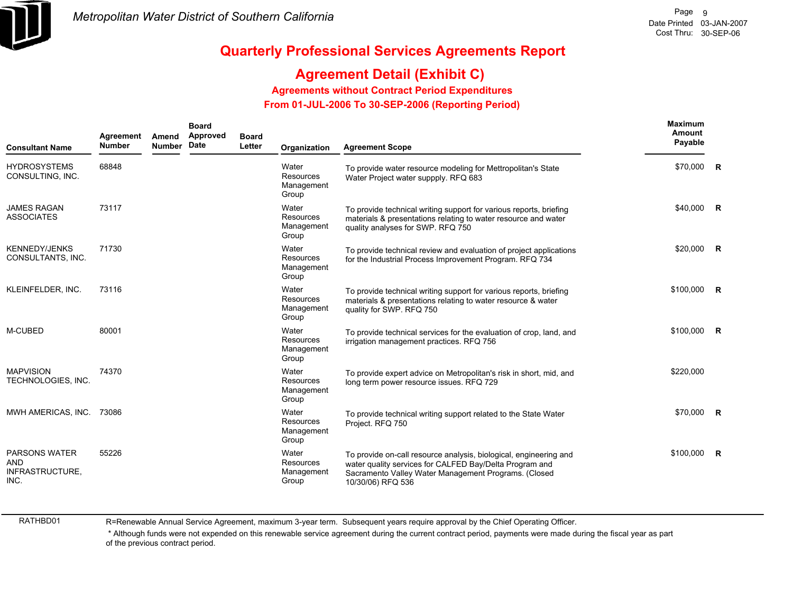

## **Agreement Detail (Exhibit C)**

**Agreements without Contract Period Expenditures**

 **From 01-JUL-2006 To 30-SEP-2006 (Reporting Period)** 

| <b>Consultant Name</b>                                        | Agreement<br><b>Number</b> | Amend<br><b>Number</b> | <b>Board</b><br>Approved<br>Date | <b>Board</b><br>Letter | Organization                                     | <b>Agreement Scope</b>                                                                                                                                                                                    | <b>Maximum</b><br>Amount<br>Payable |                |
|---------------------------------------------------------------|----------------------------|------------------------|----------------------------------|------------------------|--------------------------------------------------|-----------------------------------------------------------------------------------------------------------------------------------------------------------------------------------------------------------|-------------------------------------|----------------|
| <b>HYDROSYSTEMS</b><br>CONSULTING, INC.                       | 68848                      |                        |                                  |                        | Water<br><b>Resources</b><br>Management<br>Group | To provide water resource modeling for Mettropolitan's State<br>Water Project water suppply. RFQ 683                                                                                                      | \$70,000                            | R              |
| <b>JAMES RAGAN</b><br><b>ASSOCIATES</b>                       | 73117                      |                        |                                  |                        | Water<br>Resources<br>Management<br>Group        | To provide technical writing support for various reports, briefing<br>materials & presentations relating to water resource and water<br>quality analyses for SWP. RFQ 750                                 | \$40,000                            | $\overline{R}$ |
| <b>KENNEDY/JENKS</b><br>CONSULTANTS, INC.                     | 71730                      |                        |                                  |                        | Water<br><b>Resources</b><br>Management<br>Group | To provide technical review and evaluation of project applications<br>for the Industrial Process Improvement Program. RFQ 734                                                                             | \$20,000                            | $\mathbf R$    |
| KLEINFELDER, INC.                                             | 73116                      |                        |                                  |                        | Water<br><b>Resources</b><br>Management<br>Group | To provide technical writing support for various reports, briefing<br>materials & presentations relating to water resource & water<br>quality for SWP. RFQ 750                                            | \$100,000                           | $\mathbf R$    |
| M-CUBED                                                       | 80001                      |                        |                                  |                        | Water<br><b>Resources</b><br>Management<br>Group | To provide technical services for the evaluation of crop, land, and<br>irrigation management practices. RFQ 756                                                                                           | \$100,000                           | R              |
| <b>MAPVISION</b><br>TECHNOLOGIES, INC.                        | 74370                      |                        |                                  |                        | Water<br><b>Resources</b><br>Management<br>Group | To provide expert advice on Metropolitan's risk in short, mid, and<br>long term power resource issues. RFQ 729                                                                                            | \$220,000                           |                |
| MWH AMERICAS, INC. 73086                                      |                            |                        |                                  |                        | Water<br><b>Resources</b><br>Management<br>Group | To provide technical writing support related to the State Water<br>Project. RFQ 750                                                                                                                       | \$70,000                            | R              |
| <b>PARSONS WATER</b><br><b>AND</b><br>INFRASTRUCTURE,<br>INC. | 55226                      |                        |                                  |                        | Water<br>Resources<br>Management<br>Group        | To provide on-call resource analysis, biological, engineering and<br>water quality services for CALFED Bay/Delta Program and<br>Sacramento Valley Water Management Programs. (Closed<br>10/30/06) RFQ 536 | \$100,000                           | $\mathsf{R}$   |

RATHBD01

R=Renewable Annual Service Agreement, maximum 3-year term. Subsequent years require approval by the Chief Operating Officer.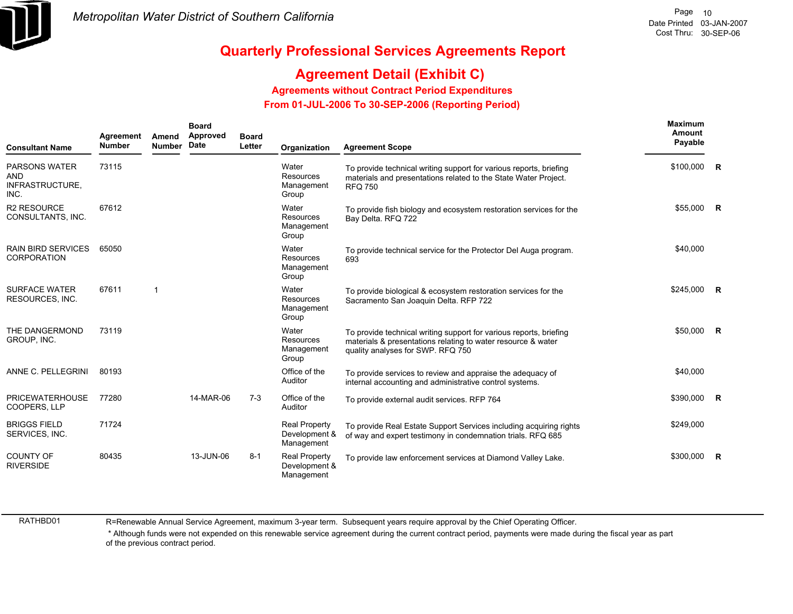

## **Agreement Detail (Exhibit C)**

**Agreements without Contract Period Expenditures**

 **From 01-JUL-2006 To 30-SEP-2006 (Reporting Period)** 

| <b>Consultant Name</b>                                 | Agreement<br><b>Number</b> | Amend<br><b>Number</b> | <b>Board</b><br>Approved<br>Date | <b>Board</b><br>Letter | Organization                                        | <b>Agreement Scope</b>                                                                                                                                                  | Maximum<br>Amount<br>Payable |                |
|--------------------------------------------------------|----------------------------|------------------------|----------------------------------|------------------------|-----------------------------------------------------|-------------------------------------------------------------------------------------------------------------------------------------------------------------------------|------------------------------|----------------|
| <b>PARSONS WATER</b><br>AND<br>INFRASTRUCTURE,<br>INC. | 73115                      |                        |                                  |                        | Water<br>Resources<br>Management<br>Group           | To provide technical writing support for various reports, briefing<br>materials and presentations related to the State Water Project.<br><b>RFQ 750</b>                 | $$100,000$ R                 |                |
| <b>R2 RESOURCE</b><br>CONSULTANTS, INC.                | 67612                      |                        |                                  |                        | Water<br>Resources<br>Management<br>Group           | To provide fish biology and ecosystem restoration services for the<br>Bay Delta. RFQ 722                                                                                | $$55,000$ R                  |                |
| <b>RAIN BIRD SERVICES</b><br><b>CORPORATION</b>        | 65050                      |                        |                                  |                        | Water<br>Resources<br>Management<br>Group           | To provide technical service for the Protector Del Auga program.<br>693                                                                                                 | \$40,000                     |                |
| <b>SURFACE WATER</b><br>RESOURCES, INC.                | 67611                      | 1                      |                                  |                        | Water<br>Resources<br>Management<br>Group           | To provide biological & ecosystem restoration services for the<br>Sacramento San Joaquin Delta. RFP 722                                                                 | $$245,000$ R                 |                |
| THE DANGERMOND<br>GROUP, INC.                          | 73119                      |                        |                                  |                        | Water<br>Resources<br>Management<br>Group           | To provide technical writing support for various reports, briefing<br>materials & presentations relating to water resource & water<br>quality analyses for SWP. RFQ 750 | \$50,000 R                   |                |
| ANNE C. PELLEGRINI                                     | 80193                      |                        |                                  |                        | Office of the<br>Auditor                            | To provide services to review and appraise the adequacy of<br>internal accounting and administrative control systems.                                                   | \$40,000                     |                |
| <b>PRICEWATERHOUSE</b><br>COOPERS, LLP                 | 77280                      |                        | 14-MAR-06                        | $7 - 3$                | Office of the<br>Auditor                            | To provide external audit services. RFP 764                                                                                                                             | \$390,000                    | $\overline{R}$ |
| <b>BRIGGS FIELD</b><br>SERVICES, INC.                  | 71724                      |                        |                                  |                        | <b>Real Property</b><br>Development &<br>Management | To provide Real Estate Support Services including acquiring rights<br>of way and expert testimony in condemnation trials. RFQ 685                                       | \$249,000                    |                |
| <b>COUNTY OF</b><br><b>RIVERSIDE</b>                   | 80435                      |                        | 13-JUN-06                        | $8 - 1$                | <b>Real Property</b><br>Development &<br>Management | To provide law enforcement services at Diamond Valley Lake.                                                                                                             | \$300,000                    | $\overline{R}$ |

RATHBD01

R=Renewable Annual Service Agreement, maximum 3-year term. Subsequent years require approval by the Chief Operating Officer.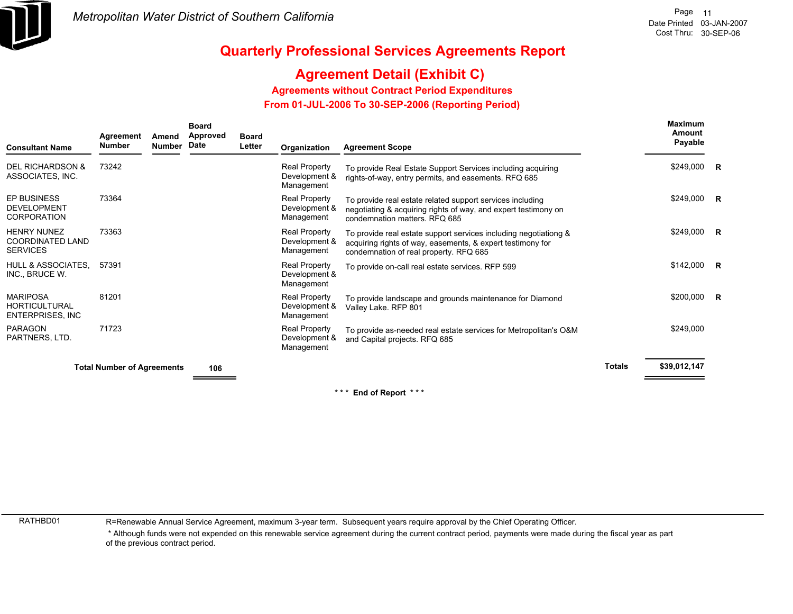

## **Agreement Detail (Exhibit C)**

**Agreements without Contract Period Expenditures**

 **From 01-JUL-2006 To 30-SEP-2006 (Reporting Period)** 

| <b>Consultant Name</b>                                              | Agreement<br><b>Number</b>        | Amend<br>Number | <b>Board</b><br>Approved<br>Date | <b>Board</b><br>Letter | Organization                                        | <b>Agreement Scope</b>                                                                                                                                                   |               | <b>Maximum</b><br>Amount<br>Payable |  |
|---------------------------------------------------------------------|-----------------------------------|-----------------|----------------------------------|------------------------|-----------------------------------------------------|--------------------------------------------------------------------------------------------------------------------------------------------------------------------------|---------------|-------------------------------------|--|
| <b>DEL RICHARDSON &amp;</b><br>ASSOCIATES, INC.                     | 73242                             |                 |                                  |                        | Real Property<br>Development &<br>Management        | To provide Real Estate Support Services including acquiring<br>rights-of-way, entry permits, and easements. RFQ 685                                                      |               | $$249,000$ R                        |  |
| <b>EP BUSINESS</b><br><b>DEVELOPMENT</b><br><b>CORPORATION</b>      | 73364                             |                 |                                  |                        | Real Property<br>Development &<br>Management        | To provide real estate related support services including<br>negotiating & acquiring rights of way, and expert testimony on<br>condemnation matters, RFQ 685             |               | $$249,000$ R                        |  |
| <b>HENRY NUNEZ</b><br>COORDINATED LAND<br><b>SERVICES</b>           | 73363                             |                 |                                  |                        | Real Property<br>Development &<br>Management        | To provide real estate support services including negotiationg &<br>acquiring rights of way, easements, & expert testimony for<br>condemnation of real property. RFQ 685 |               | \$249,000 R                         |  |
| HULL & ASSOCIATES,<br>INC., BRUCE W.                                | 57391                             |                 |                                  |                        | Real Property<br>Development &<br>Management        | To provide on-call real estate services. RFP 599                                                                                                                         |               | $$142,000$ R                        |  |
| <b>MARIPOSA</b><br><b>HORTICULTURAL</b><br><b>ENTERPRISES, INC.</b> | 81201                             |                 |                                  |                        | <b>Real Property</b><br>Development &<br>Management | To provide landscape and grounds maintenance for Diamond<br>Valley Lake. RFP 801                                                                                         |               | \$200,000 R                         |  |
| <b>PARAGON</b><br>PARTNERS, LTD.                                    | 71723                             |                 |                                  |                        | Real Property<br>Development &<br>Management        | To provide as-needed real estate services for Metropolitan's O&M<br>and Capital projects. RFQ 685                                                                        |               | \$249,000                           |  |
|                                                                     | <b>Total Number of Agreements</b> |                 | 106                              |                        |                                                     |                                                                                                                                                                          | <b>Totals</b> | \$39,012,147                        |  |
|                                                                     |                                   |                 |                                  |                        |                                                     |                                                                                                                                                                          |               |                                     |  |

**\* \* \* End of Report \* \* \***

RATHBD01

R=Renewable Annual Service Agreement, maximum 3-year term. Subsequent years require approval by the Chief Operating Officer.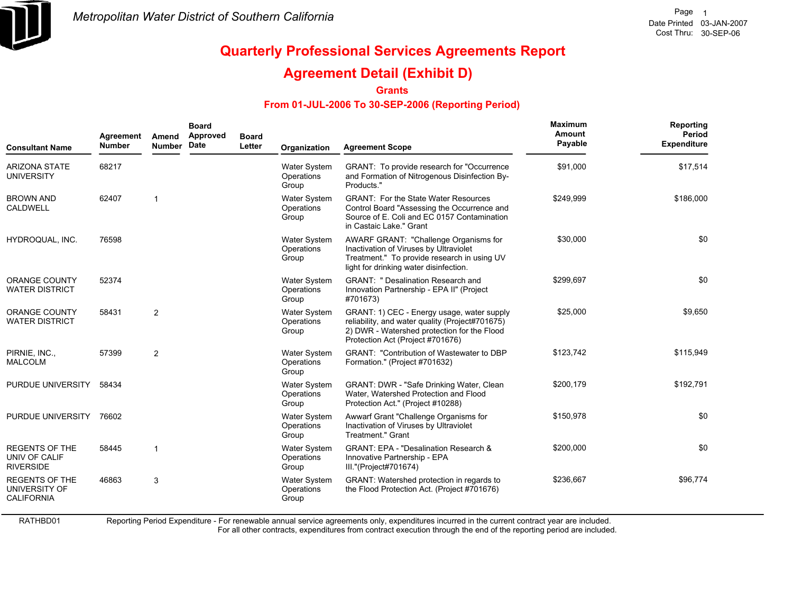

## **Agreement Detail (Exhibit D)**

**Grants**

#### **From 01-JUL-2006 To 30-SEP-2006 (Reporting Period)**

| <b>Consultant Name</b>                                      | Agreement<br><b>Number</b> | Amend<br><b>Number</b> | <b>Board</b><br>Approved<br>Date | <b>Board</b><br>Letter | Organization                               | <b>Agreement Scope</b>                                                                                                                                                           | Maximum<br>Amount<br>Payable | Reporting<br><b>Period</b><br><b>Expenditure</b> |
|-------------------------------------------------------------|----------------------------|------------------------|----------------------------------|------------------------|--------------------------------------------|----------------------------------------------------------------------------------------------------------------------------------------------------------------------------------|------------------------------|--------------------------------------------------|
| <b>ARIZONA STATE</b><br><b>UNIVERSITY</b>                   | 68217                      |                        |                                  |                        | Water System<br>Operations<br>Group        | GRANT: To provide research for "Occurrence"<br>and Formation of Nitrogenous Disinfection By-<br>Products."                                                                       | \$91,000                     | \$17,514                                         |
| <b>BROWN AND</b><br><b>CALDWELL</b>                         | 62407                      |                        |                                  |                        | <b>Water System</b><br>Operations<br>Group | <b>GRANT: For the State Water Resources</b><br>Control Board "Assessing the Occurrence and<br>Source of E. Coli and EC 0157 Contamination<br>in Castaic Lake." Grant             | \$249,999                    | \$186,000                                        |
| HYDROQUAL, INC.                                             | 76598                      |                        |                                  |                        | Water System<br>Operations<br>Group        | AWARF GRANT: "Challenge Organisms for<br>Inactivation of Viruses by Ultraviolet<br>Treatment." To provide research in using UV<br>light for drinking water disinfection.         | \$30,000                     | \$0                                              |
| <b>ORANGE COUNTY</b><br><b>WATER DISTRICT</b>               | 52374                      |                        |                                  |                        | Water System<br>Operations<br>Group        | <b>GRANT: " Desalination Research and</b><br>Innovation Partnership - EPA II" (Project<br>#701673)                                                                               | \$299,697                    | \$0                                              |
| <b>ORANGE COUNTY</b><br><b>WATER DISTRICT</b>               | 58431                      | $\overline{2}$         |                                  |                        | <b>Water System</b><br>Operations<br>Group | GRANT: 1) CEC - Energy usage, water supply<br>reliability, and water quality (Project#701675)<br>2) DWR - Watershed protection for the Flood<br>Protection Act (Project #701676) | \$25,000                     | \$9,650                                          |
| PIRNIE, INC.,<br><b>MALCOLM</b>                             | 57399                      | $\overline{2}$         |                                  |                        | <b>Water System</b><br>Operations<br>Group | <b>GRANT: "Contribution of Wastewater to DBP</b><br>Formation." (Project #701632)                                                                                                | \$123,742                    | \$115,949                                        |
| PURDUE UNIVERSITY                                           | 58434                      |                        |                                  |                        | Water System<br>Operations<br>Group        | GRANT: DWR - "Safe Drinking Water, Clean<br>Water, Watershed Protection and Flood<br>Protection Act." (Project #10288)                                                           | \$200,179                    | \$192,791                                        |
| PURDUE UNIVERSITY                                           | 76602                      |                        |                                  |                        | <b>Water System</b><br>Operations<br>Group | Awwarf Grant "Challenge Organisms for<br>Inactivation of Viruses by Ultraviolet<br><b>Treatment." Grant</b>                                                                      | \$150,978                    | \$0                                              |
| <b>REGENTS OF THE</b><br>UNIV OF CALIF<br><b>RIVERSIDE</b>  | 58445                      | $\mathbf{1}$           |                                  |                        | Water System<br>Operations<br>Group        | <b>GRANT: EPA - "Desalination Research &amp;</b><br>Innovative Partnership - EPA<br>III."(Project#701674)                                                                        | \$200,000                    | \$0                                              |
| <b>REGENTS OF THE</b><br>UNIVERSITY OF<br><b>CALIFORNIA</b> | 46863                      | 3                      |                                  |                        | Water System<br>Operations<br>Group        | GRANT: Watershed protection in regards to<br>the Flood Protection Act. (Project #701676)                                                                                         | \$236,667                    | \$96,774                                         |

RATHBD01

Reporting Period Expenditure - For renewable annual service agreements only, expenditures incurred in the current contract year are included.

For all other contracts, expenditures from contract execution through the end of the reporting period are included.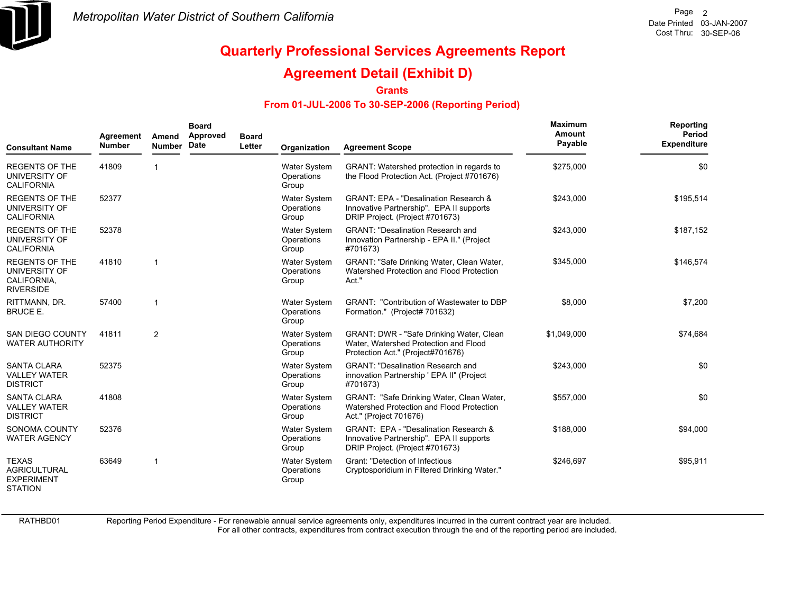

### **Agreement Detail (Exhibit D)**

**Grants**

#### **From 01-JUL-2006 To 30-SEP-2006 (Reporting Period)**

| <b>Consultant Name</b>                                                     | Agreement<br><b>Number</b> | Amend<br><b>Number</b> | <b>Board</b><br>Approved<br>Date | <b>Board</b><br>Letter | Organization                               | <b>Agreement Scope</b>                                                                                                          | <b>Maximum</b><br>Amount<br>Payable | Reporting<br>Period<br><b>Expenditure</b> |
|----------------------------------------------------------------------------|----------------------------|------------------------|----------------------------------|------------------------|--------------------------------------------|---------------------------------------------------------------------------------------------------------------------------------|-------------------------------------|-------------------------------------------|
| <b>REGENTS OF THE</b><br>UNIVERSITY OF<br><b>CALIFORNIA</b>                | 41809                      |                        |                                  |                        | Water System<br>Operations<br>Group        | GRANT: Watershed protection in regards to<br>the Flood Protection Act. (Project #701676)                                        | \$275,000                           | \$0                                       |
| <b>REGENTS OF THE</b><br>UNIVERSITY OF<br><b>CALIFORNIA</b>                | 52377                      |                        |                                  |                        | Water System<br>Operations<br>Group        | <b>GRANT: EPA - "Desalination Research &amp;</b><br>Innovative Partnership". EPA II supports<br>DRIP Project. (Project #701673) | \$243,000                           | \$195,514                                 |
| <b>REGENTS OF THE</b><br>UNIVERSITY OF<br><b>CALIFORNIA</b>                | 52378                      |                        |                                  |                        | Water System<br>Operations<br>Group        | <b>GRANT: "Desalination Research and</b><br>Innovation Partnership - EPA II." (Project<br>#701673)                              | \$243,000                           | \$187,152                                 |
| <b>REGENTS OF THE</b><br>UNIVERSITY OF<br>CALIFORNIA,<br><b>RIVERSIDE</b>  | 41810                      | 1                      |                                  |                        | Water System<br>Operations<br>Group        | GRANT: "Safe Drinking Water, Clean Water,<br>Watershed Protection and Flood Protection<br>Act."                                 | \$345,000                           | \$146,574                                 |
| RITTMANN, DR.<br><b>BRUCE E.</b>                                           | 57400                      | $\mathbf{1}$           |                                  |                        | Water System<br>Operations<br>Group        | <b>GRANT: "Contribution of Wastewater to DBP</b><br>Formation." (Project# 701632)                                               | \$8,000                             | \$7,200                                   |
| <b>SAN DIEGO COUNTY</b><br><b>WATER AUTHORITY</b>                          | 41811                      | $\overline{2}$         |                                  |                        | Water System<br>Operations<br>Group        | GRANT: DWR - "Safe Drinking Water, Clean<br>Water, Watershed Protection and Flood<br>Protection Act." (Project#701676)          | \$1,049,000                         | \$74,684                                  |
| <b>SANTA CLARA</b><br><b>VALLEY WATER</b><br><b>DISTRICT</b>               | 52375                      |                        |                                  |                        | <b>Water System</b><br>Operations<br>Group | <b>GRANT: "Desalination Research and</b><br>innovation Partnership ' EPA II" (Project<br>#701673)                               | \$243,000                           | \$0                                       |
| <b>SANTA CLARA</b><br><b>VALLEY WATER</b><br><b>DISTRICT</b>               | 41808                      |                        |                                  |                        | <b>Water System</b><br>Operations<br>Group | GRANT: "Safe Drinking Water, Clean Water,<br>Watershed Protection and Flood Protection<br>Act." (Project 701676)                | \$557,000                           | \$0                                       |
| <b>SONOMA COUNTY</b><br><b>WATER AGENCY</b>                                | 52376                      |                        |                                  |                        | Water System<br>Operations<br>Group        | GRANT: EPA - "Desalination Research &<br>Innovative Partnership". EPA II supports<br>DRIP Project. (Project #701673)            | \$188,000                           | \$94,000                                  |
| <b>TEXAS</b><br><b>AGRICULTURAL</b><br><b>EXPERIMENT</b><br><b>STATION</b> | 63649                      | $\mathbf{1}$           |                                  |                        | Water System<br>Operations<br>Group        | Grant: "Detection of Infectious<br>Cryptosporidium in Filtered Drinking Water."                                                 | \$246,697                           | \$95,911                                  |

RATHBD01

Reporting Period Expenditure - For renewable annual service agreements only, expenditures incurred in the current contract year are included.

For all other contracts, expenditures from contract execution through the end of the reporting period are included.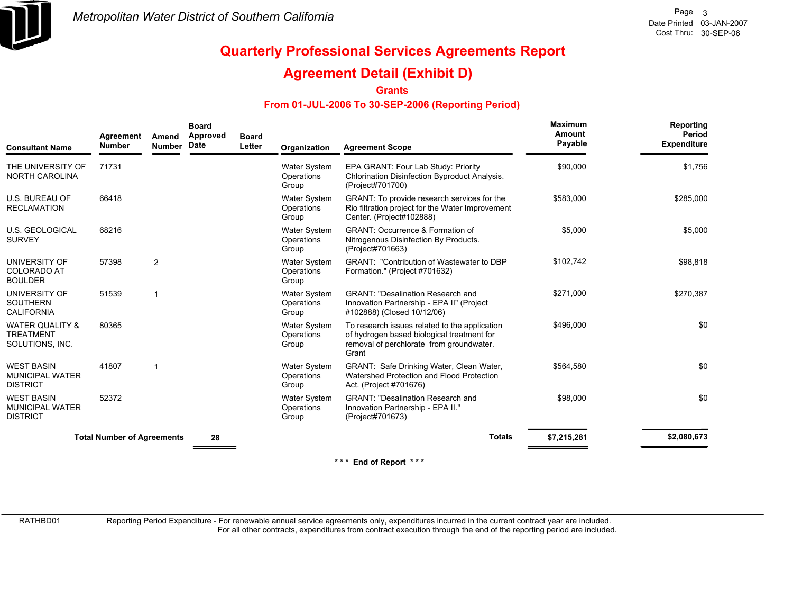

## **Agreement Detail (Exhibit D)**

**Grants**

#### **From 01-JUL-2006 To 30-SEP-2006 (Reporting Period)**

| <b>Consultant Name</b>                                            | Agreement<br><b>Number</b>        | Amend<br><b>Number</b> | <b>Board</b><br>Approved<br>Date | <b>Board</b><br>Letter | Organization                               | <b>Agreement Scope</b>                                                                                                                           | <b>Maximum</b><br>Amount<br>Payable | Reporting<br>Period<br><b>Expenditure</b> |
|-------------------------------------------------------------------|-----------------------------------|------------------------|----------------------------------|------------------------|--------------------------------------------|--------------------------------------------------------------------------------------------------------------------------------------------------|-------------------------------------|-------------------------------------------|
| THE UNIVERSITY OF<br><b>NORTH CAROLINA</b>                        | 71731                             |                        |                                  |                        | <b>Water System</b><br>Operations<br>Group | EPA GRANT: Four Lab Study: Priority<br>Chlorination Disinfection Byproduct Analysis.<br>(Project#701700)                                         | \$90,000                            | \$1,756                                   |
| <b>U.S. BUREAU OF</b><br><b>RECLAMATION</b>                       | 66418                             |                        |                                  |                        | Water System<br>Operations<br>Group        | GRANT: To provide research services for the<br>Rio filtration project for the Water Improvement<br>Center. (Project#102888)                      | \$583,000                           | \$285,000                                 |
| <b>U.S. GEOLOGICAL</b><br><b>SURVEY</b>                           | 68216                             |                        |                                  |                        | <b>Water System</b><br>Operations<br>Group | <b>GRANT: Occurrence &amp; Formation of</b><br>Nitrogenous Disinfection By Products.<br>(Project#701663)                                         | \$5,000                             | \$5,000                                   |
| UNIVERSITY OF<br><b>COLORADO AT</b><br><b>BOULDER</b>             | 57398                             | $\overline{2}$         |                                  |                        | <b>Water System</b><br>Operations<br>Group | <b>GRANT: "Contribution of Wastewater to DBP</b><br>Formation." (Project #701632)                                                                | \$102,742                           | \$98,818                                  |
| UNIVERSITY OF<br><b>SOUTHERN</b><br><b>CALIFORNIA</b>             | 51539                             |                        |                                  |                        | Water System<br>Operations<br>Group        | <b>GRANT: "Desalination Research and</b><br>Innovation Partnership - EPA II" (Project<br>#102888) (Closed 10/12/06)                              | \$271,000                           | \$270,387                                 |
| <b>WATER QUALITY &amp;</b><br><b>TREATMENT</b><br>SOLUTIONS, INC. | 80365                             |                        |                                  |                        | <b>Water System</b><br>Operations<br>Group | To research issues related to the application<br>of hydrogen based biological treatment for<br>removal of perchlorate from groundwater.<br>Grant | \$496,000                           | \$0                                       |
| <b>WEST BASIN</b><br><b>MUNICIPAL WATER</b><br><b>DISTRICT</b>    | 41807                             |                        |                                  |                        | <b>Water System</b><br>Operations<br>Group | GRANT: Safe Drinking Water, Clean Water,<br>Watershed Protection and Flood Protection<br>Act. (Project #701676)                                  | \$564,580                           | \$0                                       |
| <b>WEST BASIN</b><br><b>MUNICIPAL WATER</b><br><b>DISTRICT</b>    | 52372                             |                        |                                  |                        | <b>Water System</b><br>Operations<br>Group | <b>GRANT: "Desalination Research and</b><br>Innovation Partnership - EPA II."<br>(Project#701673)                                                | \$98,000                            | \$0                                       |
|                                                                   | <b>Total Number of Agreements</b> |                        | 28                               |                        |                                            | <b>Totals</b>                                                                                                                                    | \$7,215,281                         | \$2,080,673                               |
|                                                                   |                                   |                        |                                  |                        |                                            | $* * *$<br>End of Report ***                                                                                                                     |                                     |                                           |

RATHBD01

Reporting Period Expenditure - For renewable annual service agreements only, expenditures incurred in the current contract year are included.

For all other contracts, expenditures from contract execution through the end of the reporting period are included.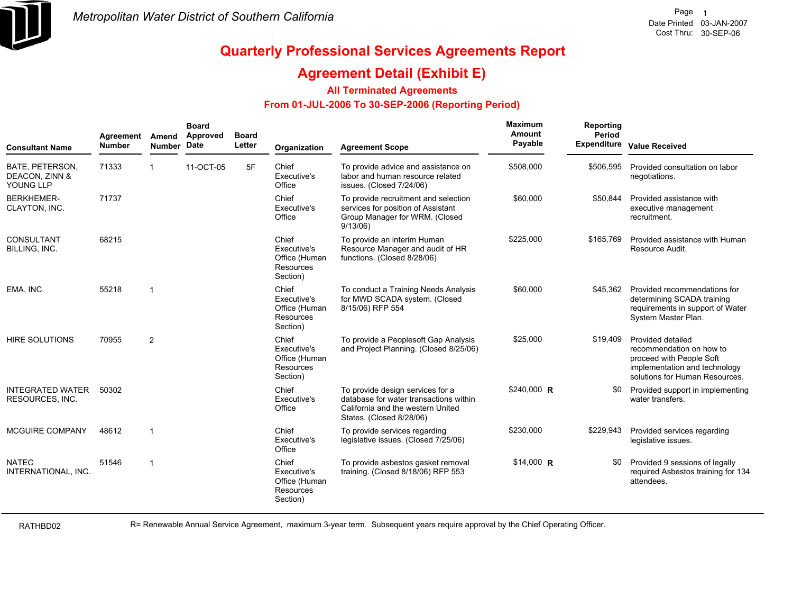

### **Agreement Detail (Exhibit E)**

#### **All Terminated Agreements**

#### **From 01-JUL-2006 To 30-SEP-2006 (Reporting Period)**

| <b>Consultant Name</b>                         | Agreement<br><b>Number</b> | Amend<br><b>Number</b> | <b>Board</b><br>Approved<br>Date | <b>Board</b><br>Letter | Organization                                                          | <b>Agreement Scope</b>                                                                                                                      | Maximum<br>Amount<br>Payable | Reporting<br>Period<br><b>Expenditure</b> | <b>Value Received</b>                                                                                                                        |
|------------------------------------------------|----------------------------|------------------------|----------------------------------|------------------------|-----------------------------------------------------------------------|---------------------------------------------------------------------------------------------------------------------------------------------|------------------------------|-------------------------------------------|----------------------------------------------------------------------------------------------------------------------------------------------|
| BATE, PETERSON,<br>DEACON, ZINN &<br>YOUNG LLP | 71333                      | $\mathbf{1}$           | 11-OCT-05                        | 5F                     | Chief<br>Executive's<br>Office                                        | To provide advice and assistance on<br>labor and human resource related<br>issues. (Closed 7/24/06)                                         | \$508,000                    | \$506,595                                 | Provided consultation on labor<br>negotiations.                                                                                              |
| <b>BERKHEMER-</b><br>CLAYTON, INC.             | 71737                      |                        |                                  |                        | Chief<br>Executive's<br>Office                                        | To provide recruitment and selection<br>services for position of Assistant<br>Group Manager for WRM. (Closed<br>9/13/06                     | \$60,000                     | \$50,844                                  | Provided assistance with<br>executive management<br>recruitment.                                                                             |
| CONSULTANT<br>BILLING, INC.                    | 68215                      |                        |                                  |                        | Chief<br>Executive's<br>Office (Human<br>Resources<br>Section)        | To provide an interim Human<br>Resource Manager and audit of HR<br>functions. (Closed 8/28/06)                                              | \$225,000                    | \$165.769                                 | Provided assistance with Human<br>Resource Audit.                                                                                            |
| EMA, INC.                                      | 55218                      | $\mathbf{1}$           |                                  |                        | Chief<br>Executive's<br>Office (Human<br><b>Resources</b><br>Section) | To conduct a Training Needs Analysis<br>for MWD SCADA system. (Closed<br>8/15/06) RFP 554                                                   | \$60,000                     | \$45,362                                  | Provided recommendations for<br>determining SCADA training<br>requirements in support of Water<br>System Master Plan.                        |
| <b>HIRE SOLUTIONS</b>                          | 70955                      | 2                      |                                  |                        | Chief<br>Executive's<br>Office (Human<br>Resources<br>Section)        | To provide a Peoplesoft Gap Analysis<br>and Project Planning. (Closed 8/25/06)                                                              | \$25,000                     | \$19,409                                  | Provided detailed<br>recommendation on how to<br>proceed with People Soft<br>implementation and technology<br>solutions for Human Resources. |
| <b>INTEGRATED WATER</b><br>RESOURCES, INC.     | 50302                      |                        |                                  |                        | Chief<br>Executive's<br>Office                                        | To provide design services for a<br>database for water transactions within<br>California and the western United<br>States. (Closed 8/28/06) | $$240,000$ R                 | \$0                                       | Provided support in implementing<br>water transfers.                                                                                         |
| MCGUIRE COMPANY                                | 48612                      | $\mathbf{1}$           |                                  |                        | Chief<br>Executive's<br>Office                                        | To provide services regarding<br>legislative issues. (Closed 7/25/06)                                                                       | \$230,000                    | \$229,943                                 | Provided services regarding<br>legislative issues.                                                                                           |
| <b>NATEC</b><br>INTERNATIONAL, INC.            | 51546                      | $\overline{1}$         |                                  |                        | Chief<br>Executive's<br>Office (Human<br>Resources<br>Section)        | To provide asbestos gasket removal<br>training. (Closed 8/18/06) RFP 553                                                                    | $$14,000$ R                  | \$0                                       | Provided 9 sessions of legally<br>required Asbestos training for 134<br>attendees.                                                           |

RATHBD02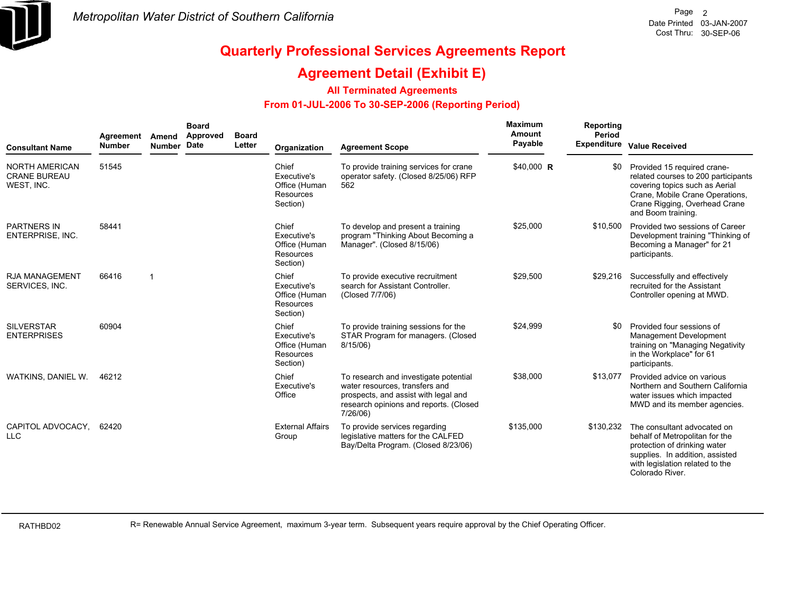

### **Agreement Detail (Exhibit E)**

#### **All Terminated Agreements**

#### **From 01-JUL-2006 To 30-SEP-2006 (Reporting Period)**

| <b>Consultant Name</b>                                     | Agreement<br><b>Number</b> | Amend<br>Number Date | <b>Board</b><br>Approved | <b>Board</b><br>Letter | Organization                                                          | <b>Agreement Scope</b>                                                                                                                                                | Maximum<br><b>Amount</b><br>Payable | Reporting<br>Period | <b>Expenditure Value Received</b>                                                                                                                                                              |
|------------------------------------------------------------|----------------------------|----------------------|--------------------------|------------------------|-----------------------------------------------------------------------|-----------------------------------------------------------------------------------------------------------------------------------------------------------------------|-------------------------------------|---------------------|------------------------------------------------------------------------------------------------------------------------------------------------------------------------------------------------|
| <b>NORTH AMERICAN</b><br><b>CRANE BUREAU</b><br>WEST, INC. | 51545                      |                      |                          |                        | Chief<br>Executive's<br>Office (Human<br>Resources<br>Section)        | To provide training services for crane<br>operator safety. (Closed 8/25/06) RFP<br>562                                                                                | \$40,000 R                          |                     | Provided 15 required crane-<br>related courses to 200 participants<br>covering topics such as Aerial<br>Crane, Mobile Crane Operations,<br>Crane Rigging, Overhead Crane<br>and Boom training. |
| <b>PARTNERS IN</b><br>ENTERPRISE, INC.                     | 58441                      |                      |                          |                        | Chief<br>Executive's<br>Office (Human<br><b>Resources</b><br>Section) | To develop and present a training<br>program "Thinking About Becoming a<br>Manager". (Closed 8/15/06)                                                                 | \$25,000                            | \$10,500            | Provided two sessions of Career<br>Development training "Thinking of<br>Becoming a Manager" for 21<br>participants.                                                                            |
| <b>RJA MANAGEMENT</b><br>SERVICES, INC.                    | 66416                      | $\overline{1}$       |                          |                        | Chief<br>Executive's<br>Office (Human<br>Resources<br>Section)        | To provide executive recruitment<br>search for Assistant Controller.<br>(Closed 7/7/06)                                                                               | \$29,500                            | \$29,216            | Successfully and effectively<br>recruited for the Assistant<br>Controller opening at MWD.                                                                                                      |
| <b>SILVERSTAR</b><br><b>ENTERPRISES</b>                    | 60904                      |                      |                          |                        | Chief<br>Executive's<br>Office (Human<br>Resources<br>Section)        | To provide training sessions for the<br>STAR Program for managers. (Closed<br>$8/15/06$ )                                                                             | \$24,999                            | \$0                 | Provided four sessions of<br>Management Development<br>training on "Managing Negativity<br>in the Workplace" for 61<br>participants.                                                           |
| WATKINS, DANIEL W.                                         | 46212                      |                      |                          |                        | Chief<br>Executive's<br>Office                                        | To research and investigate potential<br>water resources, transfers and<br>prospects, and assist with legal and<br>research opinions and reports. (Closed<br>7/26/06) | \$38,000                            | \$13,077            | Provided advice on various<br>Northern and Southern California<br>water issues which impacted<br>MWD and its member agencies.                                                                  |
| CAPITOL ADVOCACY, 62420<br><b>LLC</b>                      |                            |                      |                          |                        | <b>External Affairs</b><br>Group                                      | To provide services regarding<br>legislative matters for the CALFED<br>Bay/Delta Program. (Closed 8/23/06)                                                            | \$135,000                           | \$130,232           | The consultant advocated on<br>behalf of Metropolitan for the<br>protection of drinking water<br>supplies. In addition, assisted<br>with legislation related to the<br>Colorado River.         |

RATHBD02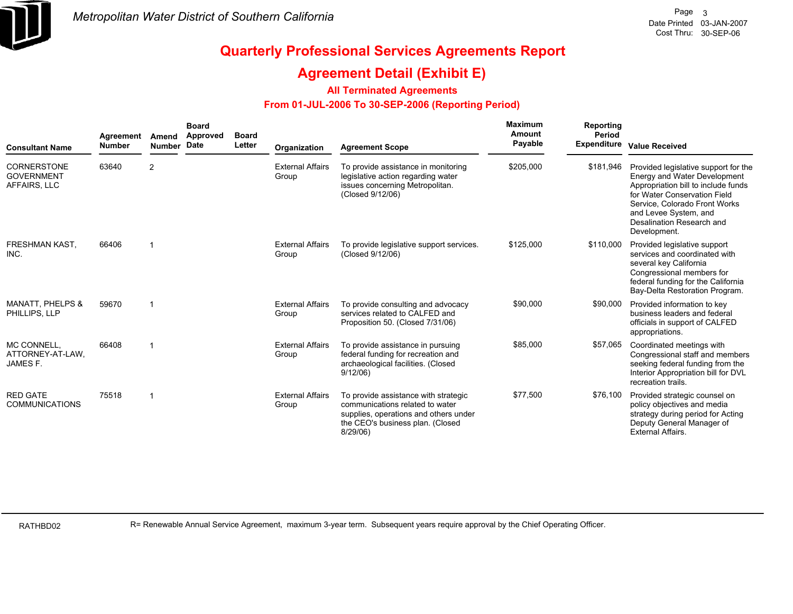

### **Agreement Detail (Exhibit E)**

#### **All Terminated Agreements**

#### **From 01-JUL-2006 To 30-SEP-2006 (Reporting Period)**

| <b>Consultant Name</b>                                  | Agreement<br><b>Number</b> | Amend<br><b>Number</b> | <b>Board</b><br>Approved<br><b>Date</b> | <b>Board</b><br>Letter | Organization                     | <b>Agreement Scope</b>                                                                                                                                          | Maximum<br>Amount<br>Payable | Reporting<br>Period<br><b>Expenditure</b> | <b>Value Received</b>                                                                                                                                                                                                                              |
|---------------------------------------------------------|----------------------------|------------------------|-----------------------------------------|------------------------|----------------------------------|-----------------------------------------------------------------------------------------------------------------------------------------------------------------|------------------------------|-------------------------------------------|----------------------------------------------------------------------------------------------------------------------------------------------------------------------------------------------------------------------------------------------------|
| <b>CORNERSTONE</b><br><b>GOVERNMENT</b><br>AFFAIRS, LLC | 63640                      | 2                      |                                         |                        | <b>External Affairs</b><br>Group | To provide assistance in monitoring<br>legislative action regarding water<br>issues concerning Metropolitan.<br>(Closed 9/12/06)                                | \$205,000                    | \$181,946                                 | Provided legislative support for the<br>Energy and Water Development<br>Appropriation bill to include funds<br>for Water Conservation Field<br>Service, Colorado Front Works<br>and Levee System, and<br>Desalination Research and<br>Development. |
| <b>FRESHMAN KAST,</b><br>INC.                           | 66406                      | -1                     |                                         |                        | <b>External Affairs</b><br>Group | To provide legislative support services.<br>(Closed 9/12/06)                                                                                                    | \$125,000                    | \$110,000                                 | Provided legislative support<br>services and coordinated with<br>several key California<br>Congressional members for<br>federal funding for the California<br>Bay-Delta Restoration Program.                                                       |
| <b>MANATT, PHELPS &amp;</b><br>PHILLIPS, LLP            | 59670                      | -1                     |                                         |                        | <b>External Affairs</b><br>Group | To provide consulting and advocacy<br>services related to CALFED and<br>Proposition 50. (Closed 7/31/06)                                                        | \$90,000                     | \$90,000                                  | Provided information to key<br>business leaders and federal<br>officials in support of CALFED<br>appropriations.                                                                                                                                   |
| MC CONNELL.<br>ATTORNEY-AT-LAW,<br>JAMES F.             | 66408                      | -1                     |                                         |                        | <b>External Affairs</b><br>Group | To provide assistance in pursuing<br>federal funding for recreation and<br>archaeological facilities. (Closed<br>9/12/06                                        | \$85,000                     | \$57,065                                  | Coordinated meetings with<br>Congressional staff and members<br>seeking federal funding from the<br>Interior Appropriation bill for DVL<br>recreation trails.                                                                                      |
| <b>RED GATE</b><br><b>COMMUNICATIONS</b>                | 75518                      | -1                     |                                         |                        | <b>External Affairs</b><br>Group | To provide assistance with strategic<br>communications related to water<br>supplies, operations and others under<br>the CEO's business plan. (Closed<br>8/29/06 | \$77,500                     | \$76,100                                  | Provided strategic counsel on<br>policy objectives and media<br>strategy during period for Acting<br>Deputy General Manager of<br><b>External Affairs.</b>                                                                                         |

RATHBD02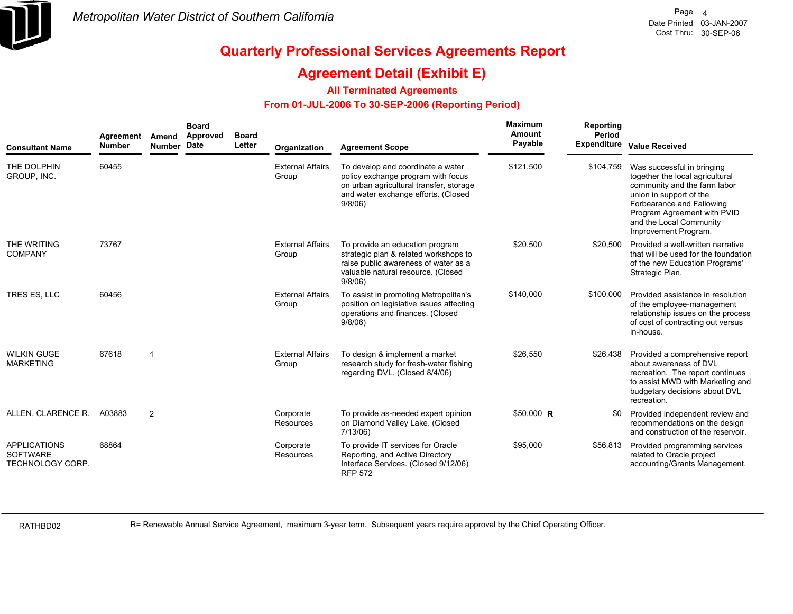

### **Agreement Detail (Exhibit E)**

#### **All Terminated Agreements**

#### **From 01-JUL-2006 To 30-SEP-2006 (Reporting Period)**

| <b>Consultant Name</b>                                            | Agreement<br><b>Number</b> | Amend<br><b>Number</b> | <b>Board</b><br>Approved<br>Date | <b>Board</b><br>Letter | Organization                     | <b>Agreement Scope</b>                                                                                                                                              | Maximum<br>Amount<br>Payable | Reporting<br>Period | <b>Expenditure Value Received</b>                                                                                                                                                                                                       |
|-------------------------------------------------------------------|----------------------------|------------------------|----------------------------------|------------------------|----------------------------------|---------------------------------------------------------------------------------------------------------------------------------------------------------------------|------------------------------|---------------------|-----------------------------------------------------------------------------------------------------------------------------------------------------------------------------------------------------------------------------------------|
| THE DOLPHIN<br>GROUP, INC.                                        | 60455                      |                        |                                  |                        | <b>External Affairs</b><br>Group | To develop and coordinate a water<br>policy exchange program with focus<br>on urban agricultural transfer, storage<br>and water exchange efforts. (Closed<br>9/8/06 | \$121,500                    | \$104,759           | Was successful in bringing<br>together the local agricultural<br>community and the farm labor<br>union in support of the<br>Forbearance and Fallowing<br>Program Agreement with PVID<br>and the Local Community<br>Improvement Program. |
| THE WRITING<br><b>COMPANY</b>                                     | 73767                      |                        |                                  |                        | <b>External Affairs</b><br>Group | To provide an education program<br>strategic plan & related workshops to<br>raise public awareness of water as a<br>valuable natural resource. (Closed<br>9/8/06    | \$20,500                     | \$20,500            | Provided a well-written narrative<br>that will be used for the foundation<br>of the new Education Programs'<br>Strategic Plan.                                                                                                          |
| TRES ES, LLC                                                      | 60456                      |                        |                                  |                        | <b>External Affairs</b><br>Group | To assist in promoting Metropolitan's<br>position on legislative issues affecting<br>operations and finances. (Closed<br>9/8/06                                     | \$140,000                    | \$100,000           | Provided assistance in resolution<br>of the employee-management<br>relationship issues on the process<br>of cost of contracting out versus<br>in-house.                                                                                 |
| <b>WILKIN GUGE</b><br><b>MARKETING</b>                            | 67618                      | $\overline{1}$         |                                  |                        | <b>External Affairs</b><br>Group | To design & implement a market<br>research study for fresh-water fishing<br>regarding DVL. (Closed 8/4/06)                                                          | \$26,550                     | \$26,438            | Provided a comprehensive report<br>about awareness of DVL<br>recreation. The report continues<br>to assist MWD with Marketing and<br>budgetary decisions about DVL<br>recreation.                                                       |
| ALLEN, CLARENCE R.                                                | A03883                     | 2                      |                                  |                        | Corporate<br><b>Resources</b>    | To provide as-needed expert opinion<br>on Diamond Valley Lake. (Closed<br>$7/13/06$ )                                                                               | $$50,000$ R                  | \$0                 | Provided independent review and<br>recommendations on the design<br>and construction of the reservoir.                                                                                                                                  |
| <b>APPLICATIONS</b><br><b>SOFTWARE</b><br><b>TECHNOLOGY CORP.</b> | 68864                      |                        |                                  |                        | Corporate<br>Resources           | To provide IT services for Oracle<br>Reporting, and Active Directory<br>Interface Services. (Closed 9/12/06)<br><b>RFP 572</b>                                      | \$95,000                     | \$56,813            | Provided programming services<br>related to Oracle project<br>accounting/Grants Management.                                                                                                                                             |

RATHBD02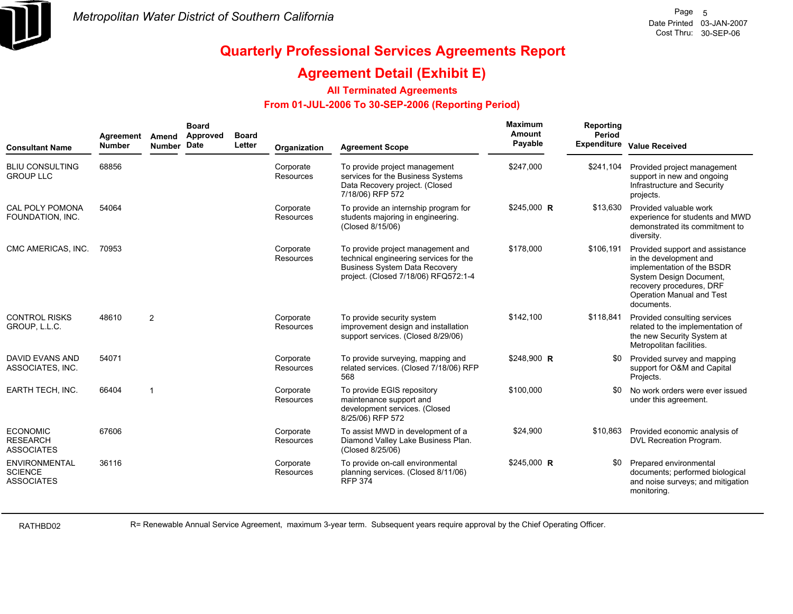

### **Agreement Detail (Exhibit E)**

#### **All Terminated Agreements**

#### **From 01-JUL-2006 To 30-SEP-2006 (Reporting Period)**

| <b>Consultant Name</b>                                      | Agreement<br><b>Number</b> | Amend<br>Number Date | <b>Board</b><br>Approved | <b>Board</b><br>Letter | Organization                  | <b>Agreement Scope</b>                                                                                                                                      | Maximum<br>Amount<br>Payable | Reporting<br>Period<br><b>Expenditure</b> | <b>Value Received</b>                                                                                                                                                                     |
|-------------------------------------------------------------|----------------------------|----------------------|--------------------------|------------------------|-------------------------------|-------------------------------------------------------------------------------------------------------------------------------------------------------------|------------------------------|-------------------------------------------|-------------------------------------------------------------------------------------------------------------------------------------------------------------------------------------------|
| <b>BLIU CONSULTING</b><br><b>GROUP LLC</b>                  | 68856                      |                      |                          |                        | Corporate<br>Resources        | To provide project management<br>services for the Business Systems<br>Data Recovery project. (Closed<br>7/18/06) RFP 572                                    | \$247.000                    | \$241,104                                 | Provided project management<br>support in new and ongoing<br>Infrastructure and Security<br>projects.                                                                                     |
| <b>CAL POLY POMONA</b><br>FOUNDATION, INC.                  | 54064                      |                      |                          |                        | Corporate<br>Resources        | To provide an internship program for<br>students majoring in engineering.<br>(Closed 8/15/06)                                                               | $$245,000$ R                 | \$13,630                                  | Provided valuable work<br>experience for students and MWD<br>demonstrated its commitment to<br>diversity.                                                                                 |
| CMC AMERICAS, INC.                                          | 70953                      |                      |                          |                        | Corporate<br>Resources        | To provide project management and<br>technical engineering services for the<br><b>Business System Data Recovery</b><br>project. (Closed 7/18/06) RFQ572:1-4 | \$178,000                    | \$106,191                                 | Provided support and assistance<br>in the development and<br>implementation of the BSDR<br>System Design Document,<br>recovery procedures, DRF<br>Operation Manual and Test<br>documents. |
| <b>CONTROL RISKS</b><br>GROUP, L.L.C.                       | 48610                      | 2                    |                          |                        | Corporate<br><b>Resources</b> | To provide security system<br>improvement design and installation<br>support services. (Closed 8/29/06)                                                     | \$142,100                    | \$118,841                                 | Provided consulting services<br>related to the implementation of<br>the new Security System at<br>Metropolitan facilities.                                                                |
| <b>DAVID EVANS AND</b><br>ASSOCIATES, INC.                  | 54071                      |                      |                          |                        | Corporate<br><b>Resources</b> | To provide surveying, mapping and<br>related services. (Closed 7/18/06) RFP<br>568                                                                          | \$248,900 R                  |                                           | Provided survey and mapping<br>support for O&M and Capital<br>Projects.                                                                                                                   |
| <b>EARTH TECH, INC.</b>                                     | 66404                      | -1                   |                          |                        | Corporate<br>Resources        | To provide EGIS repository<br>maintenance support and<br>development services. (Closed<br>8/25/06) RFP 572                                                  | \$100,000                    | .SO                                       | No work orders were ever issued<br>under this agreement.                                                                                                                                  |
| <b>ECONOMIC</b><br><b>RESEARCH</b><br><b>ASSOCIATES</b>     | 67606                      |                      |                          |                        | Corporate<br>Resources        | To assist MWD in development of a<br>Diamond Valley Lake Business Plan.<br>(Closed 8/25/06)                                                                 | \$24,900                     | \$10,863                                  | Provided economic analysis of<br>DVL Recreation Program.                                                                                                                                  |
| <b>ENVIRONMENTAL</b><br><b>SCIENCE</b><br><b>ASSOCIATES</b> | 36116                      |                      |                          |                        | Corporate<br>Resources        | To provide on-call environmental<br>planning services. (Closed 8/11/06)<br><b>RFP 374</b>                                                                   | \$245,000 R                  | \$0                                       | Prepared environmental<br>documents; performed biological<br>and noise surveys; and mitigation<br>monitoring.                                                                             |

RATHBD02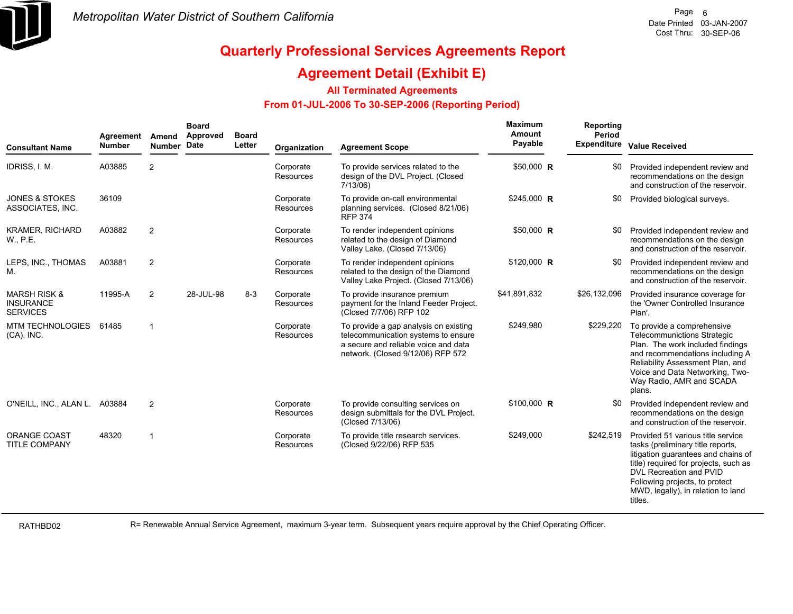

### **Agreement Detail (Exhibit E)**

#### **All Terminated Agreements**

#### **From 01-JUL-2006 To 30-SEP-2006 (Reporting Period)**

| <b>Consultant Name</b>                                         | Agreement<br><b>Number</b> | Amend<br>Number Date | <b>Board</b><br>Approved | <b>Board</b><br>Letter | Organization                  | <b>Agreement Scope</b>                                                                                                                                    | Maximum<br>Amount<br>Payable | Reporting<br>Period<br><b>Expenditure</b> | <b>Value Received</b>                                                                                                                                                                                                                                                |
|----------------------------------------------------------------|----------------------------|----------------------|--------------------------|------------------------|-------------------------------|-----------------------------------------------------------------------------------------------------------------------------------------------------------|------------------------------|-------------------------------------------|----------------------------------------------------------------------------------------------------------------------------------------------------------------------------------------------------------------------------------------------------------------------|
| IDRISS, I. M.                                                  | A03885                     | 2                    |                          |                        | Corporate<br>Resources        | To provide services related to the<br>design of the DVL Project. (Closed<br>7/13/06                                                                       | \$50,000 R                   | \$0                                       | Provided independent review and<br>recommendations on the design<br>and construction of the reservoir.                                                                                                                                                               |
| <b>JONES &amp; STOKES</b><br>ASSOCIATES, INC.                  | 36109                      |                      |                          |                        | Corporate<br><b>Resources</b> | To provide on-call environmental<br>planning services. (Closed 8/21/06)<br><b>RFP 374</b>                                                                 | \$245,000 R                  | \$0                                       | Provided biological surveys.                                                                                                                                                                                                                                         |
| <b>KRAMER, RICHARD</b><br>W., P.E.                             | A03882                     | $\overline{2}$       |                          |                        | Corporate<br>Resources        | To render independent opinions<br>related to the design of Diamond<br>Valley Lake. (Closed 7/13/06)                                                       | \$50,000 R                   | \$0                                       | Provided independent review and<br>recommendations on the design<br>and construction of the reservoir.                                                                                                                                                               |
| LEPS, INC., THOMAS<br>М.                                       | A03881                     | $\overline{2}$       |                          |                        | Corporate<br>Resources        | To render independent opinions<br>related to the design of the Diamond<br>Valley Lake Project. (Closed 7/13/06)                                           | \$120,000 R                  | \$0                                       | Provided independent review and<br>recommendations on the design<br>and construction of the reservoir.                                                                                                                                                               |
| <b>MARSH RISK &amp;</b><br><b>INSURANCE</b><br><b>SERVICES</b> | 11995-A                    | 2                    | 28-JUL-98                | $8 - 3$                | Corporate<br>Resources        | To provide insurance premium<br>payment for the Inland Feeder Project.<br>(Closed 7/7/06) RFP 102                                                         | \$41,891,832                 | \$26,132,096                              | Provided insurance coverage for<br>the 'Owner Controlled Insurance<br>Plan'.                                                                                                                                                                                         |
| MTM TECHNOLOGIES<br>$(CA)$ , INC.                              | 61485                      | $\mathbf{1}$         |                          |                        | Corporate<br>Resources        | To provide a gap analysis on existing<br>telecommunication systems to ensure<br>a secure and reliable voice and data<br>network. (Closed 9/12/06) RFP 572 | \$249,980                    | \$229,220                                 | To provide a comprehensive<br><b>Telecommunictions Strategic</b><br>Plan. The work included findings<br>and recommendations including A<br>Reliability Assessment Plan, and<br>Voice and Data Networking, Two-<br>Way Radio, AMR and SCADA<br>plans.                 |
| O'NEILL, INC., ALAN L.                                         | A03884                     | $\overline{2}$       |                          |                        | Corporate<br>Resources        | To provide consulting services on<br>design submittals for the DVL Project.<br>(Closed 7/13/06)                                                           | \$100,000 R                  |                                           | Provided independent review and<br>recommendations on the design<br>and construction of the reservoir.                                                                                                                                                               |
| ORANGE COAST<br><b>TITLE COMPANY</b>                           | 48320                      | $\mathbf{1}$         |                          |                        | Corporate<br>Resources        | To provide title research services.<br>(Closed 9/22/06) RFP 535                                                                                           | \$249.000                    | \$242,519                                 | Provided 51 various title service<br>tasks (preliminary title reports,<br>litigation guarantees and chains of<br>title) required for projects, such as<br>DVL Recreation and PVID<br>Following projects, to protect<br>MWD, legally), in relation to land<br>titles. |

RATHBD02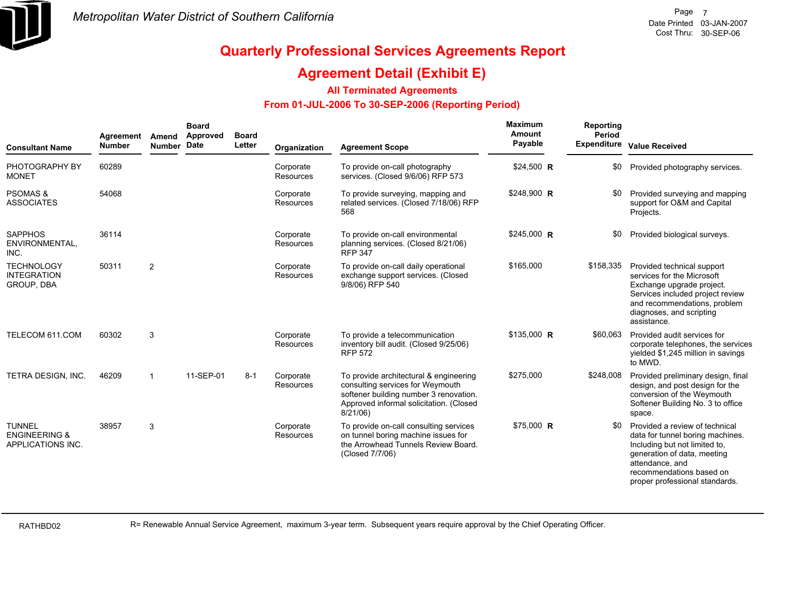

## **Agreement Detail (Exhibit E)**

#### **All Terminated Agreements**

#### **From 01-JUL-2006 To 30-SEP-2006 (Reporting Period)**

| <b>Consultant Name</b>                                         | Agreement<br><b>Number</b> | Amend<br>Number Date | <b>Board</b><br>Approved | <b>Board</b><br>Letter | Organization           | <b>Agreement Scope</b>                                                                                                                                                         | Maximum<br>Amount<br>Payable | Reporting<br>Period<br><b>Expenditure</b> | <b>Value Received</b>                                                                                                                                                                                               |
|----------------------------------------------------------------|----------------------------|----------------------|--------------------------|------------------------|------------------------|--------------------------------------------------------------------------------------------------------------------------------------------------------------------------------|------------------------------|-------------------------------------------|---------------------------------------------------------------------------------------------------------------------------------------------------------------------------------------------------------------------|
| PHOTOGRAPHY BY<br><b>MONET</b>                                 | 60289                      |                      |                          |                        | Corporate<br>Resources | To provide on-call photography<br>services. (Closed 9/6/06) RFP 573                                                                                                            | \$24,500 R                   | \$0                                       | Provided photography services.                                                                                                                                                                                      |
| <b>PSOMAS &amp;</b><br><b>ASSOCIATES</b>                       | 54068                      |                      |                          |                        | Corporate<br>Resources | To provide surveying, mapping and<br>related services. (Closed 7/18/06) RFP<br>568                                                                                             | \$248,900 R                  |                                           | Provided surveying and mapping<br>support for O&M and Capital<br>Projects.                                                                                                                                          |
| <b>SAPPHOS</b><br>ENVIRONMENTAL.<br>INC.                       | 36114                      |                      |                          |                        | Corporate<br>Resources | To provide on-call environmental<br>planning services. (Closed 8/21/06)<br><b>RFP 347</b>                                                                                      | \$245,000 R                  | \$0                                       | Provided biological surveys.                                                                                                                                                                                        |
| <b>TECHNOLOGY</b><br><b>INTEGRATION</b><br>GROUP, DBA          | 50311                      | $\overline{2}$       |                          |                        | Corporate<br>Resources | To provide on-call daily operational<br>exchange support services. (Closed<br>9/8/06) RFP 540                                                                                  | \$165,000                    | \$158,335                                 | Provided technical support<br>services for the Microsoft<br>Exchange upgrade project.<br>Services included project review<br>and recommendations, problem<br>diagnoses, and scripting<br>assistance.                |
| TELECOM 611.COM                                                | 60302                      | 3                    |                          |                        | Corporate<br>Resources | To provide a telecommunication<br>inventory bill audit. (Closed 9/25/06)<br><b>RFP 572</b>                                                                                     | \$135,000 R                  | \$60,063                                  | Provided audit services for<br>corporate telephones, the services<br>yielded \$1,245 million in savings<br>to MWD.                                                                                                  |
| TETRA DESIGN, INC.                                             | 46209                      | $\mathbf{1}$         | 11-SEP-01                | $8 - 1$                | Corporate<br>Resources | To provide architectural & engineering<br>consulting services for Weymouth<br>softener building number 3 renovation.<br>Approved informal solicitation. (Closed<br>$8/21/06$ ) | \$275,000                    | \$248,008                                 | Provided preliminary design, final<br>design, and post design for the<br>conversion of the Weymouth<br>Softener Building No. 3 to office<br>space.                                                                  |
| <b>TUNNEL</b><br><b>ENGINEERING &amp;</b><br>APPLICATIONS INC. | 38957                      | 3                    |                          |                        | Corporate<br>Resources | To provide on-call consulting services<br>on tunnel boring machine issues for<br>the Arrowhead Tunnels Review Board.<br>(Closed 7/7/06)                                        | \$75,000 R                   | \$0                                       | Provided a review of technical<br>data for tunnel boring machines.<br>Including but not limited to,<br>generation of data, meeting<br>attendance, and<br>recommendations based on<br>proper professional standards. |

RATHBD02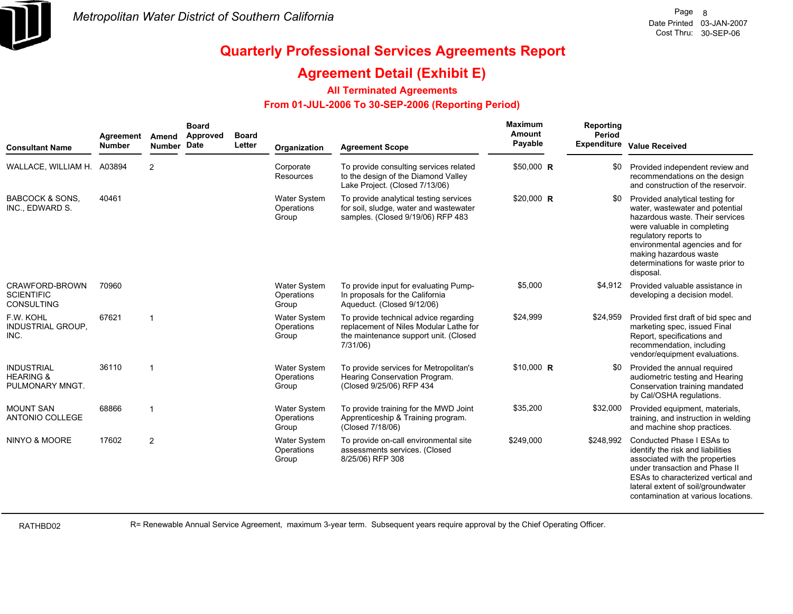

### **Agreement Detail (Exhibit E)**

#### **All Terminated Agreements**

#### **From 01-JUL-2006 To 30-SEP-2006 (Reporting Period)**

| <b>Consultant Name</b>                                       | Agreement<br><b>Number</b> | Amend<br><b>Number</b>  | <b>Board</b><br>Approved<br>Date | <b>Board</b><br>Letter | Organization                               | <b>Agreement Scope</b>                                                                                                               | <b>Maximum</b><br><b>Amount</b><br>Payable | Reporting<br>Period | Expenditure Value Received                                                                                                                                                                                                                                                  |
|--------------------------------------------------------------|----------------------------|-------------------------|----------------------------------|------------------------|--------------------------------------------|--------------------------------------------------------------------------------------------------------------------------------------|--------------------------------------------|---------------------|-----------------------------------------------------------------------------------------------------------------------------------------------------------------------------------------------------------------------------------------------------------------------------|
| WALLACE, WILLIAM H. A03894                                   |                            | 2                       |                                  |                        | Corporate<br>Resources                     | To provide consulting services related<br>to the design of the Diamond Valley<br>Lake Project. (Closed 7/13/06)                      | \$50,000 R                                 | \$0                 | Provided independent review and<br>recommendations on the design<br>and construction of the reservoir.                                                                                                                                                                      |
| <b>BABCOCK &amp; SONS.</b><br>INC., EDWARD S.                | 40461                      |                         |                                  |                        | <b>Water System</b><br>Operations<br>Group | To provide analytical testing services<br>for soil, sludge, water and wastewater<br>samples. (Closed 9/19/06) RFP 483                | \$20,000 R                                 | \$0                 | Provided analytical testing for<br>water, wastewater and potential<br>hazardous waste. Their services<br>were valuable in completing<br>regulatory reports to<br>environmental agencies and for<br>making hazardous waste<br>determinations for waste prior to<br>disposal. |
| CRAWFORD-BROWN<br><b>SCIENTIFIC</b><br><b>CONSULTING</b>     | 70960                      |                         |                                  |                        | <b>Water System</b><br>Operations<br>Group | To provide input for evaluating Pump-<br>In proposals for the California<br>Aqueduct. (Closed 9/12/06)                               | \$5,000                                    | \$4,912             | Provided valuable assistance in<br>developing a decision model.                                                                                                                                                                                                             |
| F.W. KOHL<br><b>INDUSTRIAL GROUP,</b><br>INC.                | 67621                      | -1                      |                                  |                        | <b>Water System</b><br>Operations<br>Group | To provide technical advice regarding<br>replacement of Niles Modular Lathe for<br>the maintenance support unit. (Closed<br>7/31/06) | \$24,999                                   | \$24,959            | Provided first draft of bid spec and<br>marketing spec, issued Final<br>Report, specifications and<br>recommendation, including<br>vendor/equipment evaluations.                                                                                                            |
| <b>INDUSTRIAL</b><br><b>HEARING &amp;</b><br>PULMONARY MNGT. | 36110                      | -1                      |                                  |                        | <b>Water System</b><br>Operations<br>Group | To provide services for Metropolitan's<br>Hearing Conservation Program.<br>(Closed 9/25/06) RFP 434                                  | $$10,000$ R                                | \$0                 | Provided the annual required<br>audiometric testing and Hearing<br>Conservation training mandated<br>by Cal/OSHA regulations.                                                                                                                                               |
| <b>MOUNT SAN</b><br><b>ANTONIO COLLEGE</b>                   | 68866                      | $\overline{\mathbf{1}}$ |                                  |                        | <b>Water System</b><br>Operations<br>Group | To provide training for the MWD Joint<br>Apprenticeship & Training program.<br>(Closed 7/18/06)                                      | \$35,200                                   | \$32,000            | Provided equipment, materials,<br>training, and instruction in welding<br>and machine shop practices.                                                                                                                                                                       |
| NINYO & MOORE                                                | 17602                      | $\overline{2}$          |                                  |                        | <b>Water System</b><br>Operations<br>Group | To provide on-call environmental site<br>assessments services. (Closed<br>8/25/06) RFP 308                                           | \$249,000                                  | \$248,992           | Conducted Phase I ESAs to<br>identify the risk and liabilities<br>associated with the properties<br>under transaction and Phase II<br>ESAs to characterized vertical and<br>lateral extent of soil/groundwater<br>contamination at various locations.                       |

RATHBD02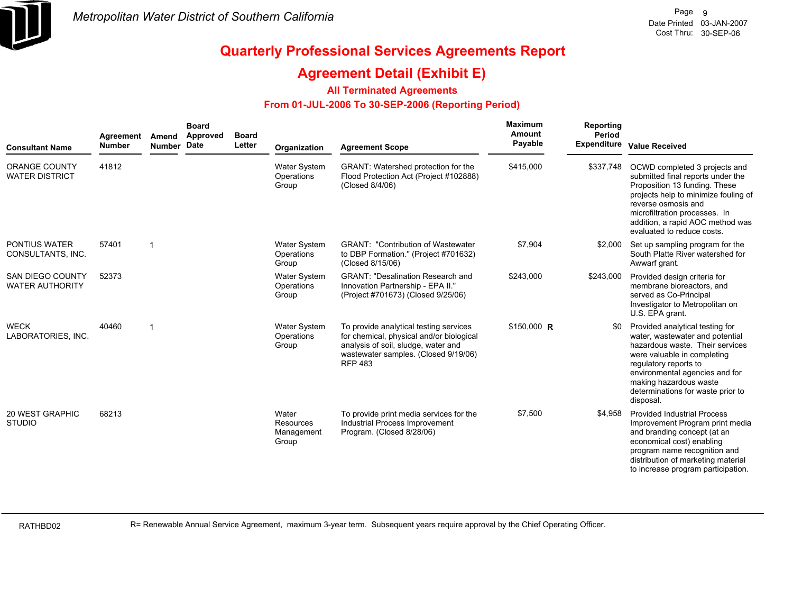

### **Agreement Detail (Exhibit E)**

#### **All Terminated Agreements**

#### **From 01-JUL-2006 To 30-SEP-2006 (Reporting Period)**

| <b>Consultant Name</b>                            | Agreement<br><b>Number</b> | Amend<br>Number Date | <b>Board</b><br><b>Approved</b> | <b>Board</b><br>Letter | Organization                               | <b>Agreement Scope</b>                                                                                                                                                              | <b>Maximum</b><br>Amount<br>Payable | Reporting<br>Period | Expenditure Value Received                                                                                                                                                                                                                                                  |
|---------------------------------------------------|----------------------------|----------------------|---------------------------------|------------------------|--------------------------------------------|-------------------------------------------------------------------------------------------------------------------------------------------------------------------------------------|-------------------------------------|---------------------|-----------------------------------------------------------------------------------------------------------------------------------------------------------------------------------------------------------------------------------------------------------------------------|
| <b>ORANGE COUNTY</b><br><b>WATER DISTRICT</b>     | 41812                      |                      |                                 |                        | Water System<br>Operations<br>Group        | <b>GRANT:</b> Watershed protection for the<br>Flood Protection Act (Project #102888)<br>(Closed 8/4/06)                                                                             | \$415,000                           | \$337,748           | OCWD completed 3 projects and<br>submitted final reports under the<br>Proposition 13 funding. These<br>projects help to minimize fouling of<br>reverse osmosis and<br>microfiltration processes. In<br>addition, a rapid AOC method was<br>evaluated to reduce costs.       |
| <b>PONTIUS WATER</b><br>CONSULTANTS, INC.         | 57401                      | -1                   |                                 |                        | Water System<br>Operations<br>Group        | <b>GRANT: "Contribution of Wastewater</b><br>to DBP Formation." (Project #701632)<br>(Closed 8/15/06)                                                                               | \$7,904                             | \$2,000             | Set up sampling program for the<br>South Platte River watershed for<br>Awwarf grant.                                                                                                                                                                                        |
| <b>SAN DIEGO COUNTY</b><br><b>WATER AUTHORITY</b> | 52373                      |                      |                                 |                        | Water System<br>Operations<br>Group        | <b>GRANT: "Desalination Research and</b><br>Innovation Partnership - EPA II."<br>(Project #701673) (Closed 9/25/06)                                                                 | \$243,000                           | \$243,000           | Provided design criteria for<br>membrane bioreactors, and<br>served as Co-Principal<br>Investigator to Metropolitan on<br>U.S. EPA grant.                                                                                                                                   |
| <b>WECK</b><br>LABORATORIES, INC.                 | 40460                      | -1                   |                                 |                        | <b>Water System</b><br>Operations<br>Group | To provide analytical testing services<br>for chemical, physical and/or biological<br>analysis of soil, sludge, water and<br>wastewater samples. (Closed 9/19/06)<br><b>RFP 483</b> | $$150,000$ R                        |                     | Provided analytical testing for<br>water, wastewater and potential<br>hazardous waste. Their services<br>were valuable in completing<br>regulatory reports to<br>environmental agencies and for<br>making hazardous waste<br>determinations for waste prior to<br>disposal. |
| <b>20 WEST GRAPHIC</b><br><b>STUDIO</b>           | 68213                      |                      |                                 |                        | Water<br>Resources<br>Management<br>Group  | To provide print media services for the<br>Industrial Process Improvement<br>Program. (Closed 8/28/06)                                                                              | \$7,500                             | \$4.958             | <b>Provided Industrial Process</b><br>Improvement Program print media<br>and branding concept (at an<br>economical cost) enabling<br>program name recognition and<br>distribution of marketing material<br>to increase program participation.                               |

RATHBD02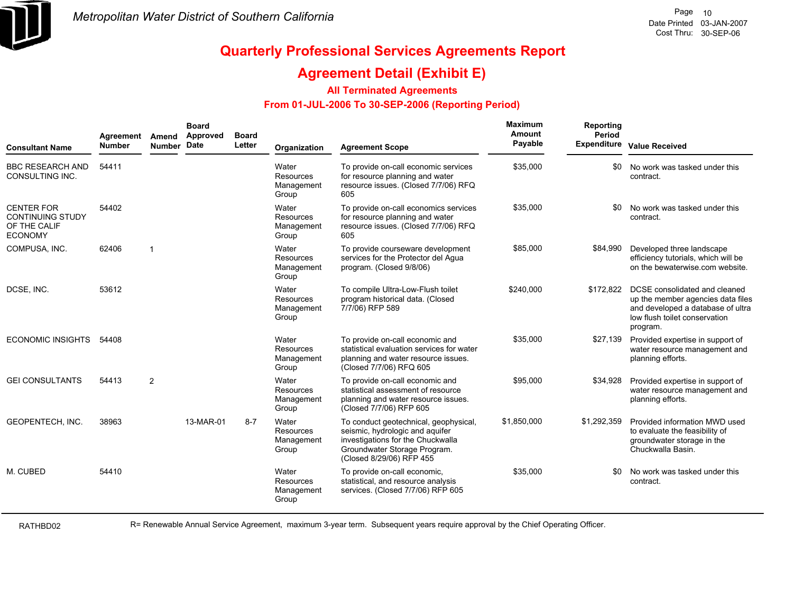

### **Agreement Detail (Exhibit E)**

#### **All Terminated Agreements**

#### **From 01-JUL-2006 To 30-SEP-2006 (Reporting Period)**

| <b>Consultant Name</b>                                                         | Agreement<br><b>Number</b> | Amend<br>Number Date | <b>Board</b><br>Approved | <b>Board</b><br>Letter | Organization                                     | <b>Agreement Scope</b>                                                                                                                                                    | Maximum<br>Amount<br>Payable | Reporting<br>Period<br><b>Expenditure</b> | <b>Value Received</b>                                                                                                                                |
|--------------------------------------------------------------------------------|----------------------------|----------------------|--------------------------|------------------------|--------------------------------------------------|---------------------------------------------------------------------------------------------------------------------------------------------------------------------------|------------------------------|-------------------------------------------|------------------------------------------------------------------------------------------------------------------------------------------------------|
| <b>BBC RESEARCH AND</b><br>CONSULTING INC.                                     | 54411                      |                      |                          |                        | Water<br>Resources<br>Management<br>Group        | To provide on-call economic services<br>for resource planning and water<br>resource issues. (Closed 7/7/06) RFQ<br>605                                                    | \$35,000                     | \$0                                       | No work was tasked under this<br>contract.                                                                                                           |
| <b>CENTER FOR</b><br><b>CONTINUING STUDY</b><br>OF THE CALIF<br><b>ECONOMY</b> | 54402                      |                      |                          |                        | Water<br>Resources<br>Management<br>Group        | To provide on-call economics services<br>for resource planning and water<br>resource issues. (Closed 7/7/06) RFQ<br>605                                                   | \$35,000                     | \$0                                       | No work was tasked under this<br>contract.                                                                                                           |
| COMPUSA, INC.                                                                  | 62406                      | $\overline{1}$       |                          |                        | Water<br><b>Resources</b><br>Management<br>Group | To provide courseware development<br>services for the Protector del Aqua<br>program. (Closed 9/8/06)                                                                      | \$85,000                     | \$84,990                                  | Developed three landscape<br>efficiency tutorials, which will be<br>on the bewaterwise.com website.                                                  |
| DCSE, INC.                                                                     | 53612                      |                      |                          |                        | Water<br>Resources<br>Management<br>Group        | To compile Ultra-Low-Flush toilet<br>program historical data. (Closed<br>7/7/06) RFP 589                                                                                  | \$240,000                    | \$172,822                                 | DCSE consolidated and cleaned<br>up the member agencies data files<br>and developed a database of ultra<br>low flush toilet conservation<br>program. |
| <b>ECONOMIC INSIGHTS</b>                                                       | 54408                      |                      |                          |                        | Water<br><b>Resources</b><br>Management<br>Group | To provide on-call economic and<br>statistical evaluation services for water<br>planning and water resource issues.<br>(Closed 7/7/06) RFQ 605                            | \$35,000                     | \$27,139                                  | Provided expertise in support of<br>water resource management and<br>planning efforts.                                                               |
| <b>GEI CONSULTANTS</b>                                                         | 54413                      | $\overline{2}$       |                          |                        | Water<br><b>Resources</b><br>Management<br>Group | To provide on-call economic and<br>statistical assessment of resource<br>planning and water resource issues.<br>(Closed 7/7/06) RFP 605                                   | \$95,000                     | \$34,928                                  | Provided expertise in support of<br>water resource management and<br>planning efforts.                                                               |
| <b>GEOPENTECH, INC.</b>                                                        | 38963                      |                      | 13-MAR-01                | $8 - 7$                | Water<br>Resources<br>Management<br>Group        | To conduct geotechnical, geophysical,<br>seismic, hydrologic and aquifer<br>investigations for the Chuckwalla<br>Groundwater Storage Program.<br>(Closed 8/29/06) RFP 455 | \$1,850,000                  | \$1,292,359                               | Provided information MWD used<br>to evaluate the feasibility of<br>groundwater storage in the<br>Chuckwalla Basin.                                   |
| M. CUBED                                                                       | 54410                      |                      |                          |                        | Water<br><b>Resources</b><br>Management<br>Group | To provide on-call economic,<br>statistical, and resource analysis<br>services. (Closed 7/7/06) RFP 605                                                                   | \$35,000                     | \$0                                       | No work was tasked under this<br>contract.                                                                                                           |

RATHBD02